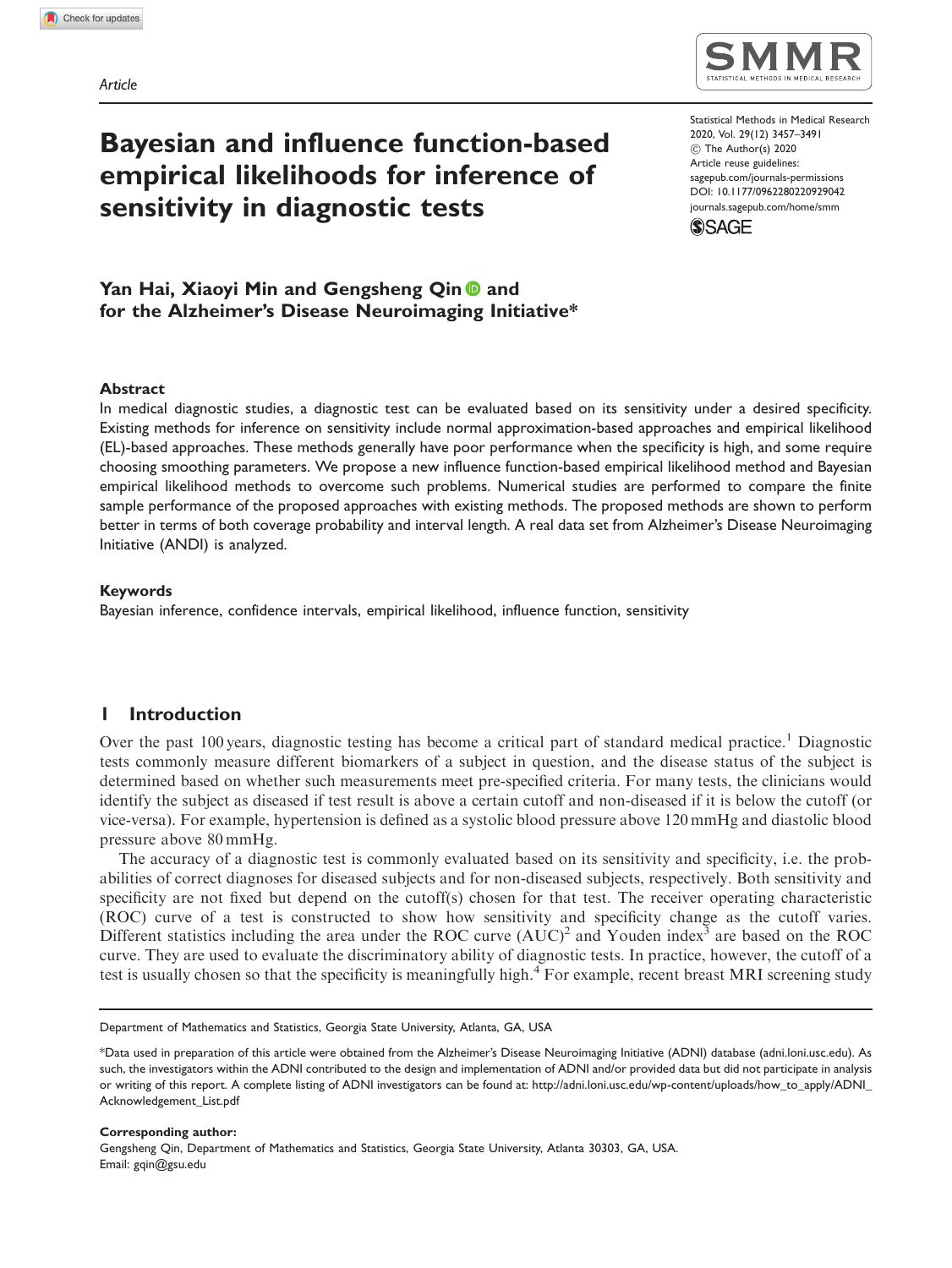

# Bayesian and influence function-based empirical likelihoods for inference of sensitivity in diagnostic tests

Statistical Methods in Medical Research 2020, Vol. 29(12) 3457–3491 ! The Author(s) 2020 Article reuse guidelines: [sagepub.com/journals-permissions](http://uk.sagepub.com/en-gb/journals-permissions) [DOI: 10.1177/0962280220929042](http://dx.doi.org/10.1177/0962280220929042) <journals.sagepub.com/home/smm>



## Yan Hai, Xiaoyi Min and Gengsheng Qin **D** and for the Alzheimer's Disease Neuroimaging Initiative\*

#### Abstract

In medical diagnostic studies, a diagnostic test can be evaluated based on its sensitivity under a desired specificity. Existing methods for inference on sensitivity include normal approximation-based approaches and empirical likelihood (EL)-based approaches. These methods generally have poor performance when the specificity is high, and some require choosing smoothing parameters. We propose a new influence function-based empirical likelihood method and Bayesian empirical likelihood methods to overcome such problems. Numerical studies are performed to compare the finite sample performance of the proposed approaches with existing methods. The proposed methods are shown to perform better in terms of both coverage probability and interval length. A real data set from Alzheimer's Disease Neuroimaging Initiative (ANDI) is analyzed.

#### Keywords

Bayesian inference, confidence intervals, empirical likelihood, influence function, sensitivity

### 1 Introduction

Over the past 100 years, diagnostic testing has become a critical part of standard medical practice.<sup>1</sup> Diagnostic tests commonly measure different biomarkers of a subject in question, and the disease status of the subject is determined based on whether such measurements meet pre-specified criteria. For many tests, the clinicians would identify the subject as diseased if test result is above a certain cutoff and non-diseased if it is below the cutoff (or vice-versa). For example, hypertension is defined as a systolic blood pressure above 120 mmHg and diastolic blood pressure above 80 mmHg.

The accuracy of a diagnostic test is commonly evaluated based on its sensitivity and specificity, i.e. the probabilities of correct diagnoses for diseased subjects and for non-diseased subjects, respectively. Both sensitivity and specificity are not fixed but depend on the cutoff(s) chosen for that test. The receiver operating characteristic (ROC) curve of a test is constructed to show how sensitivity and specificity change as the cutoff varies. Different statistics including the area under the ROC curve  $(AUC)^2$  and Youden index<sup>3</sup> are based on the ROC curve. They are used to evaluate the discriminatory ability of diagnostic tests. In practice, however, the cutoff of a test is usually chosen so that the specificity is meaningfully high.<sup>4</sup> For example, recent breast MRI screening study

Corresponding author: Gengsheng Qin, Department of Mathematics and Statistics, Georgia State University, Atlanta 30303, GA, USA. Email: [gqin@gsu.edu](mailto:gqin@gsu.edu)

Department of Mathematics and Statistics, Georgia State University, Atlanta, GA, USA

<sup>\*</sup>Data used in preparation of this article were obtained from the Alzheimer's Disease Neuroimaging Initiative (ADNI) database (adni.loni.usc.edu). As such, the investigators within the ADNI contributed to the design and implementation of ADNI and/or provided data but did not participate in analysis or writing of this report. A complete listing of ADNI investigators can be found at: [http://adni.loni.usc.edu/wp-content/uploads/how\\_to\\_apply/ADNI\\_](http://adni.loni.usc.edu/wp-content/uploads/how_to_apply/ADNI_Acknowledgement_List.pdf) [Acknowledgement\\_List.pdf](http://adni.loni.usc.edu/wp-content/uploads/how_to_apply/ADNI_Acknowledgement_List.pdf)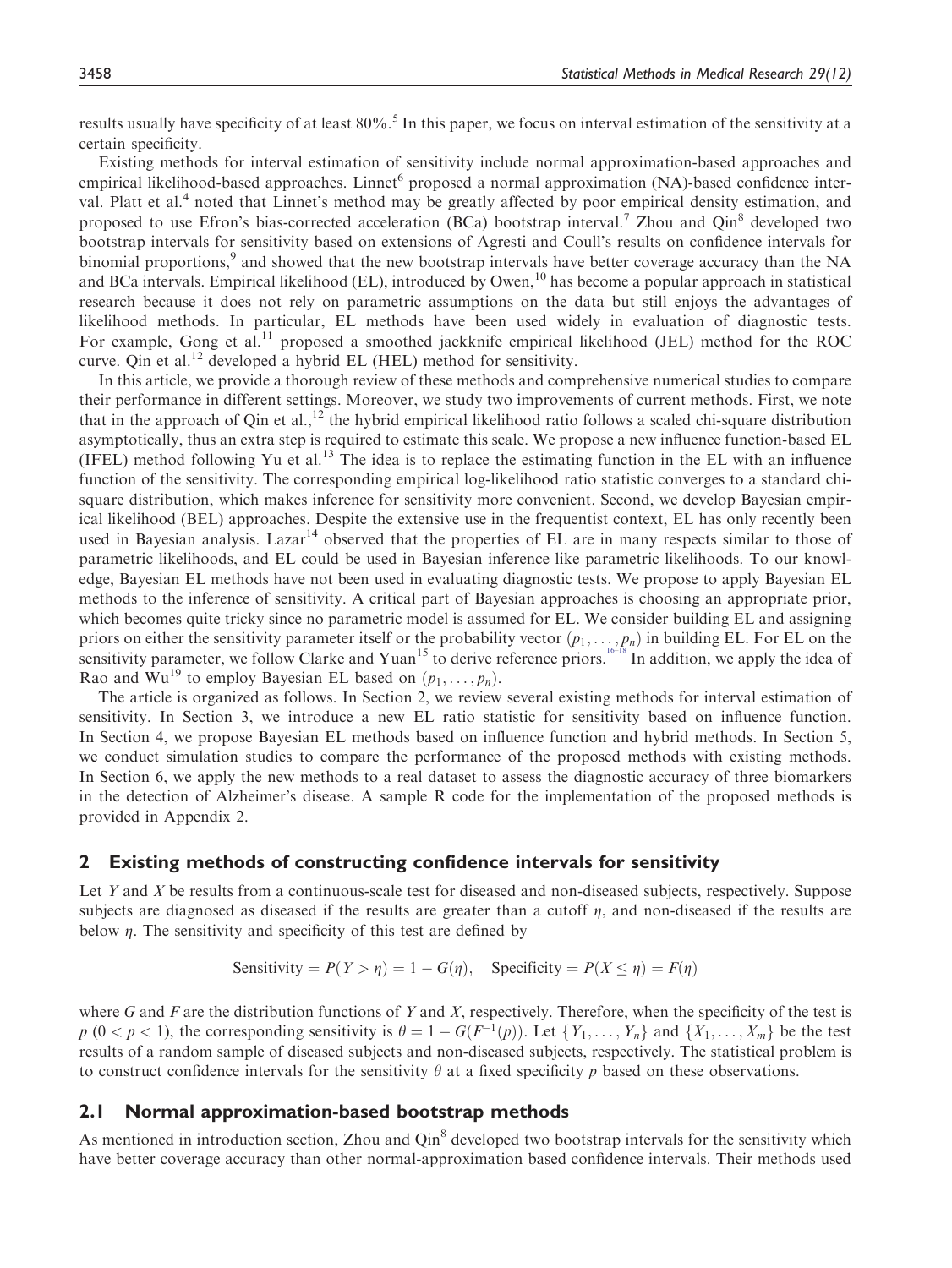results usually have specificity of at least 80%.<sup>5</sup> In this paper, we focus on interval estimation of the sensitivity at a certain specificity.

Existing methods for interval estimation of sensitivity include normal approximation-based approaches and empirical likelihood-based approaches. Linnet proposed a normal approximation (NA)-based confidence interval. Platt et al.<sup>4</sup> noted that Linnet's method may be greatly affected by poor empirical density estimation, and proposed to use Efron's bias-corrected acceleration (BCa) bootstrap interval.<sup>7</sup> Zhou and Qin<sup>8</sup> developed two bootstrap intervals for sensitivity based on extensions of Agresti and Coull's results on confidence intervals for binomial proportions,<sup>9</sup> and showed that the new bootstrap intervals have better coverage accuracy than the NA and BCa intervals. Empirical likelihood (EL), introduced by Owen,<sup>10</sup> has become a popular approach in statistical research because it does not rely on parametric assumptions on the data but still enjoys the advantages of likelihood methods. In particular, EL methods have been used widely in evaluation of diagnostic tests. For example, Gong et al.<sup>11</sup> proposed a smoothed jackknife empirical likelihood (JEL) method for the ROC curve. Oin et al.<sup>12</sup> developed a hybrid EL (HEL) method for sensitivity.

In this article, we provide a thorough review of these methods and comprehensive numerical studies to compare their performance in different settings. Moreover, we study two improvements of current methods. First, we note that in the approach of Qin et al.,<sup>12</sup> the hybrid empirical likelihood ratio follows a scaled chi-square distribution asymptotically, thus an extra step is required to estimate this scale. We propose a new influence function-based EL (IFEL) method following Yu et al.<sup>13</sup> The idea is to replace the estimating function in the EL with an influence function of the sensitivity. The corresponding empirical log-likelihood ratio statistic converges to a standard chisquare distribution, which makes inference for sensitivity more convenient. Second, we develop Bayesian empirical likelihood (BEL) approaches. Despite the extensive use in the frequentist context, EL has only recently been used in Bayesian analysis. Lazar<sup>14</sup> observed that the properties of EL are in many respects similar to those of parametric likelihoods, and EL could be used in Bayesian inference like parametric likelihoods. To our knowledge, Bayesian EL methods have not been used in evaluating diagnostic tests. We propose to apply Bayesian EL methods to the inference of sensitivity. A critical part of Bayesian approaches is choosing an appropriate prior, which becomes quite tricky since no parametric model is assumed for EL. We consider building EL and assigning priors on either the sensitivity parameter itself or the probability vector  $(p_1, \ldots, p_n)$  in building EL. For EL on the sensitivity parameter, we follow Clarke and Yuan<sup>15</sup> to derive reference priors.<sup>[16–18](#page-25-0)</sup> In addition, we apply the idea of Rao and Wu<sup>19</sup> to employ Bayesian EL based on  $(p_1, \ldots, p_n)$ .

The article is organized as follows. In Section 2, we review several existing methods for interval estimation of sensitivity. In Section 3, we introduce a new EL ratio statistic for sensitivity based on influence function. In Section 4, we propose Bayesian EL methods based on influence function and hybrid methods. In Section 5, we conduct simulation studies to compare the performance of the proposed methods with existing methods. In Section 6, we apply the new methods to a real dataset to assess the diagnostic accuracy of three biomarkers in the detection of Alzheimer's disease. A sample R code for the implementation of the proposed methods is provided in Appendix 2.

#### 2 Existing methods of constructing confidence intervals for sensitivity

Let Y and X be results from a continuous-scale test for diseased and non-diseased subjects, respectively. Suppose subjects are diagnosed as diseased if the results are greater than a cutoff  $\eta$ , and non-diseased if the results are below  $\eta$ . The sensitivity and specificity of this test are defined by

Sensitivity = 
$$
P(Y > \eta) = 1 - G(\eta)
$$
, Specificity =  $P(X \le \eta) = F(\eta)$ 

where G and F are the distribution functions of Y and X, respectively. Therefore, when the specificity of the test is  $p (0 < p < 1)$ , the corresponding sensitivity is  $\theta = 1 - G(F^{-1}(p))$ . Let  $\{Y_1, \ldots, Y_n\}$  and  $\{X_1, \ldots, X_m\}$  be the test results of a random sample of diseased subjects and non-diseased subjects, respectively. The statistical problem is to construct confidence intervals for the sensitivity  $\theta$  at a fixed specificity p based on these observations.

#### 2.1 Normal approximation-based bootstrap methods

As mentioned in introduction section, Zhou and Qin<sup>8</sup> developed two bootstrap intervals for the sensitivity which have better coverage accuracy than other normal-approximation based confidence intervals. Their methods used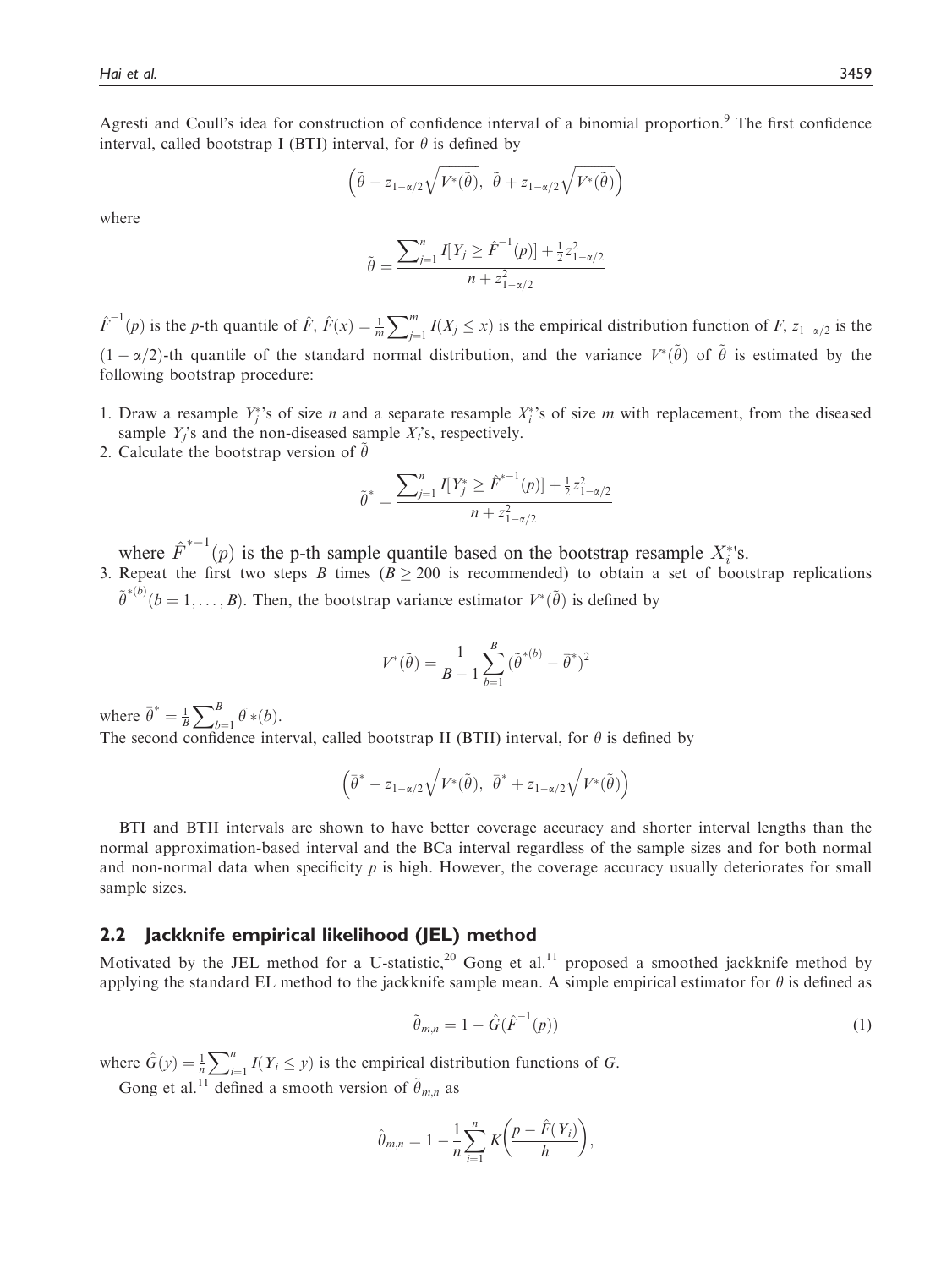Agresti and Coull's idea for construction of confidence interval of a binomial proportion.<sup>9</sup> The first confidence interval, called bootstrap I (BTI) interval, for  $\theta$  is defined by

$$
\left(\tilde{\theta} - z_{1-\alpha/2}\sqrt{V^*(\tilde{\theta})}, \ \tilde{\theta} + z_{1-\alpha/2}\sqrt{V^*(\tilde{\theta})}\right)
$$

where

$$
\tilde{\theta} = \frac{\sum_{j=1}^{n} I[Y_j \ge \hat{F}^{-1}(p)] + \frac{1}{2} z_{1-\alpha/2}^2}{n + z_{1-\alpha/2}^2}
$$

 $\hat{F}^{-1}(p)$  is the p-th quantile of  $\hat{F}$ ,  $\hat{F}(x) = \frac{1}{m} \sum_{j=1}^{m} I(X_j \le x)$  is the empirical distribution function of  $F$ ,  $z_{1-\alpha/2}$  is the  $(1 - \alpha/2)$ -th quantile of the standard normal distribution, and the variance  $V^*(\tilde{\theta})$  of  $\tilde{\theta}$  is estimated by the following bootstrap procedure: following bootstrap procedure:

- 1. Draw a resample  $Y_j^*$ 's of size *n* and a separate resample  $X_i^*$ 's of size *m* with replacement, from the diseased sample  $Y_i$ 's and the non-diseased sample  $X_i$ 's, respectively.
- 2. Calculate the bootstrap version of  $\hat{\theta}$

$$
\tilde{\theta}^* = \frac{\sum_{j=1}^n I[Y_j^* \geq \hat{F}^{*-1}(p)] + \frac{1}{2}z_{1-\alpha/2}^2}{n + z_{1-\alpha/2}^2}
$$

where  $\hat{F}^{*-1}(p)$  is the p-th sample quantile based on the bootstrap resample  $X_i^*$ 's.<br>Repeat the first two steps B times (B > 200 is recommended) to obtain a set of boot

3. Repeat the first two steps B times ( $B \ge 200$  is recommended) to obtain a set of bootstrap replications  $\tilde{\theta}$ \*(b)  $(b = 1, ..., B)$ . Then, the bootstrap variance estimator  $V^*(\tilde{\theta})$  is defined by

$$
V^*(\tilde{\theta}) = \frac{1}{B-1} \sum_{b=1}^{B} (\tilde{\theta}^{*(b)} - \tilde{\theta}^*)^2
$$

where  $\bar{\theta}^* = \frac{1}{B} \sum_{b=1}^B \bar{\theta}^*(b)$ .

The second confidence interval, called bootstrap II (BTII) interval, for  $\theta$  is defined by

$$
(\bar{\theta}^* - z_{1-\alpha/2}\sqrt{V^*(\tilde{\theta})}, \ \bar{\theta}^* + z_{1-\alpha/2}\sqrt{V^*(\tilde{\theta})})
$$

BTI and BTII intervals are shown to have better coverage accuracy and shorter interval lengths than the normal approximation-based interval and the BCa interval regardless of the sample sizes and for both normal and non-normal data when specificity  $p$  is high. However, the coverage accuracy usually deteriorates for small sample sizes.

## 2.2 Jackknife empirical likelihood (JEL) method

Motivated by the JEL method for a U-statistic,<sup>20</sup> Gong et al.<sup>11</sup> proposed a smoothed jackknife method by applying the standard EL method to the jackknife sample mean. A simple empirical estimator for  $\theta$  is defined as

$$
\tilde{\theta}_{m,n} = 1 - \hat{G}(\hat{F}^{-1}(p))
$$
\n(1)

where  $\hat{G}(y) = \frac{1}{n} \sum_{i=1}^{n} I(Y_i \leq y)$  is the empirical distribution functions of G.

Gong et al.<sup>11</sup> defined a smooth version of  $\tilde{\theta}_{m,n}$  as

$$
\hat{\theta}_{m,n} = 1 - \frac{1}{n} \sum_{i=1}^{n} K\bigg(\frac{p - \hat{F}(Y_i)}{h}\bigg),
$$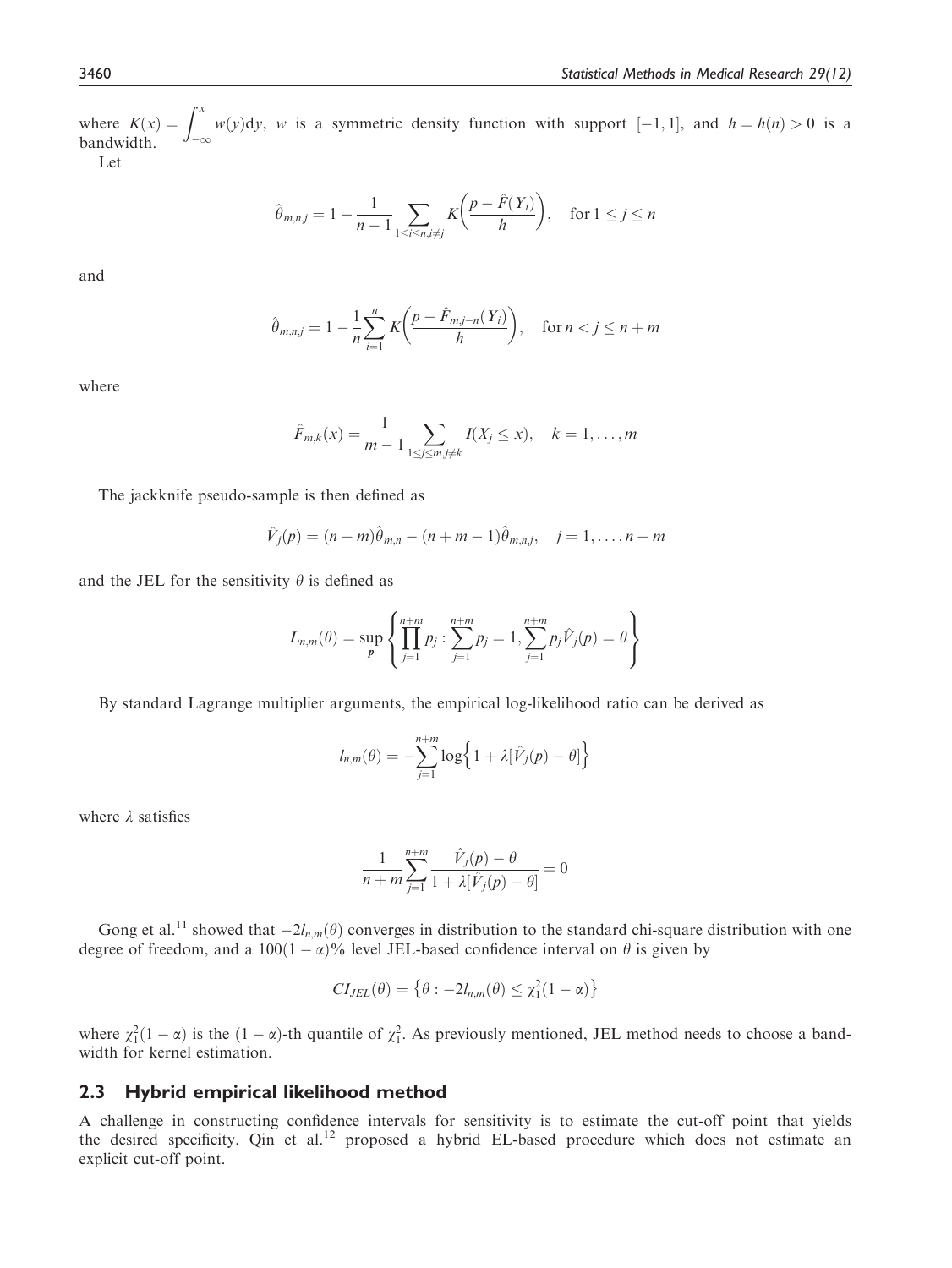where  $K(x) = \int_{-\infty}^{x} w(y) dy$ , w is a symmetric density function with support [-1,1], and  $h = h(n) > 0$  is a bandwidth. bandwidth.

Let

$$
\hat{\theta}_{m,n,j} = 1 - \frac{1}{n-1} \sum_{1 \le i \le n, i \ne j} K\bigg(\frac{p - \hat{F}(Y_i)}{h}\bigg), \quad \text{for } 1 \le j \le n
$$

and

$$
\hat{\theta}_{m,n,j} = 1 - \frac{1}{n} \sum_{i=1}^{n} K \left( \frac{p - \hat{F}_{m,j-n}(Y_i)}{h} \right), \quad \text{for } n < j \le n + m
$$

where

$$
\hat{F}_{m,k}(x) = \frac{1}{m-1} \sum_{1 \le j \le m, j \ne k} I(X_j \le x), \quad k = 1, ..., m
$$

The jackknife pseudo-sample is then defined as

$$
\hat{V}_j(p) = (n+m)\hat{\theta}_{m,n} - (n+m-1)\hat{\theta}_{m,n,j}, \quad j = 1, ..., n+m
$$

and the JEL for the sensitivity  $\theta$  is defined as

$$
L_{n,m}(\theta) = \sup_{p} \left\{ \prod_{j=1}^{n+m} p_j : \sum_{j=1}^{n+m} p_j = 1, \sum_{j=1}^{n+m} p_j \hat{V}_j(p) = \theta \right\}
$$

By standard Lagrange multiplier arguments, the empirical log-likelihood ratio can be derived as

$$
l_{n,m}(\theta) = -\sum_{j=1}^{n+m} \log \left\{ 1 + \lambda [\hat{V}_j(p) - \theta] \right\}
$$

where  $\lambda$  satisfies

$$
\frac{1}{n+m}\sum_{j=1}^{n+m}\frac{\hat{V}_j(p)-\theta}{1+\lambda[\hat{V}_j(p)-\theta]}=0
$$

Gong et al.<sup>11</sup> showed that  $-2l_{n,m}(\theta)$  converges in distribution to the standard chi-square distribution with one<br>gree of freedom, and a 100(1 –  $\alpha$ )% level JEL-based confidence interval on  $\theta$  is given by degree of freedom, and a  $100(1 - \alpha)\%$  level JEL-based confidence interval on  $\theta$  is given by

$$
CI_{JEL}(\theta) = \left\{\theta : -2l_{n,m}(\theta) \leq \chi_1^2(1-\alpha)\right\}
$$

where  $\chi_1^2(1-\alpha)$  is the  $(1-\alpha)$ -th quantile of  $\chi_1^2$ . As previously mentioned, JEL method needs to choose a band-<br>width for kernel estimation width for kernel estimation.

#### 2.3 Hybrid empirical likelihood method

A challenge in constructing confidence intervals for sensitivity is to estimate the cut-off point that yields the desired specificity. Qin et al.<sup>12</sup> proposed a hybrid EL-based procedure which does not estimate an explicit cut-off point.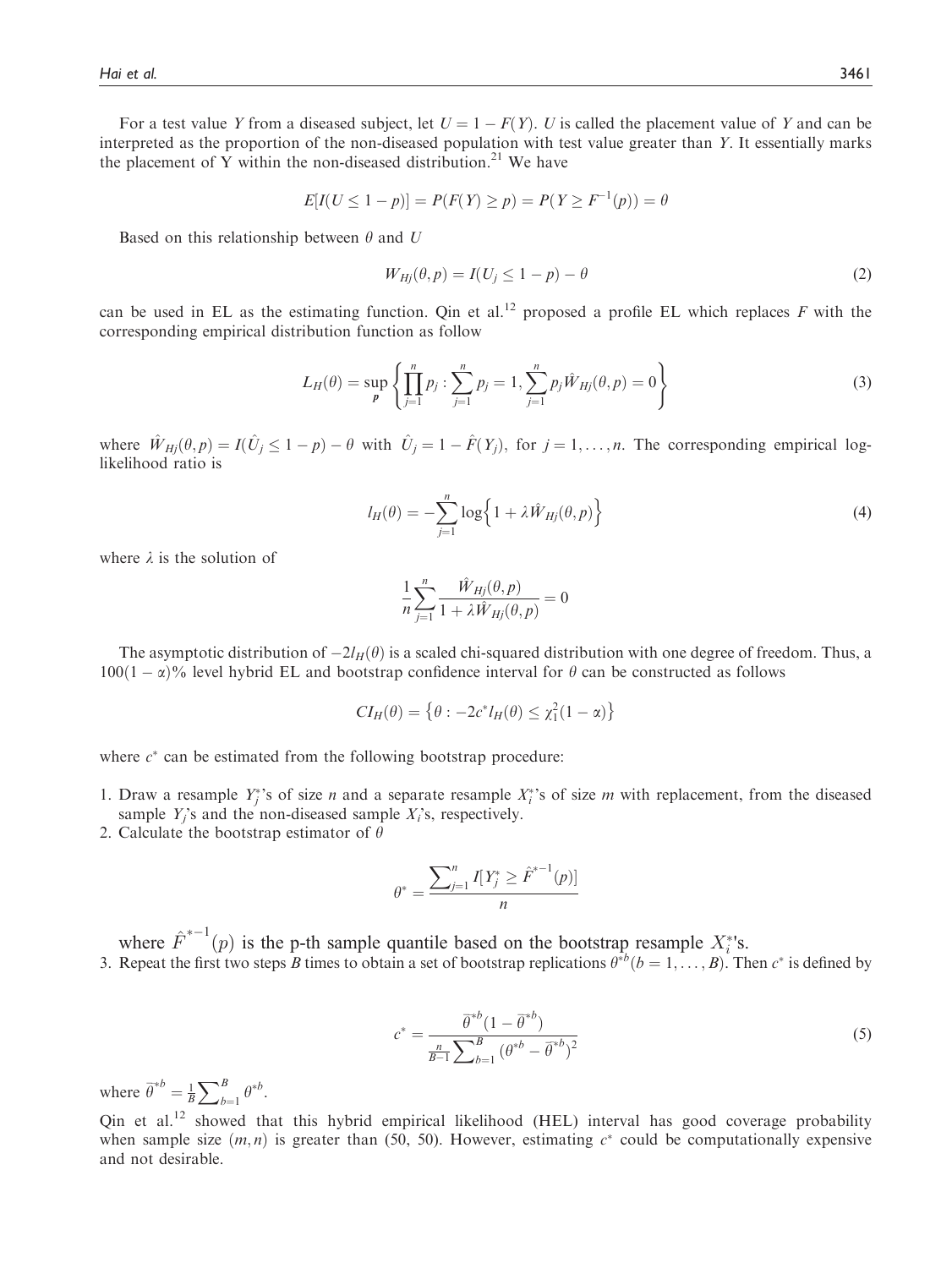For a test value Y from a diseased subject, let  $U = 1 - F(Y)$ . U is called the placement value of Y and can be<br>erpreted as the proportion of the non-diseased population with test value greater than Y. It essentially marks interpreted as the proportion of the non-diseased population with test value greater than Y. It essentially marks the placement of Y within the non-diseased distribution.<sup>21</sup> We have

$$
E[I(U \le 1 - p)] = P(F(Y) \ge p) = P(Y \ge F^{-1}(p)) = \theta
$$

Based on this relationship between  $\theta$  and U

$$
W_{Hj}(\theta, p) = I(U_j \le 1 - p) - \theta \tag{2}
$$

can be used in EL as the estimating function. Qin et al.<sup>12</sup> proposed a profile EL which replaces F with the corresponding empirical distribution function as follow

$$
L_H(\theta) = \sup_p \left\{ \prod_{j=1}^n p_j : \sum_{j=1}^n p_j = 1, \sum_{j=1}^n p_j \hat{W}_{Hj}(\theta, p) = 0 \right\}
$$
 (3)

where  $\hat{W}_{Hj}(\theta, p) = I(\hat{U}_j \le 1 - p) - \theta$  with  $\hat{U}_j = 1 - \hat{F}(Y_j)$ , for  $j = 1, ..., n$ . The corresponding empirical log-<br>likelihood ratio is likelihood ratio is

$$
l_H(\theta) = -\sum_{j=1}^n \log \left\{ 1 + \lambda \hat{W}_{Hj}(\theta, p) \right\} \tag{4}
$$

where  $\lambda$  is the solution of

$$
\frac{1}{n}\sum_{j=1}^{n}\frac{\hat{W}_{Hj}(\theta,p)}{1+\lambda\hat{W}_{Hj}(\theta,p)}=0
$$

The asymptotic distribution of  $-2I_H(\theta)$  is a scaled chi-squared distribution with one degree of freedom. Thus, a<br> $2(1 - x)\%$  level hybrid EL and bootstrap confidence interval for  $\theta$  can be constructed as follows  $100(1 - \alpha)\%$  level hybrid EL and bootstrap confidence interval for  $\theta$  can be constructed as follows

$$
CI_H(\theta) = \left\{\theta : -2c^*l_H(\theta) \leq \chi_1^2(1-\alpha)\right\}
$$

where  $c^*$  can be estimated from the following bootstrap procedure:

- 1. Draw a resample  $Y_j^*$ 's of size *n* and a separate resample  $X_i^*$ 's of size *m* with replacement, from the diseased sample  $Y_i$ 's and the non-diseased sample  $X_i$ 's, respectively.
- 2. Calculate the bootstrap estimator of  $\theta$

$$
\theta^* = \frac{\sum_{j=1}^n I[Y_j^* \geq \hat{F}^{*-1}(p)]}{n}
$$

where  $\hat{F}^{*-1}(p)$  is the p-th sample quantile based on the bootstrap resample  $X_i^*$ 's.<br>Repeat the first two steps B times to obtain a set of bootstrap replications  $\theta^{*b}(b = 1, ..., B)$ . Then 3. Repeat the first two steps B times to obtain a set of bootstrap replications  $\theta^{*b}$   $(b = 1, ..., B)$ . Then  $c^*$  is defined by

$$
c^* = \frac{\bar{\theta}^{*b} (1 - \bar{\theta}^{*b})}{\frac{n}{B-1} \sum_{b=1}^B (\theta^{*b} - \bar{\theta}^{*b})^2}
$$
(5)

where  $\bar{\theta}$  $\overline{\theta}^{*b} = \frac{1}{B} \sum_{b=1}^{B} \theta^{*b}.$ 

Qin et al.<sup>12</sup> showed that this hybrid empirical likelihood (HEL) interval has good coverage probability when sample size  $(m, n)$  is greater than (50, 50). However, estimating  $c^*$  could be computationally expensive and not desirable.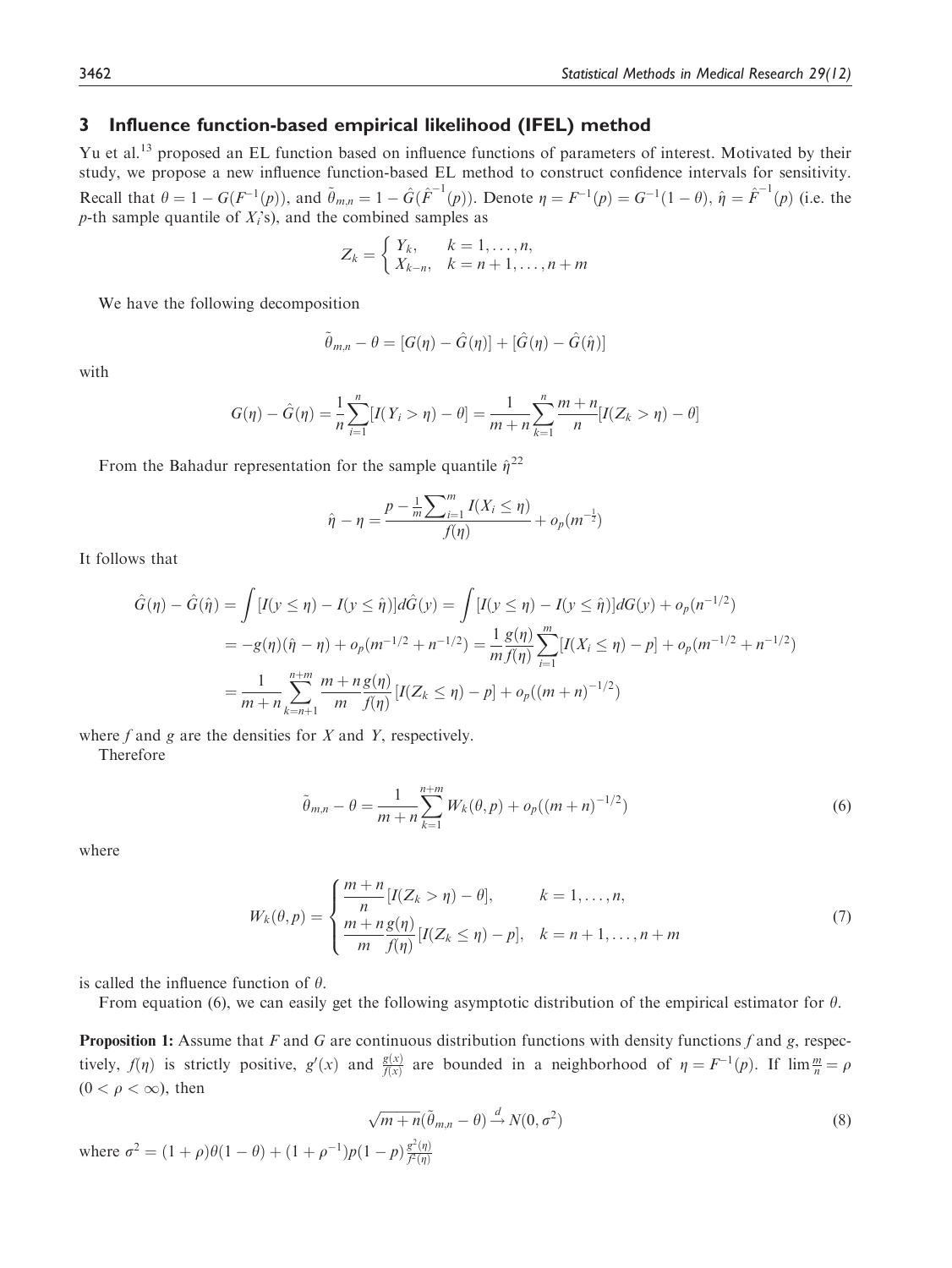## 3 Influence function-based empirical likelihood (IFEL) method

Yu et al.<sup>13</sup> proposed an EL function based on influence functions of parameters of interest. Motivated by their study, we propose a new influence function-based EL method to construct confidence intervals for sensitivity. Recall that  $\theta = 1 - G(F^{-1}(p))$ , and  $\tilde{\theta}_{m,n} = 1 - \hat{G}(\hat{F}^{-1}(p))$ . Denote  $\eta = F^{-1}(p) = G^{-1}(1 - \theta)$ ,  $\hat{\eta} = \hat{F}^{-1}(p)$  (i.e. the p-th sample quantile of  $X_i$ 's), and the combined samples as

$$
Z_k = \begin{cases} Y_k, & k = 1, \dots, n, \\ X_{k-n}, & k = n+1, \dots, n+m \end{cases}
$$

We have the following decomposition

$$
\tilde{\theta}_{m,n} - \theta = [G(\eta) - \hat{G}(\eta)] + [\hat{G}(\eta) - \hat{G}(\hat{\eta})]
$$

with

$$
G(\eta) - \hat{G}(\eta) = \frac{1}{n} \sum_{i=1}^{n} [I(Y_i > \eta) - \theta] = \frac{1}{m+n} \sum_{k=1}^{n} \frac{m+n}{n} [I(Z_k > \eta) - \theta]
$$

From the Bahadur representation for the sample quantile  $\hat{\eta}^{22}$ 

$$
\hat{\eta} - \eta = \frac{p - \frac{1}{m} \sum_{i=1}^{m} I(X_i \le \eta)}{f(\eta)} + o_p(m^{-\frac{1}{2}})
$$

It follows that

$$
\hat{G}(\eta) - \hat{G}(\hat{\eta}) = \int [I(y \le \eta) - I(y \le \hat{\eta})] d\hat{G}(y) = \int [I(y \le \eta) - I(y \le \hat{\eta})] dG(y) + o_p(n^{-1/2})
$$
  
\n
$$
= -g(\eta)(\hat{\eta} - \eta) + o_p(m^{-1/2} + n^{-1/2}) = \frac{1}{m} \frac{g(\eta)}{f(\eta)} \sum_{i=1}^{m} [I(X_i \le \eta) - p] + o_p(m^{-1/2} + n^{-1/2})
$$
  
\n
$$
= \frac{1}{m+n} \sum_{k=n+1}^{n+m} \frac{m+n}{m} \frac{g(\eta)}{f(\eta)} [I(Z_k \le \eta) - p] + o_p((m+n)^{-1/2})
$$

where  $f$  and  $g$  are the densities for  $X$  and  $Y$ , respectively.

Therefore

$$
\tilde{\theta}_{m,n} - \theta = \frac{1}{m+n} \sum_{k=1}^{n+m} W_k(\theta, p) + o_p((m+n)^{-1/2})
$$
\n(6)

where

$$
W_k(\theta, p) = \begin{cases} \frac{m+n}{n} [I(Z_k > \eta) - \theta], & k = 1, ..., n, \\ \frac{m+n}{n} \frac{g(\eta)}{f(\eta)} [I(Z_k \le \eta) - p], & k = n+1, ..., n+m \end{cases}
$$
(7)

is called the influence function of  $\theta$ .

From equation (6), we can easily get the following asymptotic distribution of the empirical estimator for  $\theta$ .

**Proposition 1:** Assume that F and G are continuous distribution functions with density functions f and g, respectively,  $f(\eta)$  is strictly positive,  $g'(x)$  and  $\frac{g(x)}{f(x)}$  are bounded in a neighborhood of  $\eta = F^{-1}(p)$ . If  $\lim_{n \to \infty} \frac{m}{n} = \rho$  $(0 < \rho < \infty)$ , then

$$
\sqrt{m+n}(\tilde{\theta}_{m,n}-\theta) \stackrel{d}{\rightarrow} N(0,\sigma^2)
$$
\n<sup>(8)</sup>

where  $\sigma^2 = (1 + \rho)\theta(1 - \theta) + (1 + \rho^{-1})p(1 - p)\frac{g^2(\eta)}{f^2(\eta)}$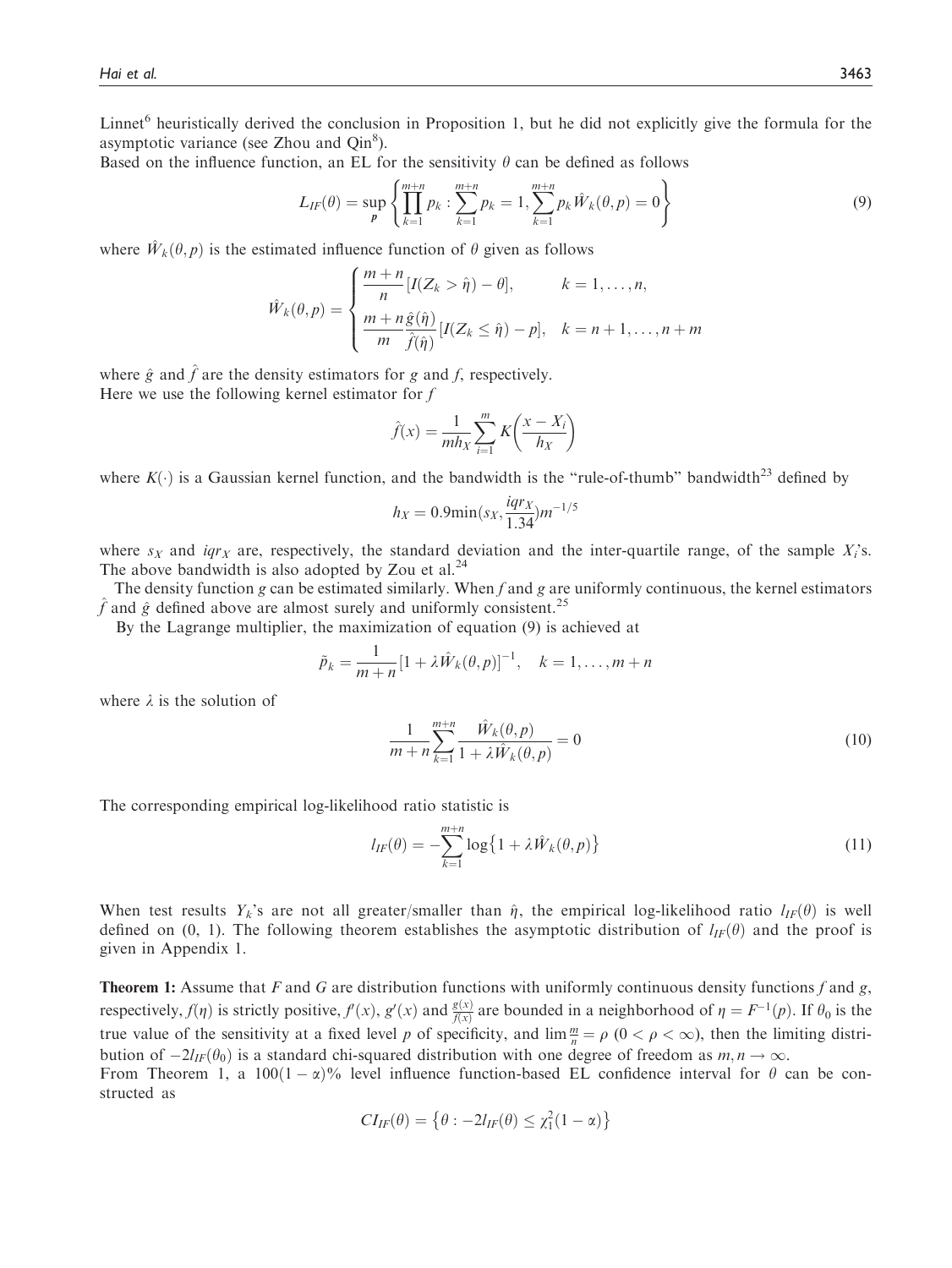Linnet<sup>6</sup> heuristically derived the conclusion in Proposition 1, but he did not explicitly give the formula for the asymptotic variance (see Zhou and  $Qin<sup>8</sup>$ ).

Based on the influence function, an EL for the sensitivity  $\theta$  can be defined as follows

$$
L_{IF}(\theta) = \sup_{p} \left\{ \prod_{k=1}^{m+n} p_k : \sum_{k=1}^{m+n} p_k = 1, \sum_{k=1}^{m+n} p_k \hat{W}_k(\theta, p) = 0 \right\}
$$
(9)

where  $\hat{W}_k(\theta, p)$  is the estimated influence function of  $\theta$  given as follows

$$
\hat{W}_k(\theta, p) = \begin{cases}\n\frac{m+n}{n} [I(Z_k > \hat{\eta}) - \theta], & k = 1, \dots, n, \\
\frac{m+n \hat{g}(\hat{\eta})}{m} [I(Z_k \le \hat{\eta}) - p], & k = n+1, \dots, n+m\n\end{cases}
$$

where  $\hat{g}$  and  $\hat{f}$  are the density estimators for g and f, respectively. Here we use the following kernel estimator for  $f$ 

$$
\hat{f}(x) = \frac{1}{mh_X} \sum_{i=1}^{m} K\left(\frac{x - X_i}{h_X}\right)
$$

where  $K(\cdot)$  is a Gaussian kernel function, and the bandwidth is the "rule-of-thumb" bandwidth<sup>23</sup> defined by

$$
h_X = 0.9 \min(s_X, \frac{iqr_X}{1.34}) m^{-1/5}
$$

where  $s_X$  and  $iqr_X$  are, respectively, the standard deviation and the inter-quartile range, of the sample  $X_i$ 's. The above bandwidth is also adopted by Zou et al. $^{24}$ 

The density function g can be estimated similarly. When f and g are uniformly continuous, the kernel estimators  $\hat{f}$  and  $\hat{g}$  defined above are almost surely and uniformly consistent.<sup>25</sup>

By the Lagrange multiplier, the maximization of equation (9) is achieved at

$$
\tilde{p}_k = \frac{1}{m+n} [1 + \lambda \hat{W}_k(\theta, p)]^{-1}, \quad k = 1, \dots, m+n
$$

where  $\lambda$  is the solution of

$$
\frac{1}{m+n} \sum_{k=1}^{m+n} \frac{\hat{W}_k(\theta, p)}{1 + \lambda \hat{W}_k(\theta, p)} = 0
$$
\n(10)

The corresponding empirical log-likelihood ratio statistic is

$$
l_{IF}(\theta) = -\sum_{k=1}^{m+n} \log\left\{1 + \lambda \hat{W}_k(\theta, p)\right\}
$$
\n(11)

When test results  $Y_k$ 's are not all greater/smaller than  $\hat{\eta}$ , the empirical log-likelihood ratio  $l_{IF}(\theta)$  is well defined on (0, 1). The following theorem establishes the asymptotic distribution of  $l_{IF}(\theta)$  and the proof is given in Appendix 1.

**Theorem 1:** Assume that F and G are distribution functions with uniformly continuous density functions f and g, respectively,  $f(\eta)$  is strictly positive,  $f(x)$ ,  $g'(x)$  and  $\frac{g(x)}{f(x)}$  are bounded in a neighborhood of  $\eta = F^{-1}(p)$ . If  $\theta_0$  is the true value of the sensitivity at a fixed level p of specificity, and  $\lim_{n \to \infty} \frac{m}{\rho} = \rho$  ( $0 < \rho < \infty$ ), then the limiting distribution of  $2L_{\alpha}(\theta_1)$  is a standard chi squared distribution with one degree of freedom bution of  $-2l_{IF}(\theta_0)$  is a standard chi-squared distribution with one degree of freedom as  $m, n \to \infty$ .<br>From Theorem 1, a 100(1 –  $\alpha$ )% level influence function-based EL confidence interval for  $\theta$ 

From Theorem 1, a  $100(1-\alpha)\%$  level influence function-based EL confidence interval for  $\theta$  can be constructed as structed as

$$
CI_{IF}(\theta) = \left\{\theta : -2I_{IF}(\theta) \leq \chi_1^2(1-\alpha)\right\}
$$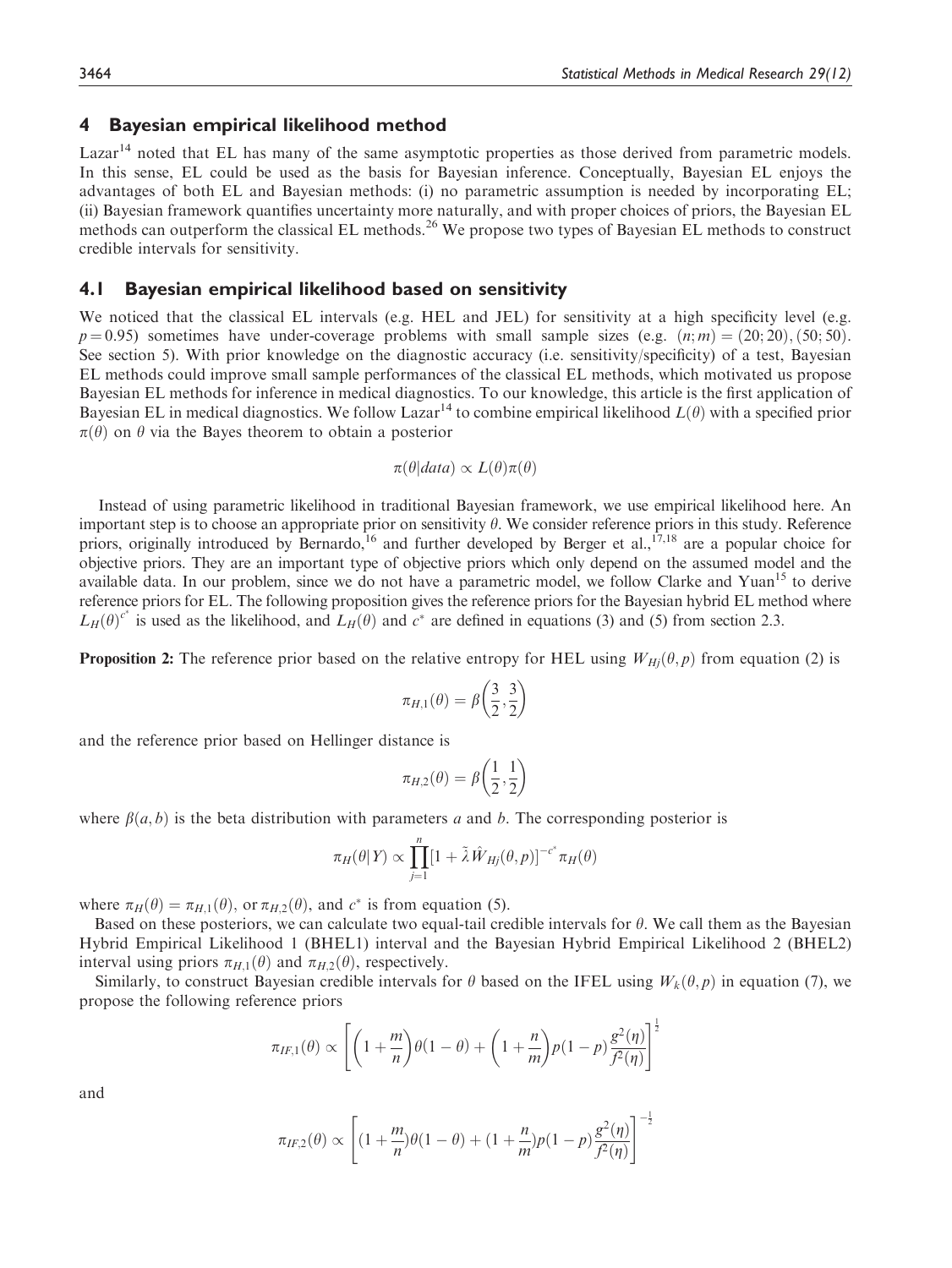## 4 Bayesian empirical likelihood method

 $Lazar<sup>14</sup>$  noted that EL has many of the same asymptotic properties as those derived from parametric models. In this sense, EL could be used as the basis for Bayesian inference. Conceptually, Bayesian EL enjoys the advantages of both EL and Bayesian methods: (i) no parametric assumption is needed by incorporating EL; (ii) Bayesian framework quantifies uncertainty more naturally, and with proper choices of priors, the Bayesian EL methods can outperform the classical EL methods.<sup>26</sup> We propose two types of Bayesian EL methods to construct credible intervals for sensitivity.

#### 4.1 Bayesian empirical likelihood based on sensitivity

We noticed that the classical EL intervals (e.g. HEL and JEL) for sensitivity at a high specificity level (e.g.  $p = 0.95$ ) sometimes have under-coverage problems with small sample sizes (e.g.  $(n; m) = (20; 20), (50; 50)$ . See section 5). With prior knowledge on the diagnostic accuracy (i.e. sensitivity/specificity) of a test, Bayesian EL methods could improve small sample performances of the classical EL methods, which motivated us propose Bayesian EL methods for inference in medical diagnostics. To our knowledge, this article is the first application of Bayesian EL in medical diagnostics. We follow Lazar<sup>14</sup> to combine empirical likelihood  $L(\theta)$  with a specified prior  $\pi(\theta)$  on  $\theta$  via the Bayes theorem to obtain a posterior

$$
\pi(\theta|data) \propto L(\theta)\pi(\theta)
$$

Instead of using parametric likelihood in traditional Bayesian framework, we use empirical likelihood here. An important step is to choose an appropriate prior on sensitivity  $\theta$ . We consider reference priors in this study. Reference priors, originally introduced by Bernardo,<sup>16</sup> and further developed by Berger et al.,<sup>17,18</sup> are a popular choice for objective priors. They are an important type of objective priors which only depend on the assumed model and the available data. In our problem, since we do not have a parametric model, we follow Clarke and Yuan<sup>15</sup> to derive reference priors for EL. The following proposition gives the reference priors for the Bayesian hybrid EL method where  $L_H(\theta)^{c^*}$  is used as the likelihood, and  $L_H(\theta)$  and  $c^*$  are defined in equations (3) and (5) from section 2.3.

**Proposition 2:** The reference prior based on the relative entropy for HEL using  $W_{Hi}(\theta, p)$  from equation (2) is

$$
\pi_{H,1}(\theta) = \beta \left(\frac{3}{2}, \frac{3}{2}\right)
$$

and the reference prior based on Hellinger distance is

$$
\pi_{H,2}(\theta) = \beta\left(\frac{1}{2},\frac{1}{2}\right)
$$

where  $\beta(a, b)$  is the beta distribution with parameters a and b. The corresponding posterior is

$$
\pi_H(\theta|Y) \propto \prod_{j=1}^n [1 + \tilde{\lambda} \hat{W}_{Hj}(\theta, p)]^{-c^*} \pi_H(\theta)
$$

where  $\pi_H(\theta) = \pi_{H,1}(\theta)$ , or  $\pi_{H,2}(\theta)$ , and  $c^*$  is from equation (5).

Based on these posteriors, we can calculate two equal-tail credible intervals for  $\theta$ . We call them as the Bayesian Hybrid Empirical Likelihood 1 (BHEL1) interval and the Bayesian Hybrid Empirical Likelihood 2 (BHEL2) interval using priors  $\pi_{H,1}(\theta)$  and  $\pi_{H,2}(\theta)$ , respectively.

Similarly, to construct Bayesian credible intervals for  $\theta$  based on the IFEL using  $W_k(\theta, p)$  in equation (7), we propose the following reference priors

$$
\pi_{IF,1}(\theta) \propto \left[ \left( 1 + \frac{m}{n} \right) \theta(1 - \theta) + \left( 1 + \frac{n}{m} \right) p(1 - p) \frac{g^2(\eta)}{f^2(\eta)} \right]^{\frac{1}{2}}
$$

and

$$
\pi_{IF,2}(\theta) \propto \left[ (1 + \frac{m}{n})\theta(1 - \theta) + (1 + \frac{n}{m})p(1 - p)\frac{g^2(\eta)}{f^2(\eta)} \right]^{-\frac{1}{2}}
$$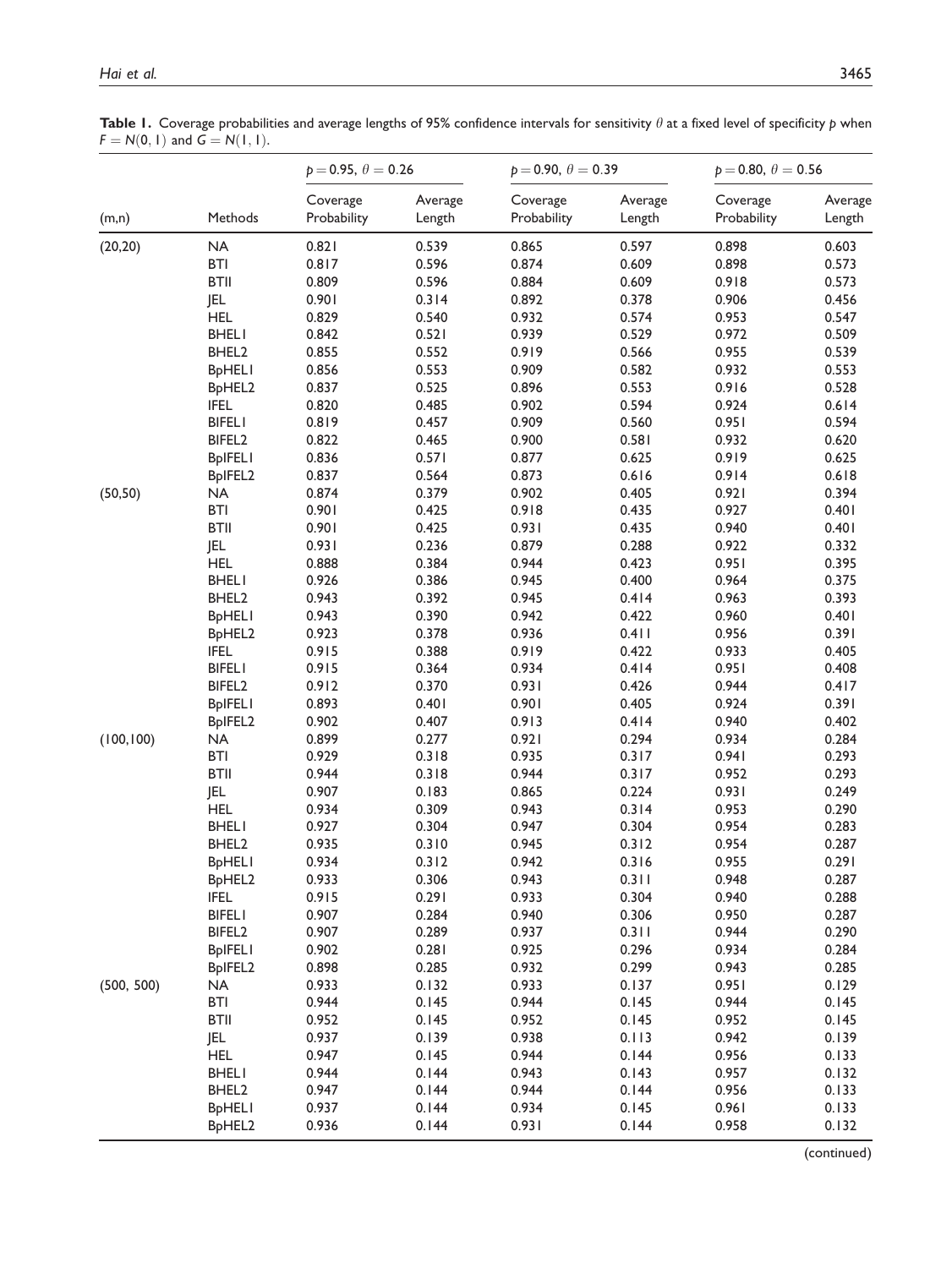Table 1. Coverage probabilities and average lengths of 95% confidence intervals for sensitivity  $\theta$  at a fixed level of specificity p when  $F = N(0, 1)$  and  $G = N(1, 1)$ .

|            |                                  | $p = 0.95, \theta = 0.26$ |                   | $p = 0.90, \theta = 0.39$ |                   | $p = 0.80, \theta = 0.56$ |                   |
|------------|----------------------------------|---------------------------|-------------------|---------------------------|-------------------|---------------------------|-------------------|
| (m,n)      | Methods                          | Coverage<br>Probability   | Average<br>Length | Coverage<br>Probability   | Average<br>Length | Coverage<br>Probability   | Average<br>Length |
| (20, 20)   | NA                               | 0.821                     | 0.539             | 0.865                     | 0.597             | 0.898                     | 0.603             |
|            | <b>BTI</b>                       | 0.817                     | 0.596             | 0.874                     | 0.609             | 0.898                     | 0.573             |
|            | <b>BTII</b>                      | 0.809                     | 0.596             | 0.884                     | 0.609             | 0.918                     | 0.573             |
|            | JEL                              | 0.901                     | 0.314             | 0.892                     | 0.378             | 0.906                     | 0.456             |
|            | <b>HEL</b>                       | 0.829                     | 0.540             | 0.932                     | 0.574             | 0.953                     | 0.547             |
|            | <b>BHELI</b>                     | 0.842                     | 0.521             | 0.939                     | 0.529             | 0.972                     | 0.509             |
|            | BHEL2                            | 0.855                     | 0.552             | 0.919                     | 0.566             | 0.955                     | 0.539             |
|            | <b>BpHELI</b>                    | 0.856                     | 0.553             | 0.909                     | 0.582             | 0.932                     | 0.553             |
|            | BpHEL2                           | 0.837                     | 0.525             | 0.896                     | 0.553             | 0.916                     | 0.528             |
|            | <b>IFEL</b>                      | 0.820                     | 0.485             | 0.902                     | 0.594             | 0.924                     | 0.614             |
|            | <b>BIFELI</b>                    | 0.819                     | 0.457             | 0.909                     | 0.560             | 0.951                     | 0.594             |
|            | BIFEL2                           | 0.822                     | 0.465             | 0.900                     | 0.581             | 0.932                     | 0.620             |
|            | <b>BpIFELI</b>                   | 0.836                     | 0.571             | 0.877                     | 0.625             | 0.919                     | 0.625             |
|            | BpIFEL2                          | 0.837                     | 0.564             | 0.873                     | 0.616             | 0.914                     | 0.618             |
| (50, 50)   | <b>NA</b>                        | 0.874                     | 0.379             | 0.902                     | 0.405             | 0.921                     | 0.394             |
|            | <b>BTI</b>                       | 0.901                     | 0.425             | 0.918                     | 0.435             | 0.927                     | 0.401             |
|            | <b>BTII</b>                      | 0.901                     | 0.425             | 0.931                     | 0.435             | 0.940                     | 0.401             |
|            | <b>JEL</b>                       | 0.931                     | 0.236             | 0.879                     | 0.288             | 0.922                     | 0.332             |
|            | <b>HEL</b>                       | 0.888                     | 0.384             | 0.944                     | 0.423             | 0.951                     | 0.395             |
|            | <b>BHELI</b>                     | 0.926                     | 0.386             | 0.945                     | 0.400             | 0.964                     | 0.375             |
|            | BHEL <sub>2</sub>                | 0.943                     | 0.392             | 0.945                     | 0.414             | 0.963                     | 0.393             |
|            | <b>BpHELI</b>                    | 0.943                     | 0.390             | 0.942                     | 0.422             | 0.960                     | 0.401             |
|            | B <sub>p</sub> HEL <sub>2</sub>  | 0.923                     | 0.378             | 0.936                     | 0.411             | 0.956                     | 0.391             |
|            | <b>IFEL</b>                      | 0.915                     | 0.388             | 0.919                     | 0.422             | 0.933                     | 0.405             |
|            | <b>BIFELI</b>                    | 0.915                     | 0.364             | 0.934                     | 0.414             | 0.951                     | 0.408             |
|            | BIFEL <sub>2</sub>               | 0.912                     | 0.370             | 0.931                     | 0.426             | 0.944                     | 0.417             |
|            | <b>BpIFELI</b>                   | 0.893                     | 0.401             | 0.901                     | 0.405             | 0.924                     | 0.391             |
|            | BpIFEL2                          | 0.902                     | 0.407             | 0.913                     | 0.414             | 0.940                     | 0.402             |
| (100, 100) | <b>NA</b>                        | 0.899                     | 0.277             | 0.921                     | 0.294             | 0.934                     | 0.284             |
|            | <b>BTI</b>                       | 0.929                     | 0.318             | 0.935                     | 0.317             | 0.941                     | 0.293             |
|            | <b>BTII</b>                      | 0.944                     | 0.318             | 0.944                     | 0.317             | 0.952                     | 0.293             |
|            | <b>JEL</b>                       | 0.907                     | 0.183             | 0.865                     | 0.224             | 0.931                     | 0.249             |
|            | <b>HEL</b>                       | 0.934                     | 0.309             | 0.943                     | 0.314             | 0.953                     | 0.290             |
|            | <b>BHELI</b>                     | 0.927                     | 0.304             | 0.947                     | 0.304             | 0.954                     | 0.283             |
|            | BHEL <sub>2</sub>                | 0.935                     | 0.310             | 0.945                     | 0.312             | 0.954                     | 0.287             |
|            | <b>BpHELI</b>                    | 0.934                     | 0.312             | 0.942                     | 0.316             | 0.955                     | 0.291             |
|            | BpHEL2                           | 0.933                     | 0.306             | 0.943                     | 0.311             | 0.948                     | 0.287             |
|            | <b>IFEL</b>                      | 0.915                     | 0.291             | 0.933                     | 0.304             | 0.940                     | 0.288             |
|            | <b>BIFELI</b>                    | 0.907                     | 0.284             | 0.940                     | 0.306             | 0.950                     | 0.287             |
|            | BIFEL <sub>2</sub>               | 0.907                     | 0.289             | 0.937                     | 0.311             | 0.944                     | 0.290             |
|            | <b>BpIFELI</b>                   | 0.902                     | 0.281             | 0.925                     | 0.296             | 0.934                     | 0.284             |
|            | B <sub>p</sub> IFEL <sub>2</sub> | 0.898                     | 0.285             | 0.932                     | 0.299             | 0.943                     | 0.285             |
| (500, 500) | <b>NA</b>                        | 0.933                     | 0.132             | 0.933                     | 0.137             | 0.951                     | 0.129             |
|            | <b>BTI</b>                       | 0.944                     | 0.145             | 0.944                     | 0.145             | 0.944                     | 0.145             |
|            | <b>BTII</b>                      | 0.952                     | 0.145             | 0.952                     | 0.145             | 0.952                     | 0.145             |
|            | JEL                              | 0.937                     | 0.139             | 0.938                     | 0.113             | 0.942                     | 0.139             |
|            | <b>HEL</b>                       | 0.947                     | 0.145             | 0.944                     | 0.144             | 0.956                     | 0.133             |
|            | <b>BHELI</b>                     | 0.944                     | 0.144             | 0.943                     | 0.143             | 0.957                     | 0.132             |
|            | BHEL <sub>2</sub>                | 0.947                     | 0.144             | 0.944                     | 0.144             | 0.956                     | 0.133             |
|            | <b>BpHELI</b>                    | 0.937                     | 0.144             | 0.934                     | 0.145             | 0.961                     | 0.133             |
|            | BpHEL2                           | 0.936                     | 0.144             | 0.931                     | 0.144             | 0.958                     | 0.132             |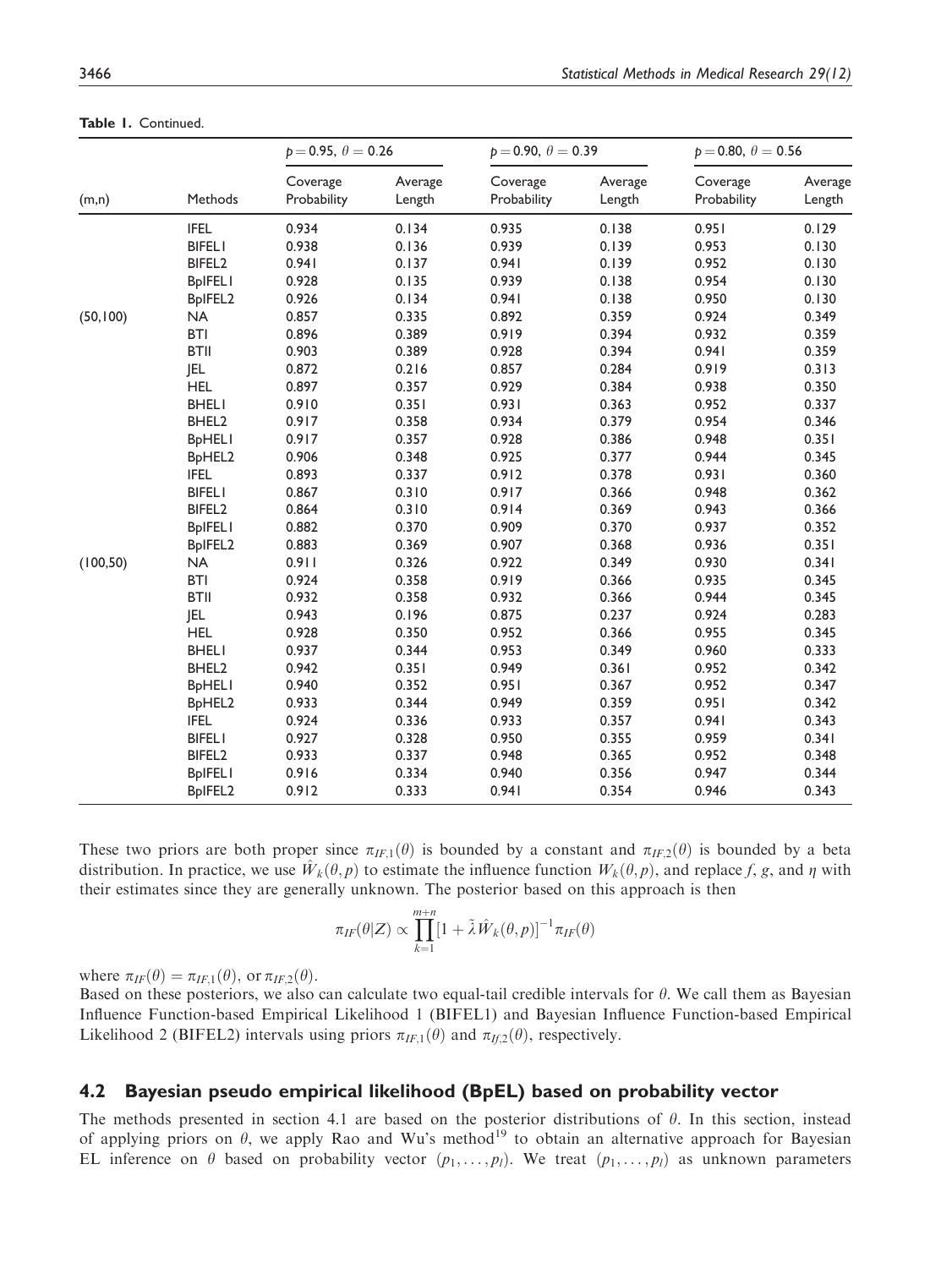|           |                                 | $p = 0.95, \theta = 0.26$ |                   | $p = 0.90, \theta = 0.39$ |                   | $p = 0.80, \theta = 0.56$ |                   |
|-----------|---------------------------------|---------------------------|-------------------|---------------------------|-------------------|---------------------------|-------------------|
| (m,n)     | Methods                         | Coverage<br>Probability   | Average<br>Length | Coverage<br>Probability   | Average<br>Length | Coverage<br>Probability   | Average<br>Length |
|           | <b>IFEL</b>                     | 0.934                     | 0.134             | 0.935                     | 0.138             | 0.951                     | 0.129             |
|           | <b>BIFELI</b>                   | 0.938                     | 0.136             | 0.939                     | 0.139             | 0.953                     | 0.130             |
|           | BIFEL <sub>2</sub>              | 0.941                     | 0.137             | 0.941                     | 0.139             | 0.952                     | 0.130             |
|           | <b>BpIFELI</b>                  | 0.928                     | 0.135             | 0.939                     | 0.138             | 0.954                     | 0.130             |
|           | BpIFEL2                         | 0.926                     | 0.134             | 0.941                     | 0.138             | 0.950                     | 0.130             |
| (50, 100) | <b>NA</b>                       | 0.857                     | 0.335             | 0.892                     | 0.359             | 0.924                     | 0.349             |
|           | <b>BTI</b>                      | 0.896                     | 0.389             | 0.919                     | 0.394             | 0.932                     | 0.359             |
|           | <b>BTII</b>                     | 0.903                     | 0.389             | 0.928                     | 0.394             | 0.941                     | 0.359             |
|           | JEL                             | 0.872                     | 0.216             | 0.857                     | 0.284             | 0.919                     | 0.313             |
|           | <b>HEL</b>                      | 0.897                     | 0.357             | 0.929                     | 0.384             | 0.938                     | 0.350             |
|           | <b>BHELI</b>                    | 0.910                     | 0.351             | 0.931                     | 0.363             | 0.952                     | 0.337             |
|           | BHEL2                           | 0.917                     | 0.358             | 0.934                     | 0.379             | 0.954                     | 0.346             |
|           | <b>BpHELI</b>                   | 0.917                     | 0.357             | 0.928                     | 0.386             | 0.948                     | 0.351             |
|           | BpHEL2                          | 0.906                     | 0.348             | 0.925                     | 0.377             | 0.944                     | 0.345             |
|           | <b>IFEL</b>                     | 0.893                     | 0.337             | 0.912                     | 0.378             | 0.931                     | 0.360             |
|           | <b>BIFELI</b>                   | 0.867                     | 0.310             | 0.917                     | 0.366             | 0.948                     | 0.362             |
|           | BIFEL <sub>2</sub>              | 0.864                     | 0.310             | 0.914                     | 0.369             | 0.943                     | 0.366             |
|           | <b>BpIFELI</b>                  | 0.882                     | 0.370             | 0.909                     | 0.370             | 0.937                     | 0.352             |
|           | BpIFEL2                         | 0.883                     | 0.369             | 0.907                     | 0.368             | 0.936                     | 0.351             |
| (100, 50) | <b>NA</b>                       | 0.911                     | 0.326             | 0.922                     | 0.349             | 0.930                     | 0.341             |
|           | <b>BTI</b>                      | 0.924                     | 0.358             | 0.919                     | 0.366             | 0.935                     | 0.345             |
|           | <b>BTII</b>                     | 0.932                     | 0.358             | 0.932                     | 0.366             | 0.944                     | 0.345             |
|           | <b>JEL</b>                      | 0.943                     | 0.196             | 0.875                     | 0.237             | 0.924                     | 0.283             |
|           | <b>HEL</b>                      | 0.928                     | 0.350             | 0.952                     | 0.366             | 0.955                     | 0.345             |
|           | <b>BHELI</b>                    | 0.937                     | 0.344             | 0.953                     | 0.349             | 0.960                     | 0.333             |
|           | BHEL2                           | 0.942                     | 0.351             | 0.949                     | 0.361             | 0.952                     | 0.342             |
|           | <b>BpHELI</b>                   | 0.940                     | 0.352             | 0.951                     | 0.367             | 0.952                     | 0.347             |
|           | B <sub>p</sub> HEL <sub>2</sub> | 0.933                     | 0.344             | 0.949                     | 0.359             | 0.951                     | 0.342             |
|           | <b>IFEL</b>                     | 0.924                     | 0.336             | 0.933                     | 0.357             | 0.941                     | 0.343             |
|           | <b>BIFELI</b>                   | 0.927                     | 0.328             | 0.950                     | 0.355             | 0.959                     | 0.341             |
|           | BIFEL <sub>2</sub>              | 0.933                     | 0.337             | 0.948                     | 0.365             | 0.952                     | 0.348             |
|           | <b>BpIFELI</b>                  | 0.916                     | 0.334             | 0.940                     | 0.356             | 0.947                     | 0.344             |
|           | BpIFEL2                         | 0.912                     | 0.333             | 0.941                     | 0.354             | 0.946                     | 0.343             |

Table 1. Continued.

These two priors are both proper since  $\pi_{IF,1}(\theta)$  is bounded by a constant and  $\pi_{IF,2}(\theta)$  is bounded by a beta distribution. In practice, we use  $\hat{W}_k(\theta, p)$  to estimate the influence function  $W_k(\theta, p)$ , and replace f, g, and  $\eta$  with their estimates since they are generally unknown. The posterior based on this approach is then

$$
\pi_{IF}(\theta|Z) \propto \prod_{k=1}^{m+n} [1 + \tilde{\lambda} \hat{W}_k(\theta, p)]^{-1} \pi_{IF}(\theta)
$$

where  $\pi_{IF}(\theta) = \pi_{IF,1}(\theta)$ , or  $\pi_{IF,2}(\theta)$ .

Based on these posteriors, we also can calculate two equal-tail credible intervals for  $\theta$ . We call them as Bayesian Influence Function-based Empirical Likelihood 1 (BIFEL1) and Bayesian Influence Function-based Empirical Likelihood 2 (BIFEL2) intervals using priors  $\pi_{IF,1}(\theta)$  and  $\pi_{IF,2}(\theta)$ , respectively.

#### 4.2 Bayesian pseudo empirical likelihood (BpEL) based on probability vector

The methods presented in section 4.1 are based on the posterior distributions of  $\theta$ . In this section, instead of applying priors on  $\theta$ , we apply Rao and Wu's method<sup>19</sup> to obtain an alternative approach for Bayesian EL inference on  $\theta$  based on probability vector  $(p_1, \ldots, p_l)$ . We treat  $(p_1, \ldots, p_l)$  as unknown parameters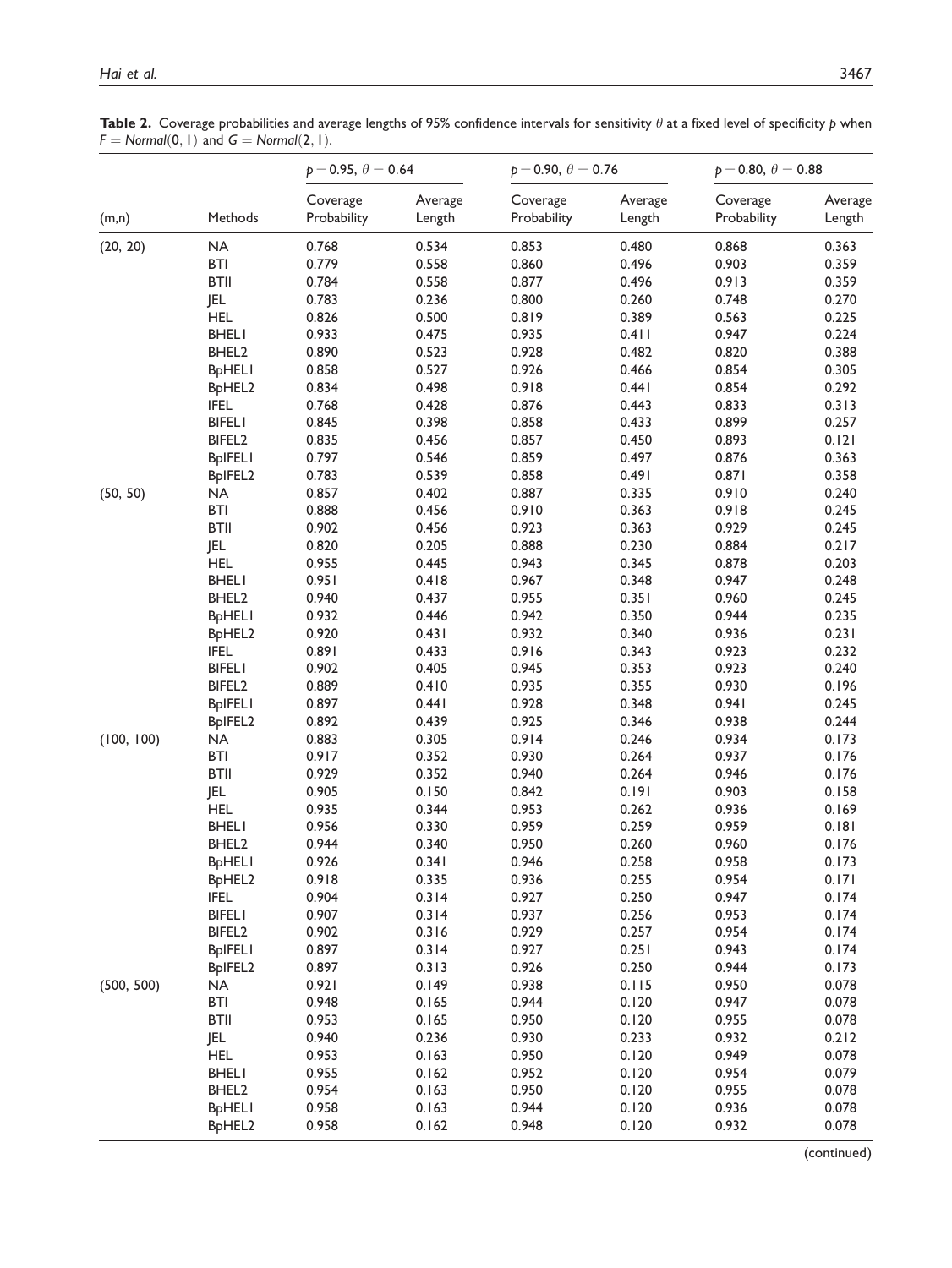Table 2. Coverage probabilities and average lengths of 95% confidence intervals for sensitivity  $\theta$  at a fixed level of specificity  $p$  when  $F = Normal(0, 1)$  and  $G = Normal(2, 1)$ .

|            |                                 | $p = 0.95, \theta = 0.64$ |                   | $p = 0.90, \theta = 0.76$ |                   | $p = 0.80, \theta = 0.88$ |                   |
|------------|---------------------------------|---------------------------|-------------------|---------------------------|-------------------|---------------------------|-------------------|
| (m,n)      | Methods                         | Coverage<br>Probability   | Average<br>Length | Coverage<br>Probability   | Average<br>Length | Coverage<br>Probability   | Average<br>Length |
| (20, 20)   | <b>NA</b>                       | 0.768                     | 0.534             | 0.853                     | 0.480             | 0.868                     | 0.363             |
|            | <b>BTI</b>                      | 0.779                     | 0.558             | 0.860                     | 0.496             | 0.903                     | 0.359             |
|            | <b>BTII</b>                     | 0.784                     | 0.558             | 0.877                     | 0.496             | 0.913                     | 0.359             |
|            | JEL                             | 0.783                     | 0.236             | 0.800                     | 0.260             | 0.748                     | 0.270             |
|            | <b>HEL</b>                      | 0.826                     | 0.500             | 0.819                     | 0.389             | 0.563                     | 0.225             |
|            | <b>BHELI</b>                    | 0.933                     | 0.475             | 0.935                     | 0.411             | 0.947                     | 0.224             |
|            | BHEL <sub>2</sub>               | 0.890                     | 0.523             | 0.928                     | 0.482             | 0.820                     | 0.388             |
|            | <b>BpHELI</b>                   | 0.858                     | 0.527             | 0.926                     | 0.466             | 0.854                     | 0.305             |
|            | BpHEL2                          | 0.834                     | 0.498             | 0.918                     | 0.441             | 0.854                     | 0.292             |
|            | <b>IFEL</b>                     | 0.768                     | 0.428             | 0.876                     | 0.443             | 0.833                     | 0.313             |
|            | <b>BIFELI</b>                   | 0.845                     | 0.398             | 0.858                     | 0.433             | 0.899                     | 0.257             |
|            | BIFEL <sub>2</sub>              | 0.835                     | 0.456             | 0.857                     | 0.450             | 0.893                     | 0.121             |
|            | <b>BpIFELI</b>                  | 0.797                     | 0.546             | 0.859                     | 0.497             | 0.876                     | 0.363             |
|            | BpIFEL2                         | 0.783                     | 0.539             | 0.858                     | 0.491             | 0.871                     | 0.358             |
| (50, 50)   | <b>NA</b>                       | 0.857                     | 0.402             | 0.887                     | 0.335             | 0.910                     | 0.240             |
|            | <b>BTI</b>                      | 0.888                     | 0.456             | 0.910                     | 0.363             | 0.918                     | 0.245             |
|            | <b>BTII</b>                     | 0.902                     | 0.456             | 0.923                     | 0.363             | 0.929                     | 0.245             |
|            | <b>JEL</b>                      | 0.820                     | 0.205             | 0.888                     | 0.230             | 0.884                     | 0.217             |
|            | <b>HEL</b>                      | 0.955                     | 0.445             | 0.943                     | 0.345             | 0.878                     | 0.203             |
|            | <b>BHELI</b>                    | 0.951                     | 0.418             | 0.967                     | 0.348             | 0.947                     | 0.248             |
|            | BHEL <sub>2</sub>               | 0.940                     | 0.437             | 0.955                     | 0.351             | 0.960                     | 0.245             |
|            |                                 | 0.932                     | 0.446             | 0.942                     | 0.350             | 0.944                     | 0.235             |
|            | <b>BpHELI</b>                   |                           |                   | 0.932                     |                   |                           |                   |
|            | B <sub>p</sub> HEL <sub>2</sub> | 0.920                     | 0.431             |                           | 0.340             | 0.936                     | 0.231             |
|            | <b>IFEL</b>                     | 0.891                     | 0.433             | 0.916                     | 0.343             | 0.923                     | 0.232             |
|            | <b>BIFELI</b>                   | 0.902                     | 0.405             | 0.945                     | 0.353             | 0.923                     | 0.240             |
|            | BIFEL <sub>2</sub>              | 0.889                     | 0.410             | 0.935                     | 0.355             | 0.930                     | 0.196             |
|            | <b>BpIFELI</b>                  | 0.897                     | 0.441             | 0.928                     | 0.348             | 0.941                     | 0.245             |
|            | BpIFEL2                         | 0.892                     | 0.439             | 0.925                     | 0.346             | 0.938                     | 0.244             |
| (100, 100) | NA                              | 0.883                     | 0.305             | 0.914                     | 0.246             | 0.934                     | 0.173             |
|            | <b>BTI</b>                      | 0.917                     | 0.352             | 0.930                     | 0.264             | 0.937                     | 0.176             |
|            | <b>BTII</b>                     | 0.929                     | 0.352             | 0.940                     | 0.264             | 0.946                     | 0.176             |
|            | <b>JEL</b>                      | 0.905                     | 0.150             | 0.842                     | 0.191             | 0.903                     | 0.158             |
|            | <b>HEL</b>                      | 0.935                     | 0.344             | 0.953                     | 0.262             | 0.936                     | 0.169             |
|            | <b>BHELI</b>                    | 0.956                     | 0.330             | 0.959                     | 0.259             | 0.959                     | 0.181             |
|            | BHEL <sub>2</sub>               | 0.944                     | 0.340             | 0.950                     | 0.260             | 0.960                     | 0.176             |
|            | <b>BpHELI</b>                   | 0.926                     | 0.341             | 0.946                     | 0.258             | 0.958                     | 0.173             |
|            | BpHEL2                          | 0.918                     | 0.335             | 0.936                     | 0.255             | 0.954                     | 0.171             |
|            | <b>IFEL</b>                     | 0.904                     | 0.314             | 0.927                     | 0.250             | 0.947                     | 0.174             |
|            | <b>BIFELI</b>                   | 0.907                     | 0.314             | 0.937                     | 0.256             | 0.953                     | 0.174             |
|            | BIFEL <sub>2</sub>              | 0.902                     | 0.316             | 0.929                     | 0.257             | 0.954                     | 0.174             |
|            | <b>BpIFELI</b>                  | 0.897                     | 0.314             | 0.927                     | 0.251             | 0.943                     | 0.174             |
|            | BpIFEL2                         | 0.897                     | 0.313             | 0.926                     | 0.250             | 0.944                     | 0.173             |
| (500, 500) | <b>NA</b>                       | 0.921                     | 0.149             | 0.938                     | 0.115             | 0.950                     | 0.078             |
|            | <b>BTI</b>                      | 0.948                     | 0.165             | 0.944                     | 0.120             | 0.947                     | 0.078             |
|            | <b>BTII</b>                     | 0.953                     | 0.165             | 0.950                     | 0.120             | 0.955                     | 0.078             |
|            | JEL                             | 0.940                     | 0.236             | 0.930                     | 0.233             | 0.932                     | 0.212             |
|            | <b>HEL</b>                      | 0.953                     | 0.163             | 0.950                     | 0.120             | 0.949                     | 0.078             |
|            | <b>BHELI</b>                    | 0.955                     | 0.162             | 0.952                     | 0.120             | 0.954                     | 0.079             |
|            | BHEL <sub>2</sub>               | 0.954                     | 0.163             | 0.950                     | 0.120             | 0.955                     | 0.078             |
|            | <b>BpHELI</b>                   | 0.958                     | 0.163             | 0.944                     | 0.120             | 0.936                     | 0.078             |
|            | BpHEL2                          | 0.958                     | 0.162             | 0.948                     | 0.120             | 0.932                     | 0.078             |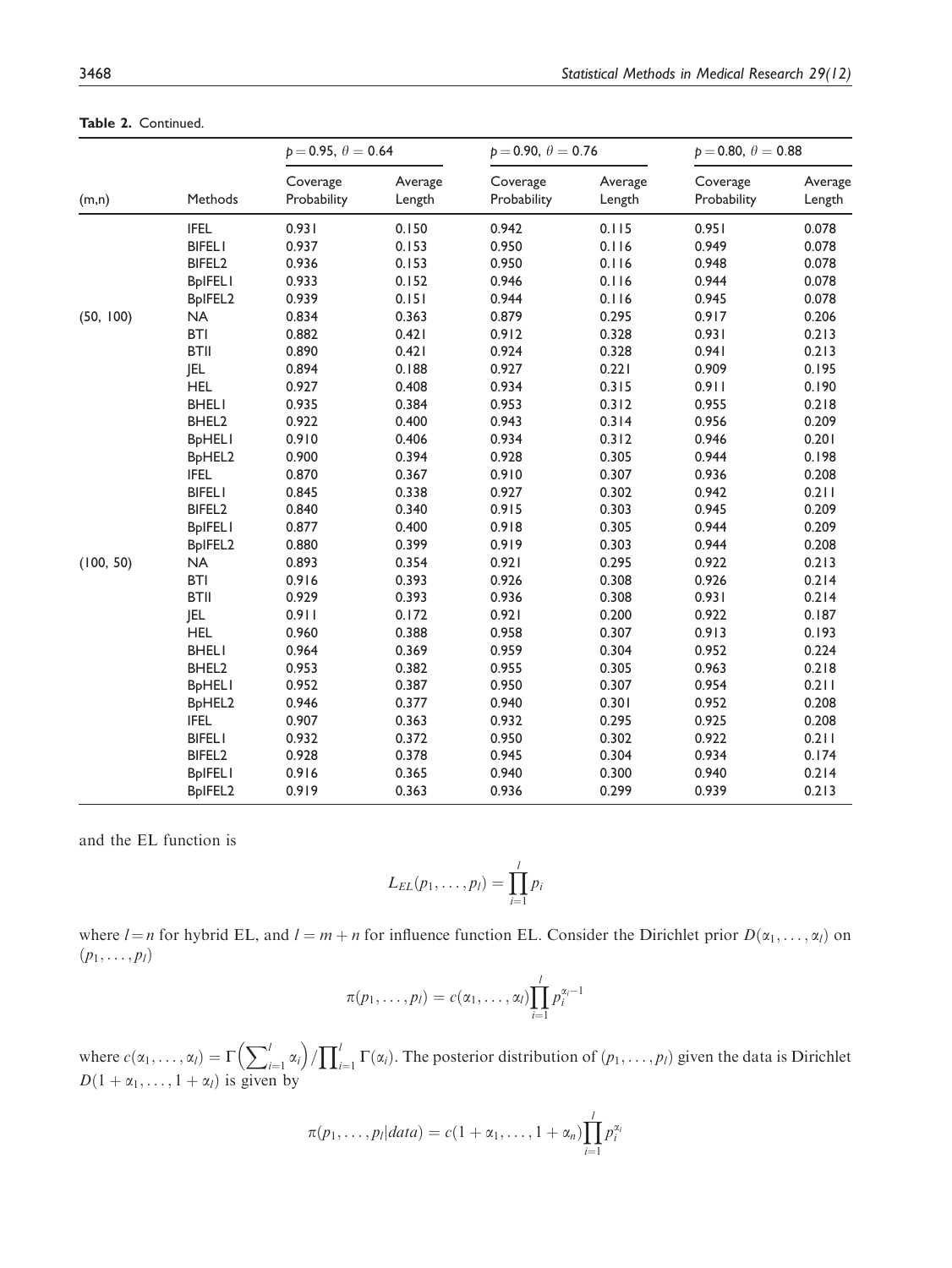|           |                                 | $p = 0.95, \theta = 0.64$ |                   | $p = 0.90, \theta = 0.76$ |                   | $p = 0.80, \theta = 0.88$ |                   |
|-----------|---------------------------------|---------------------------|-------------------|---------------------------|-------------------|---------------------------|-------------------|
| (m,n)     | Methods                         | Coverage<br>Probability   | Average<br>Length | Coverage<br>Probability   | Average<br>Length | Coverage<br>Probability   | Average<br>Length |
|           | <b>IFEL</b>                     | 0.931                     | 0.150             | 0.942                     | 0.115             | 0.951                     | 0.078             |
|           | <b>BIFELI</b>                   | 0.937                     | 0.153             | 0.950                     | 0.116             | 0.949                     | 0.078             |
|           | BIFEL <sub>2</sub>              | 0.936                     | 0.153             | 0.950                     | 0.116             | 0.948                     | 0.078             |
|           | <b>BpIFELI</b>                  | 0.933                     | 0.152             | 0.946                     | 0.116             | 0.944                     | 0.078             |
|           | BpIFEL2                         | 0.939                     | 0.151             | 0.944                     | 0.116             | 0.945                     | 0.078             |
| (50, 100) | <b>NA</b>                       | 0.834                     | 0.363             | 0.879                     | 0.295             | 0.917                     | 0.206             |
|           | <b>BTI</b>                      | 0.882                     | 0.421             | 0.912                     | 0.328             | 0.931                     | 0.213             |
|           | <b>BTII</b>                     | 0.890                     | 0.421             | 0.924                     | 0.328             | 0.941                     | 0.213             |
|           | <b>JEL</b>                      | 0.894                     | 0.188             | 0.927                     | 0.221             | 0.909                     | 0.195             |
|           | <b>HEL</b>                      | 0.927                     | 0.408             | 0.934                     | 0.315             | 0.911                     | 0.190             |
|           | <b>BHELI</b>                    | 0.935                     | 0.384             | 0.953                     | 0.312             | 0.955                     | 0.218             |
|           | BHEL2                           | 0.922                     | 0.400             | 0.943                     | 0.314             | 0.956                     | 0.209             |
|           | <b>BpHELI</b>                   | 0.910                     | 0.406             | 0.934                     | 0.312             | 0.946                     | 0.201             |
|           | B <sub>p</sub> HEL <sub>2</sub> | 0.900                     | 0.394             | 0.928                     | 0.305             | 0.944                     | 0.198             |
|           | <b>IFEL</b>                     | 0.870                     | 0.367             | 0.910                     | 0.307             | 0.936                     | 0.208             |
|           | <b>BIFELI</b>                   | 0.845                     | 0.338             | 0.927                     | 0.302             | 0.942                     | 0.211             |
|           | BIFEL <sub>2</sub>              | 0.840                     | 0.340             | 0.915                     | 0.303             | 0.945                     | 0.209             |
|           | <b>BpIFELI</b>                  | 0.877                     | 0.400             | 0.918                     | 0.305             | 0.944                     | 0.209             |
|           | BpIFEL2                         | 0.880                     | 0.399             | 0.919                     | 0.303             | 0.944                     | 0.208             |
| (100, 50) | <b>NA</b>                       | 0.893                     | 0.354             | 0.921                     | 0.295             | 0.922                     | 0.213             |
|           | <b>BTI</b>                      | 0.916                     | 0.393             | 0.926                     | 0.308             | 0.926                     | 0.214             |
|           | <b>BTII</b>                     | 0.929                     | 0.393             | 0.936                     | 0.308             | 0.931                     | 0.214             |
|           | <b>JEL</b>                      | 0.911                     | 0.172             | 0.921                     | 0.200             | 0.922                     | 0.187             |
|           | <b>HEL</b>                      | 0.960                     | 0.388             | 0.958                     | 0.307             | 0.913                     | 0.193             |
|           | <b>BHELI</b>                    | 0.964                     | 0.369             | 0.959                     | 0.304             | 0.952                     | 0.224             |
|           | BHEL2                           | 0.953                     | 0.382             | 0.955                     | 0.305             | 0.963                     | 0.218             |
|           | <b>BpHELI</b>                   | 0.952                     | 0.387             | 0.950                     | 0.307             | 0.954                     | 0.211             |
|           | BpHEL2                          | 0.946                     | 0.377             | 0.940                     | 0.301             | 0.952                     | 0.208             |
|           | <b>IFEL</b>                     | 0.907                     | 0.363             | 0.932                     | 0.295             | 0.925                     | 0.208             |
|           | <b>BIFELI</b>                   | 0.932                     | 0.372             | 0.950                     | 0.302             | 0.922                     | 0.211             |
|           | BIFEL <sub>2</sub>              | 0.928                     | 0.378             | 0.945                     | 0.304             | 0.934                     | 0.174             |
|           | <b>BpIFELI</b>                  | 0.916                     | 0.365             | 0.940                     | 0.300             | 0.940                     | 0.214             |
|           | BpIFEL <sub>2</sub>             | 0.919                     | 0.363             | 0.936                     | 0.299             | 0.939                     | 0.213             |

Table 2. Continued.

and the EL function is

$$
L_{EL}(p_1,\ldots,p_l)=\prod_{i=1}^l p_i
$$

where  $l = n$  for hybrid EL, and  $l = m + n$  for influence function EL. Consider the Dirichlet prior  $D(\alpha_1, \ldots, \alpha_l)$  on  $(p_1, \ldots, p_l)$ 

$$
\pi(p_1,\ldots,p_l)=c(\alpha_1,\ldots,\alpha_l)\prod_{i=1}^l p_i^{\alpha_i-1}
$$

where  $c(\alpha_1, ..., \alpha_l) = \Gamma\left(\sum_{i=1}^l \alpha_i\right)$  $\left(\sum_{i=1}^{l} \alpha_i\right) / \prod_{i=1}^{l} \Gamma(\alpha_i)$ . The posterior distribution of  $(p_1, \ldots, p_l)$  given the data is Dirichlet  $D(1 + \alpha_1, \ldots, 1 + \alpha_l)$  is given by

$$
\pi(p_1,\ldots,p_l|data) = c(1+\alpha_1,\ldots,1+\alpha_n)\prod_{i=1}^l p_i^{\alpha_i}
$$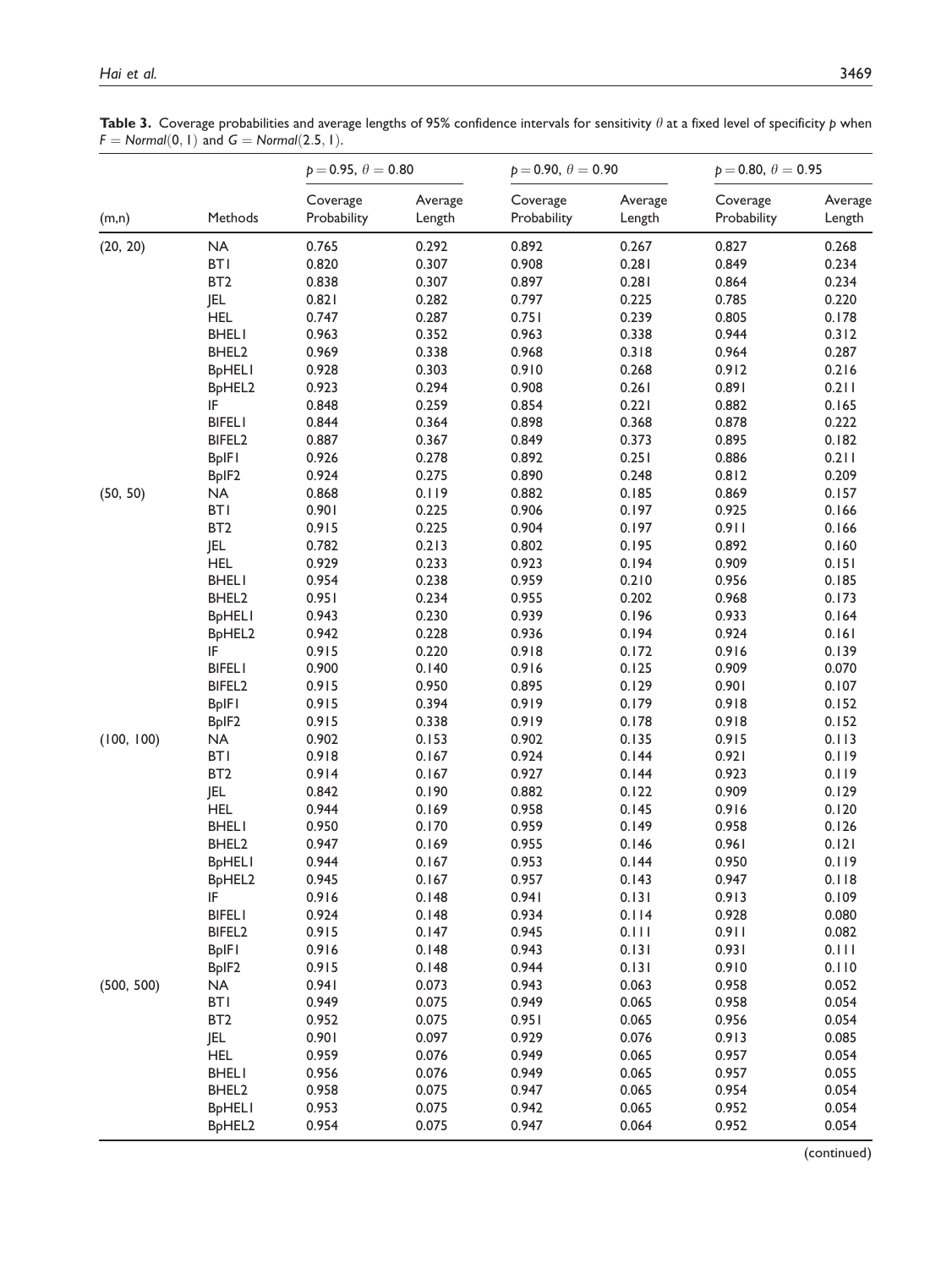Table 3. Coverage probabilities and average lengths of 95% confidence intervals for sensitivity  $\theta$  at a fixed level of specificity  $p$  when  $F = Normal(0, 1)$  and  $G = Normal(2.5, 1)$ .

|            |                                 | $p = 0.95, \theta = 0.80$ |                   | $p = 0.90, \theta = 0.90$ |                   | $p = 0.80, \theta = 0.95$ |                   |
|------------|---------------------------------|---------------------------|-------------------|---------------------------|-------------------|---------------------------|-------------------|
| (m,n)      | Methods                         | Coverage<br>Probability   | Average<br>Length | Coverage<br>Probability   | Average<br>Length | Coverage<br>Probability   | Average<br>Length |
| (20, 20)   | NA                              | 0.765                     | 0.292             | 0.892                     | 0.267             | 0.827                     | 0.268             |
|            | <b>BTI</b>                      | 0.820                     | 0.307             | 0.908                     | 0.281             | 0.849                     | 0.234             |
|            | BT <sub>2</sub>                 | 0.838                     | 0.307             | 0.897                     | 0.281             | 0.864                     | 0.234             |
|            | JEL                             | 0.821                     | 0.282             | 0.797                     | 0.225             | 0.785                     | 0.220             |
|            | <b>HEL</b>                      | 0.747                     | 0.287             | 0.751                     | 0.239             | 0.805                     | 0.178             |
|            | <b>BHELI</b>                    | 0.963                     | 0.352             | 0.963                     | 0.338             | 0.944                     | 0.312             |
|            | BHEL <sub>2</sub>               | 0.969                     | 0.338             | 0.968                     | 0.318             | 0.964                     | 0.287             |
|            | <b>BpHELI</b>                   | 0.928                     | 0.303             | 0.910                     | 0.268             | 0.912                     | 0.216             |
|            | B <sub>p</sub> HEL <sub>2</sub> | 0.923                     | 0.294             | 0.908                     | 0.261             | 0.891                     | 0.211             |
|            | IF                              | 0.848                     | 0.259             | 0.854                     | 0.221             | 0.882                     | 0.165             |
|            | <b>BIFELI</b>                   | 0.844                     | 0.364             | 0.898                     | 0.368             | 0.878                     | 0.222             |
|            | BIFEL <sub>2</sub>              | 0.887                     | 0.367             | 0.849                     | 0.373             | 0.895                     | 0.182             |
|            | <b>BpIFI</b>                    | 0.926                     | 0.278             | 0.892                     | 0.251             | 0.886                     | 0.211             |
|            | BpIF2                           | 0.924                     | 0.275             | 0.890                     | 0.248             | 0.812                     | 0.209             |
| (50, 50)   | <b>NA</b>                       | 0.868                     | 0.119             | 0.882                     | 0.185             | 0.869                     | 0.157             |
|            | <b>BTI</b>                      | 0.901                     | 0.225             | 0.906                     | 0.197             | 0.925                     | 0.166             |
|            | BT <sub>2</sub>                 | 0.915                     | 0.225             | 0.904                     | 0.197             | 0.911                     | 0.166             |
|            | <b>JEL</b>                      | 0.782                     | 0.213             | 0.802                     | 0.195             | 0.892                     | 0.160             |
|            | <b>HEL</b>                      | 0.929                     | 0.233             | 0.923                     | 0.194             | 0.909                     | 0.151             |
|            | <b>BHELI</b>                    | 0.954                     | 0.238             | 0.959                     | 0.210             | 0.956                     | 0.185             |
|            | BHEL2                           | 0.951                     | 0.234             | 0.955                     | 0.202             | 0.968                     | 0.173             |
|            | <b>BpHELI</b>                   | 0.943                     | 0.230             | 0.939                     | 0.196             | 0.933                     | 0.164             |
|            | B <sub>p</sub> HEL <sub>2</sub> | 0.942                     | 0.228             | 0.936                     | 0.194             | 0.924                     | 0.161             |
|            | IF                              | 0.915                     | 0.220             | 0.918                     | 0.172             | 0.916                     | 0.139             |
|            | <b>BIFELI</b>                   | 0.900                     | 0.140             | 0.916                     | 0.125             | 0.909                     | 0.070             |
|            | BIFEL <sub>2</sub>              | 0.915                     | 0.950             | 0.895                     | 0.129             | 0.901                     | 0.107             |
|            | <b>BpIFI</b>                    | 0.915                     | 0.394             | 0.919                     | 0.179             | 0.918                     | 0.152             |
|            | BpIF2                           | 0.915                     | 0.338             | 0.919                     | 0.178             | 0.918                     | 0.152             |
| (100, 100) | <b>NA</b>                       | 0.902                     | 0.153             | 0.902                     | 0.135             | 0.915                     | 0.113             |
|            | <b>BTI</b>                      | 0.918                     | 0.167             | 0.924                     | 0.144             | 0.921                     | 0.119             |
|            | BT <sub>2</sub>                 | 0.914                     | 0.167             | 0.927                     | 0.144             | 0.923                     | 0.119             |
|            | JEL                             | 0.842                     | 0.190             | 0.882                     | 0.122             | 0.909                     | 0.129             |
|            | <b>HEL</b>                      | 0.944                     | 0.169             | 0.958                     | 0.145             | 0.916                     | 0.120             |
|            | <b>BHELI</b>                    | 0.950                     | 0.170             | 0.959                     | 0.149             | 0.958                     | 0.126             |
|            | BHEL <sub>2</sub>               | 0.947                     | 0.169             | 0.955                     | 0.146             | 0.961                     | 0.121             |
|            | <b>BpHELI</b>                   | 0.944                     | 0.167             | 0.953                     | 0.144             | 0.950                     | 0.119             |
|            | BpHEL2                          | 0.945                     | 0.167             | 0.957                     | 0.143             | 0.947                     | 0.118             |
|            | IF                              | 0.916                     | 0.148             | 0.941                     | 0.131             | 0.913                     | 0.109             |
|            |                                 | 0.924                     | 0.148             | 0.934                     | 0.114             | 0.928                     | 0.080             |
|            | <b>BIFELI</b>                   | 0.915                     |                   | 0.945                     | 0.111             | 0.911                     | 0.082             |
|            | BIFEL <sub>2</sub>              |                           | 0.147             |                           |                   |                           |                   |
|            | <b>BpIFI</b>                    | 0.916                     | 0.148             | 0.943                     | 0.131             | 0.931                     | 0.111             |
|            | BpIF <sub>2</sub>               | 0.915                     | 0.148             | 0.944                     | 0.131             | 0.910                     | 0.110             |
| (500, 500) | <b>NA</b>                       | 0.941                     | 0.073             | 0.943                     | 0.063             | 0.958                     | 0.052             |
|            | <b>BTI</b>                      | 0.949                     | 0.075             | 0.949                     | 0.065             | 0.958                     | 0.054             |
|            | BT <sub>2</sub>                 | 0.952                     | 0.075             | 0.951                     | 0.065             | 0.956                     | 0.054             |
|            | JEL                             | 0.901                     | 0.097             | 0.929                     | 0.076             | 0.913                     | 0.085             |
|            | <b>HEL</b>                      | 0.959                     | 0.076             | 0.949                     | 0.065             | 0.957                     | 0.054             |
|            | <b>BHELI</b>                    | 0.956                     | 0.076             | 0.949                     | 0.065             | 0.957                     | 0.055             |
|            | BHEL <sub>2</sub>               | 0.958                     | 0.075             | 0.947                     | 0.065             | 0.954                     | 0.054             |
|            | <b>BpHELI</b>                   | 0.953                     | 0.075             | 0.942                     | 0.065             | 0.952                     | 0.054             |
|            | BpHEL2                          | 0.954                     | 0.075             | 0.947                     | 0.064             | 0.952                     | 0.054             |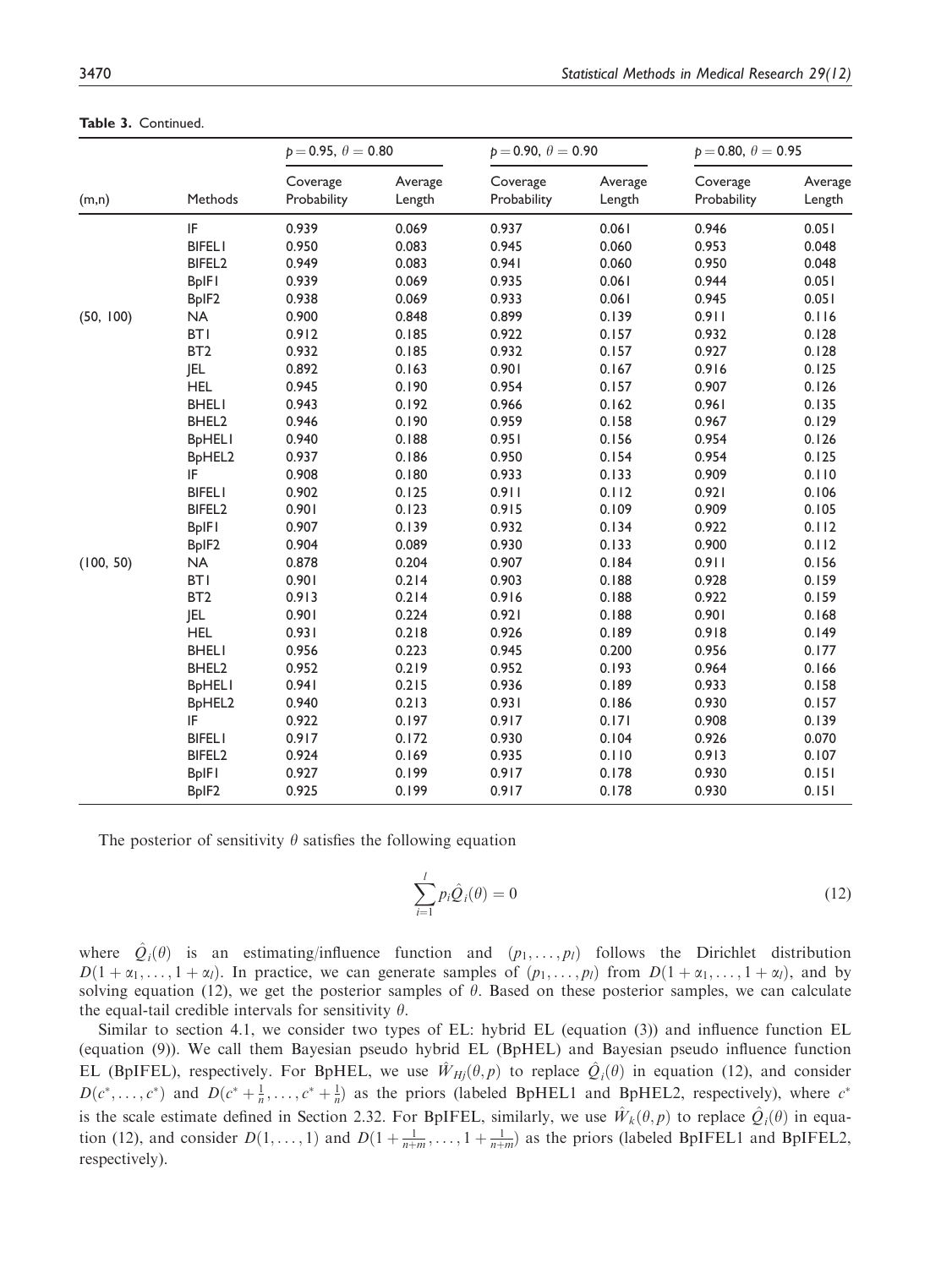|           |                                 | $p = 0.95, \theta = 0.80$ |                   | $p = 0.90, \theta = 0.90$ |                   | $p = 0.80, \theta = 0.95$ |                   |
|-----------|---------------------------------|---------------------------|-------------------|---------------------------|-------------------|---------------------------|-------------------|
| (m,n)     | Methods                         | Coverage<br>Probability   | Average<br>Length | Coverage<br>Probability   | Average<br>Length | Coverage<br>Probability   | Average<br>Length |
|           | IF                              | 0.939                     | 0.069             | 0.937                     | 0.061             | 0.946                     | 0.051             |
|           | <b>BIFELI</b>                   | 0.950                     | 0.083             | 0.945                     | 0.060             | 0.953                     | 0.048             |
|           | BIFEL <sub>2</sub>              | 0.949                     | 0.083             | 0.941                     | 0.060             | 0.950                     | 0.048             |
|           | <b>BpIFI</b>                    | 0.939                     | 0.069             | 0.935                     | 0.061             | 0.944                     | 0.051             |
|           | BpIF <sub>2</sub>               | 0.938                     | 0.069             | 0.933                     | 0.061             | 0.945                     | 0.051             |
| (50, 100) | <b>NA</b>                       | 0.900                     | 0.848             | 0.899                     | 0.139             | 0.911                     | 0.116             |
|           | <b>BTI</b>                      | 0.912                     | 0.185             | 0.922                     | 0.157             | 0.932                     | 0.128             |
|           | BT <sub>2</sub>                 | 0.932                     | 0.185             | 0.932                     | 0.157             | 0.927                     | 0.128             |
|           | JEL                             | 0.892                     | 0.163             | 0.901                     | 0.167             | 0.916                     | 0.125             |
|           | <b>HEL</b>                      | 0.945                     | 0.190             | 0.954                     | 0.157             | 0.907                     | 0.126             |
|           | <b>BHELI</b>                    | 0.943                     | 0.192             | 0.966                     | 0.162             | 0.961                     | 0.135             |
|           | BHEL2                           | 0.946                     | 0.190             | 0.959                     | 0.158             | 0.967                     | 0.129             |
|           | <b>BpHELI</b>                   | 0.940                     | 0.188             | 0.951                     | 0.156             | 0.954                     | 0.126             |
|           | B <sub>p</sub> HEL <sub>2</sub> | 0.937                     | 0.186             | 0.950                     | 0.154             | 0.954                     | 0.125             |
|           | IF                              | 0.908                     | 0.180             | 0.933                     | 0.133             | 0.909                     | 0.110             |
|           | <b>BIFELI</b>                   | 0.902                     | 0.125             | 0.911                     | 0.112             | 0.921                     | 0.106             |
|           | BIFEL <sub>2</sub>              | 0.901                     | 0.123             | 0.915                     | 0.109             | 0.909                     | 0.105             |
|           | <b>BpIFI</b>                    | 0.907                     | 0.139             | 0.932                     | 0.134             | 0.922                     | 0.112             |
|           | BpIF2                           | 0.904                     | 0.089             | 0.930                     | 0.133             | 0.900                     | 0.112             |
| (100, 50) | <b>NA</b>                       | 0.878                     | 0.204             | 0.907                     | 0.184             | 0.911                     | 0.156             |
|           | <b>BTI</b>                      | 0.901                     | 0.214             | 0.903                     | 0.188             | 0.928                     | 0.159             |
|           | BT <sub>2</sub>                 | 0.913                     | 0.214             | 0.916                     | 0.188             | 0.922                     | 0.159             |
|           | <b>JEL</b>                      | 0.901                     | 0.224             | 0.921                     | 0.188             | 0.901                     | 0.168             |
|           | <b>HEL</b>                      | 0.931                     | 0.218             | 0.926                     | 0.189             | 0.918                     | 0.149             |
|           | <b>BHELI</b>                    | 0.956                     | 0.223             | 0.945                     | 0.200             | 0.956                     | 0.177             |
|           | BHEL2                           | 0.952                     | 0.219             | 0.952                     | 0.193             | 0.964                     | 0.166             |
|           | <b>BpHELI</b>                   | 0.941                     | 0.215             | 0.936                     | 0.189             | 0.933                     | 0.158             |
|           | BpHEL2                          | 0.940                     | 0.213             | 0.931                     | 0.186             | 0.930                     | 0.157             |
|           | IF                              | 0.922                     | 0.197             | 0.917                     | 0.171             | 0.908                     | 0.139             |
|           | <b>BIFELI</b>                   | 0.917                     | 0.172             | 0.930                     | 0.104             | 0.926                     | 0.070             |
|           | BIFEL <sub>2</sub>              | 0.924                     | 0.169             | 0.935                     | 0.110             | 0.913                     | 0.107             |
|           | <b>BpIFI</b>                    | 0.927                     | 0.199             | 0.917                     | 0.178             | 0.930                     | 0.151             |
|           | BpIF <sub>2</sub>               | 0.925                     | 0.199             | 0.917                     | 0.178             | 0.930                     | 0.151             |

Table 3. Continued.

The posterior of sensitivity  $\theta$  satisfies the following equation

$$
\sum_{i=1}^{l} p_i \hat{Q}_i(\theta) = 0
$$
\n(12)

where  $\hat{Q}_i(\theta)$  is an estimating/influence function and  $(p_1, \ldots, p_l)$  follows the Dirichlet distribution  $D(1 + \alpha_1, \ldots, 1 + \alpha_l)$ . In practice, we can generate samples of  $(p_1, \ldots, p_l)$  from  $D(1 + \alpha_1, \ldots, 1 + \alpha_l)$ , and by solving equation (12), we get the posterior samples of  $\theta$ . Based on these posterior samples, we can calculate the equal-tail credible intervals for sensitivity  $\theta$ .

Similar to section 4.1, we consider two types of EL: hybrid EL (equation (3)) and influence function EL (equation (9)). We call them Bayesian pseudo hybrid EL (BpHEL) and Bayesian pseudo influence function EL (BpIFEL), respectively. For BpHEL, we use  $\hat{W}_{Hj}(\theta, p)$  to replace  $\hat{Q}_i(\theta)$  in equation (12), and consider  $D(\epsilon^* = \epsilon^*)$ , and  $D(\epsilon^* + 1)$  as the prices (labeled BpIFEL) and BpIFEL? respectively), where  $\epsilon^*$  $D(c^*, \ldots, c^*)$  and  $D(c^* + \frac{1}{n}, \ldots, c^* + \frac{1}{n})$  as the priors (labeled BpHEL1 and BpHEL2, respectively), where  $c^*$ is the scale estimate defined in Section 2.32. For BpIFEL, similarly, we use  $\hat{W}_k(\theta, p)$  to replace  $\hat{Q}_i(\theta)$  in equa-<br>tion (12) and consider  $D(1, -1)$  and  $D(1, -1)$  and  $D(1, -1)$  as the prices (labeled BpIEEL1 and Bp tion (12), and consider  $D(1, \ldots, 1)$  and  $D(1 + \frac{1}{n+m}, \ldots, 1 + \frac{1}{n+m})$  as the priors (labeled BpIFEL1 and BpIFEL2, respectively).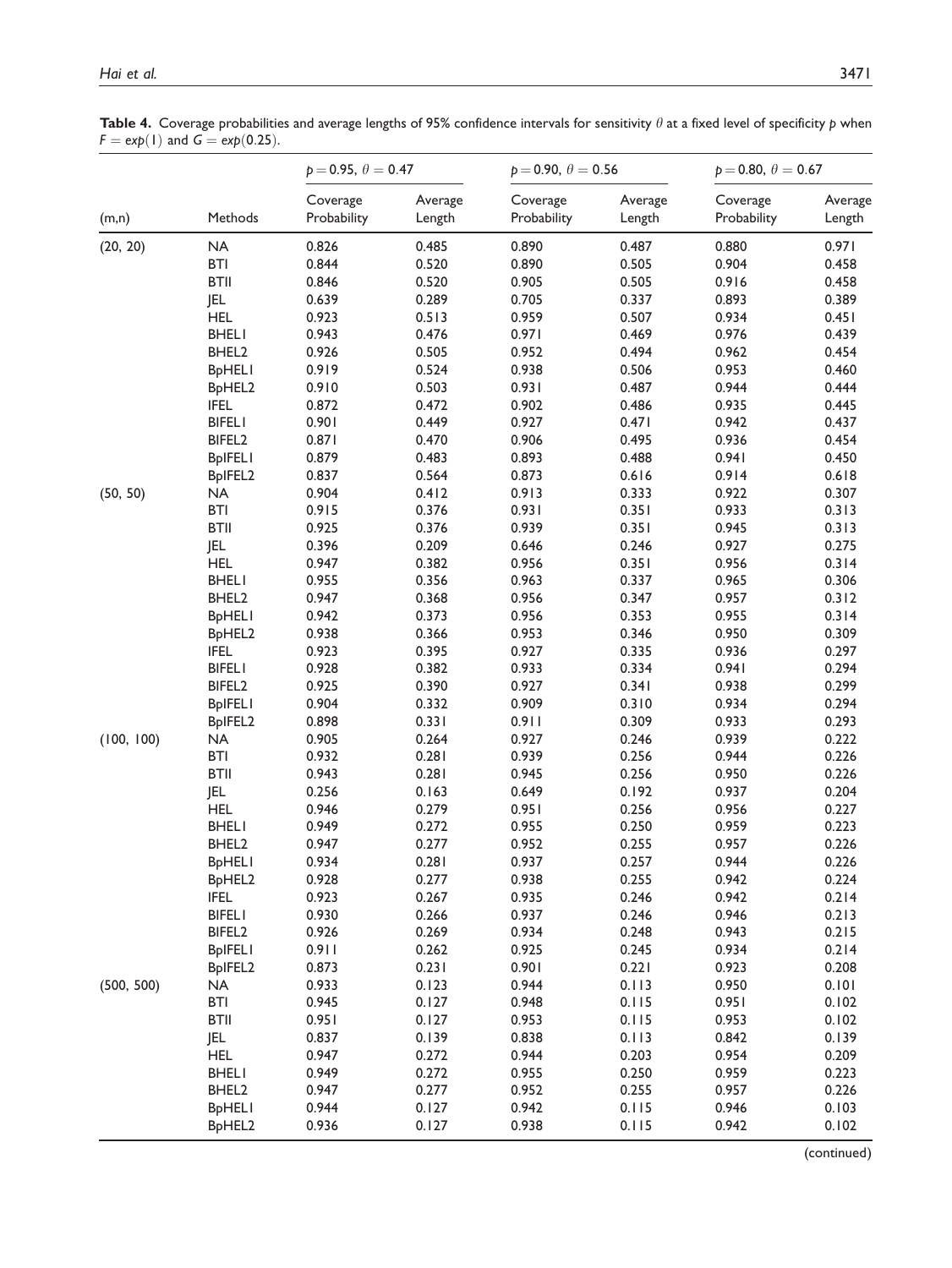Table 4. Coverage probabilities and average lengths of 95% confidence intervals for sensitivity  $\theta$  at a fixed level of specificity p when  $F = exp(1)$  and  $G = exp(0.25)$ .

|            |                                 | $p = 0.95, \theta = 0.47$ |                   | $p = 0.90, \theta = 0.56$ |                   | $p = 0.80, \theta = 0.67$ |                   |
|------------|---------------------------------|---------------------------|-------------------|---------------------------|-------------------|---------------------------|-------------------|
| (m,n)      | Methods                         | Coverage<br>Probability   | Average<br>Length | Coverage<br>Probability   | Average<br>Length | Coverage<br>Probability   | Average<br>Length |
| (20, 20)   | NA                              | 0.826                     | 0.485             | 0.890                     | 0.487             | 0.880                     | 0.971             |
|            | <b>BTI</b>                      | 0.844                     | 0.520             | 0.890                     | 0.505             | 0.904                     | 0.458             |
|            | <b>BTII</b>                     | 0.846                     | 0.520             | 0.905                     | 0.505             | 0.916                     | 0.458             |
|            | JEL                             | 0.639                     | 0.289             | 0.705                     | 0.337             | 0.893                     | 0.389             |
|            | <b>HEL</b>                      | 0.923                     | 0.513             | 0.959                     | 0.507             | 0.934                     | 0.451             |
|            | <b>BHELI</b>                    | 0.943                     | 0.476             | 0.971                     | 0.469             | 0.976                     | 0.439             |
|            | BHEL <sub>2</sub>               | 0.926                     | 0.505             | 0.952                     | 0.494             | 0.962                     | 0.454             |
|            | <b>BpHELI</b>                   | 0.919                     | 0.524             | 0.938                     | 0.506             | 0.953                     | 0.460             |
|            | BpHEL2                          | 0.910                     | 0.503             | 0.931                     | 0.487             | 0.944                     | 0.444             |
|            | <b>IFEL</b>                     | 0.872                     | 0.472             | 0.902                     | 0.486             | 0.935                     | 0.445             |
|            | <b>BIFELI</b>                   | 0.901                     | 0.449             | 0.927                     | 0.471             | 0.942                     | 0.437             |
|            | BIFEL2                          | 0.871                     | 0.470             | 0.906                     | 0.495             | 0.936                     | 0.454             |
|            | <b>BpIFELI</b>                  | 0.879                     | 0.483             | 0.893                     | 0.488             | 0.941                     | 0.450             |
|            | BpIFEL2                         | 0.837                     | 0.564             | 0.873                     | 0.616             | 0.914                     | 0.618             |
| (50, 50)   | <b>NA</b>                       | 0.904                     | 0.412             | 0.913                     | 0.333             | 0.922                     | 0.307             |
|            | <b>BTI</b>                      | 0.915                     | 0.376             | 0.931                     | 0.351             | 0.933                     | 0.313             |
|            | <b>BTII</b>                     | 0.925                     | 0.376             | 0.939                     | 0.351             | 0.945                     | 0.313             |
|            | <b>JEL</b>                      | 0.396                     | 0.209             | 0.646                     | 0.246             | 0.927                     | 0.275             |
|            | <b>HEL</b>                      | 0.947                     | 0.382             | 0.956                     | 0.351             | 0.956                     | 0.314             |
|            | <b>BHELI</b>                    | 0.955                     | 0.356             | 0.963                     | 0.337             | 0.965                     | 0.306             |
|            | BHEL <sub>2</sub>               | 0.947                     | 0.368             | 0.956                     | 0.347             | 0.957                     | 0.312             |
|            | <b>BpHELI</b>                   | 0.942                     | 0.373             | 0.956                     | 0.353             | 0.955                     | 0.314             |
|            | B <sub>p</sub> HEL <sub>2</sub> | 0.938                     | 0.366             | 0.953                     | 0.346             | 0.950                     | 0.309             |
|            | <b>IFEL</b>                     | 0.923                     | 0.395             | 0.927                     | 0.335             | 0.936                     | 0.297             |
|            | <b>BIFELI</b>                   | 0.928                     | 0.382             | 0.933                     | 0.334             | 0.941                     | 0.294             |
|            | BIFEL <sub>2</sub>              | 0.925                     | 0.390             | 0.927                     | 0.341             | 0.938                     | 0.299             |
|            | <b>BpIFELI</b>                  | 0.904                     | 0.332             | 0.909                     | 0.310             | 0.934                     | 0.294             |
|            | BpIFEL2                         | 0.898                     | 0.331             | 0.911                     | 0.309             | 0.933                     | 0.293             |
| (100, 100) | <b>NA</b>                       | 0.905                     | 0.264             | 0.927                     | 0.246             | 0.939                     | 0.222             |
|            | <b>BTI</b>                      | 0.932                     | 0.281             | 0.939                     | 0.256             | 0.944                     | 0.226             |
|            | <b>BTII</b>                     | 0.943                     | 0.281             | 0.945                     | 0.256             | 0.950                     | 0.226             |
|            | <b>JEL</b>                      | 0.256                     | 0.163             | 0.649                     | 0.192             | 0.937                     | 0.204             |
|            | <b>HEL</b>                      | 0.946                     | 0.279             | 0.951                     | 0.256             | 0.956                     | 0.227             |
|            | <b>BHELI</b>                    | 0.949                     | 0.272             | 0.955                     | 0.250             | 0.959                     | 0.223             |
|            | BHEL <sub>2</sub>               | 0.947                     | 0.277             | 0.952                     | 0.255             | 0.957                     | 0.226             |
|            | <b>BpHELI</b>                   | 0.934                     | 0.281             | 0.937                     | 0.257             | 0.944                     | 0.226             |
|            | BpHEL2                          | 0.928                     | 0.277             | 0.938                     | 0.255             | 0.942                     | 0.224             |
|            | <b>IFEL</b>                     | 0.923                     | 0.267             | 0.935                     | 0.246             | 0.942                     | 0.214             |
|            | <b>BIFELI</b>                   | 0.930                     | 0.266             | 0.937                     | 0.246             | 0.946                     | 0.213             |
|            | BIFEL <sub>2</sub>              | 0.926                     | 0.269             | 0.934                     | 0.248             | 0.943                     | 0.215             |
|            | <b>BpIFELI</b>                  | 0.911                     | 0.262             | 0.925                     | 0.245             | 0.934                     | 0.214             |
|            | BpIFEL2                         | 0.873                     | 0.231             | 0.901                     | 0.221             | 0.923                     | 0.208             |
| (500, 500) | <b>NA</b>                       | 0.933                     | 0.123             | 0.944                     | 0.113             | 0.950                     | 0.101             |
|            | <b>BTI</b>                      | 0.945                     | 0.127             | 0.948                     | 0.115             | 0.951                     | 0.102             |
|            | <b>BTII</b>                     | 0.951                     | 0.127             | 0.953                     | 0.115             | 0.953                     | 0.102             |
|            | JEL                             | 0.837                     | 0.139             | 0.838                     | 0.113             | 0.842                     | 0.139             |
|            | <b>HEL</b>                      | 0.947                     | 0.272             | 0.944                     | 0.203             | 0.954                     | 0.209             |
|            | <b>BHELI</b>                    | 0.949                     | 0.272             | 0.955                     | 0.250             | 0.959                     | 0.223             |
|            | BHEL <sub>2</sub>               | 0.947                     | 0.277             | 0.952                     | 0.255             | 0.957                     | 0.226             |
|            | <b>BpHELI</b>                   | 0.944                     | 0.127             | 0.942                     | 0.115             | 0.946                     | 0.103             |
|            | BpHEL2                          | 0.936                     | 0.127             | 0.938                     | 0.115             | 0.942                     | 0.102             |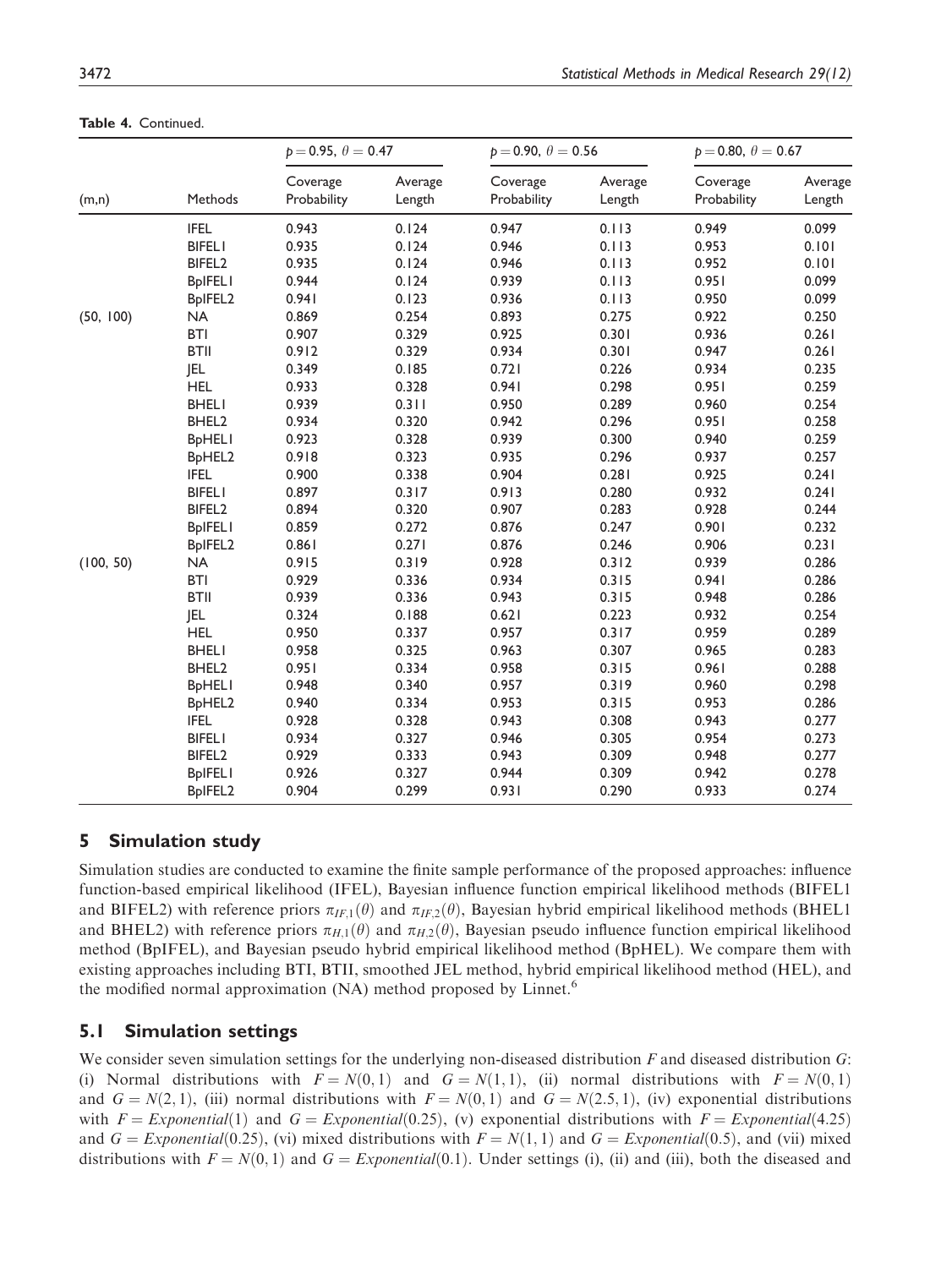|           |                                 | $p = 0.95, \theta = 0.47$ |                   | $p = 0.90, \theta = 0.56$ |                   | $p = 0.80, \theta = 0.67$ |                   |
|-----------|---------------------------------|---------------------------|-------------------|---------------------------|-------------------|---------------------------|-------------------|
| (m,n)     | Methods                         | Coverage<br>Probability   | Average<br>Length | Coverage<br>Probability   | Average<br>Length | Coverage<br>Probability   | Average<br>Length |
|           | <b>IFEL</b>                     | 0.943                     | 0.124             | 0.947                     | 0.113             | 0.949                     | 0.099             |
|           | <b>BIFELI</b>                   | 0.935                     | 0.124             | 0.946                     | 0.113             | 0.953                     | 0.101             |
|           | BIFEL <sub>2</sub>              | 0.935                     | 0.124             | 0.946                     | 0.113             | 0.952                     | 0.101             |
|           | <b>BpIFELI</b>                  | 0.944                     | 0.124             | 0.939                     | 0.113             | 0.951                     | 0.099             |
|           | BpIFEL2                         | 0.941                     | 0.123             | 0.936                     | 0.113             | 0.950                     | 0.099             |
| (50, 100) | <b>NA</b>                       | 0.869                     | 0.254             | 0.893                     | 0.275             | 0.922                     | 0.250             |
|           | <b>BTI</b>                      | 0.907                     | 0.329             | 0.925                     | 0.301             | 0.936                     | 0.261             |
|           | <b>BTII</b>                     | 0.912                     | 0.329             | 0.934                     | 0.301             | 0.947                     | 0.261             |
|           | <b>JEL</b>                      | 0.349                     | 0.185             | 0.721                     | 0.226             | 0.934                     | 0.235             |
|           | <b>HEL</b>                      | 0.933                     | 0.328             | 0.941                     | 0.298             | 0.951                     | 0.259             |
|           | <b>BHELI</b>                    | 0.939                     | 0.311             | 0.950                     | 0.289             | 0.960                     | 0.254             |
|           | BHEL <sub>2</sub>               | 0.934                     | 0.320             | 0.942                     | 0.296             | 0.951                     | 0.258             |
|           | <b>BpHELI</b>                   | 0.923                     | 0.328             | 0.939                     | 0.300             | 0.940                     | 0.259             |
|           | BpHEL2                          | 0.918                     | 0.323             | 0.935                     | 0.296             | 0.937                     | 0.257             |
|           | <b>IFEL</b>                     | 0.900                     | 0.338             | 0.904                     | 0.281             | 0.925                     | 0.241             |
|           | <b>BIFELI</b>                   | 0.897                     | 0.317             | 0.913                     | 0.280             | 0.932                     | 0.241             |
|           | BIFEL <sub>2</sub>              | 0.894                     | 0.320             | 0.907                     | 0.283             | 0.928                     | 0.244             |
|           | <b>BpIFELI</b>                  | 0.859                     | 0.272             | 0.876                     | 0.247             | 0.901                     | 0.232             |
|           | BpIFEL2                         | 0.861                     | 0.271             | 0.876                     | 0.246             | 0.906                     | 0.231             |
| (100, 50) | <b>NA</b>                       | 0.915                     | 0.319             | 0.928                     | 0.312             | 0.939                     | 0.286             |
|           | <b>BTI</b>                      | 0.929                     | 0.336             | 0.934                     | 0.315             | 0.941                     | 0.286             |
|           | <b>BTII</b>                     | 0.939                     | 0.336             | 0.943                     | 0.315             | 0.948                     | 0.286             |
|           | <b>JEL</b>                      | 0.324                     | 0.188             | 0.621                     | 0.223             | 0.932                     | 0.254             |
|           | <b>HEL</b>                      | 0.950                     | 0.337             | 0.957                     | 0.317             | 0.959                     | 0.289             |
|           | <b>BHELI</b>                    | 0.958                     | 0.325             | 0.963                     | 0.307             | 0.965                     | 0.283             |
|           | BHEL2                           | 0.951                     | 0.334             | 0.958                     | 0.315             | 0.961                     | 0.288             |
|           | <b>BpHELI</b>                   | 0.948                     | 0.340             | 0.957                     | 0.319             | 0.960                     | 0.298             |
|           | B <sub>p</sub> HEL <sub>2</sub> | 0.940                     | 0.334             | 0.953                     | 0.315             | 0.953                     | 0.286             |
|           | <b>IFEL</b>                     | 0.928                     | 0.328             | 0.943                     | 0.308             | 0.943                     | 0.277             |
|           | <b>BIFELI</b>                   | 0.934                     | 0.327             | 0.946                     | 0.305             | 0.954                     | 0.273             |
|           | BIFEL <sub>2</sub>              | 0.929                     | 0.333             | 0.943                     | 0.309             | 0.948                     | 0.277             |
|           | <b>BpIFELI</b>                  | 0.926                     | 0.327             | 0.944                     | 0.309             | 0.942                     | 0.278             |
|           | BpIFEL2                         | 0.904                     | 0.299             | 0.931                     | 0.290             | 0.933                     | 0.274             |

Table 4. Continued.

## 5 Simulation study

Simulation studies are conducted to examine the finite sample performance of the proposed approaches: influence function-based empirical likelihood (IFEL), Bayesian influence function empirical likelihood methods (BIFEL1 and BIFEL2) with reference priors  $\pi_{IF,1}(\theta)$  and  $\pi_{IF,2}(\theta)$ , Bayesian hybrid empirical likelihood methods (BHEL1 and BHEL2) with reference priors  $\pi_{H,1}(\theta)$  and  $\pi_{H,2}(\theta)$ , Bayesian pseudo influence function empirical likelihood method (BpIFEL), and Bayesian pseudo hybrid empirical likelihood method (BpHEL). We compare them with existing approaches including BTI, BTII, smoothed JEL method, hybrid empirical likelihood method (HEL), and the modified normal approximation (NA) method proposed by Linnet.<sup>6</sup>

### 5.1 Simulation settings

We consider seven simulation settings for the underlying non-diseased distribution F and diseased distribution G: (i) Normal distributions with  $F = N(0, 1)$  and  $G = N(1, 1)$ , (ii) normal distributions with  $F = N(0, 1)$ and  $G = N(2, 1)$ , (iii) normal distributions with  $F = N(0, 1)$  and  $G = N(2.5, 1)$ , (iv) exponential distributions with  $F = Exponential(1)$  and  $G = Exponential(0.25)$ , (v) exponential distributions with  $F = Exponential(4.25)$ and  $G = Exponential(0.25)$ , (vi) mixed distributions with  $F = N(1, 1)$  and  $G = Exponential(0.5)$ , and (vii) mixed distributions with  $F = N(0, 1)$  and  $G = Exponential(0.1)$ . Under settings (i), (ii) and (iii), both the diseased and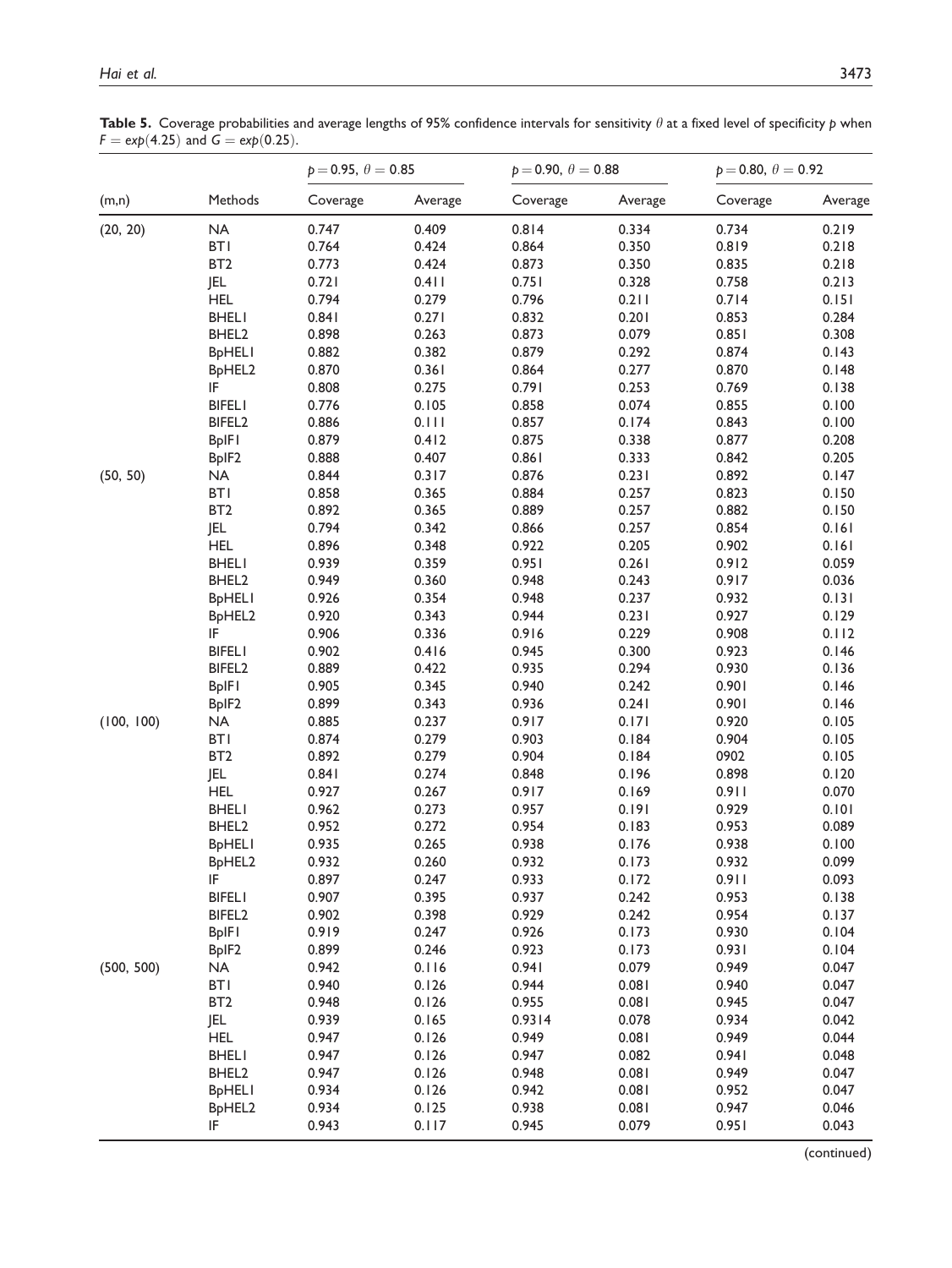Table 5. Coverage probabilities and average lengths of 95% confidence intervals for sensitivity  $\theta$  at a fixed level of specificity p when  $F = \exp(4.25)$  and  $G = \exp(0.25)$ .

|            |                                       | $p = 0.95, \theta = 0.85$ |         | $p = 0.90, \theta = 0.88$ |         | $p = 0.80, \theta = 0.92$ |         |
|------------|---------------------------------------|---------------------------|---------|---------------------------|---------|---------------------------|---------|
| (m,n)      | Methods                               | Coverage                  | Average | Coverage                  | Average | Coverage                  | Average |
| (20, 20)   | NA                                    | 0.747                     | 0.409   | 0.814                     | 0.334   | 0.734                     | 0.219   |
|            | <b>BTI</b>                            | 0.764                     | 0.424   | 0.864                     | 0.350   | 0.819                     | 0.218   |
|            | BT <sub>2</sub>                       | 0.773                     | 0.424   | 0.873                     | 0.350   | 0.835                     | 0.218   |
|            | <b>JEL</b>                            | 0.721                     | 0.411   | 0.751                     | 0.328   | 0.758                     | 0.213   |
|            | <b>HEL</b>                            | 0.794                     | 0.279   | 0.796                     | 0.211   | 0.714                     | 0.151   |
|            | <b>BHELI</b>                          | 0.841                     | 0.271   | 0.832                     | 0.201   | 0.853                     | 0.284   |
|            | BHEL2                                 | 0.898                     | 0.263   | 0.873                     | 0.079   | 0.851                     | 0.308   |
|            | <b>BpHELI</b>                         | 0.882                     | 0.382   | 0.879                     | 0.292   | 0.874                     | 0.143   |
|            | BpHEL2                                | 0.870                     | 0.361   | 0.864                     | 0.277   | 0.870                     | 0.148   |
|            | IF                                    | 0.808                     | 0.275   | 0.791                     | 0.253   | 0.769                     | 0.138   |
|            | <b>BIFELI</b>                         | 0.776                     | 0.105   | 0.858                     | 0.074   | 0.855                     | 0.100   |
|            | BIFEL <sub>2</sub>                    | 0.886                     | 0.111   | 0.857                     | 0.174   | 0.843                     | 0.100   |
|            | <b>BpIFI</b>                          | 0.879                     | 0.412   | 0.875                     | 0.338   | 0.877                     | 0.208   |
|            | BpIF2                                 | 0.888                     | 0.407   | 0.861                     | 0.333   | 0.842                     | 0.205   |
| (50, 50)   | <b>NA</b>                             | 0.844                     | 0.317   | 0.876                     | 0.231   | 0.892                     | 0.147   |
|            | <b>BTI</b>                            | 0.858                     | 0.365   | 0.884                     | 0.257   | 0.823                     | 0.150   |
|            | BT <sub>2</sub>                       | 0.892                     | 0.365   | 0.889                     | 0.257   | 0.882                     | 0.150   |
|            | JEL                                   | 0.794                     | 0.342   | 0.866                     | 0.257   | 0.854                     | 0.161   |
|            | <b>HEL</b>                            | 0.896                     | 0.348   | 0.922                     | 0.205   | 0.902                     | 0.161   |
|            | <b>BHELI</b>                          | 0.939                     | 0.359   | 0.951                     | 0.261   | 0.912                     | 0.059   |
|            | BHEL2                                 | 0.949                     | 0.360   | 0.948                     | 0.243   | 0.917                     | 0.036   |
|            | <b>BpHELI</b>                         | 0.926                     | 0.354   | 0.948                     | 0.237   | 0.932                     | 0.131   |
|            |                                       | 0.920                     | 0.343   | 0.944                     | 0.231   | 0.927                     | 0.129   |
|            | B <sub>p</sub> HEL <sub>2</sub><br>IF | 0.906                     | 0.336   | 0.916                     | 0.229   | 0.908                     | 0.112   |
|            | <b>BIFELI</b>                         | 0.902                     | 0.416   | 0.945                     | 0.300   | 0.923                     | 0.146   |
|            |                                       |                           |         |                           |         |                           |         |
|            | BIFEL <sub>2</sub>                    | 0.889                     | 0.422   | 0.935                     | 0.294   | 0.930                     | 0.136   |
|            | <b>BpIFI</b>                          | 0.905                     | 0.345   | 0.940                     | 0.242   | 0.901                     | 0.146   |
|            | BpIF2                                 | 0.899                     | 0.343   | 0.936                     | 0.241   | 0.901                     | 0.146   |
| (100, 100) | <b>NA</b>                             | 0.885                     | 0.237   | 0.917                     | 0.171   | 0.920                     | 0.105   |
|            | <b>BTI</b>                            | 0.874                     | 0.279   | 0.903                     | 0.184   | 0.904                     | 0.105   |
|            | BT <sub>2</sub>                       | 0.892                     | 0.279   | 0.904                     | 0.184   | 0902                      | 0.105   |
|            | JEL                                   | 0.841                     | 0.274   | 0.848                     | 0.196   | 0.898                     | 0.120   |
|            | <b>HEL</b>                            | 0.927                     | 0.267   | 0.917                     | 0.169   | 0.911                     | 0.070   |
|            | <b>BHELI</b>                          | 0.962                     | 0.273   | 0.957                     | 0.191   | 0.929                     | 0.101   |
|            | BHEL <sub>2</sub>                     | 0.952                     | 0.272   | 0.954                     | 0.183   | 0.953                     | 0.089   |
|            | <b>BpHELI</b>                         | 0.935                     | 0.265   | 0.938                     | 0.176   | 0.938                     | 0.100   |
|            | BpHEL2                                | 0.932                     | 0.260   | 0.932                     | 0.173   | 0.932                     | 0.099   |
|            | IF                                    | 0.897                     | 0.247   | 0.933                     | 0.172   | 0.911                     | 0.093   |
|            | <b>BIFELI</b>                         | 0.907                     | 0.395   | 0.937                     | 0.242   | 0.953                     | 0.138   |
|            | BIFEL <sub>2</sub>                    | 0.902                     | 0.398   | 0.929                     | 0.242   | 0.954                     | 0.137   |
|            | <b>BpIFI</b>                          | 0.919                     | 0.247   | 0.926                     | 0.173   | 0.930                     | 0.104   |
|            | BpIF <sub>2</sub>                     | 0.899                     | 0.246   | 0.923                     | 0.173   | 0.931                     | 0.104   |
| (500, 500) | NA.                                   | 0.942                     | 0.116   | 0.941                     | 0.079   | 0.949                     | 0.047   |
|            | <b>BTI</b>                            | 0.940                     | 0.126   | 0.944                     | 0.081   | 0.940                     | 0.047   |
|            | BT <sub>2</sub>                       | 0.948                     | 0.126   | 0.955                     | 0.081   | 0.945                     | 0.047   |
|            | <b>JEL</b>                            | 0.939                     | 0.165   | 0.9314                    | 0.078   | 0.934                     | 0.042   |
|            | <b>HEL</b>                            | 0.947                     | 0.126   | 0.949                     | 0.081   | 0.949                     | 0.044   |
|            | <b>BHELI</b>                          | 0.947                     | 0.126   | 0.947                     | 0.082   | 0.941                     | 0.048   |
|            | BHEL <sub>2</sub>                     | 0.947                     | 0.126   | 0.948                     | 0.081   | 0.949                     | 0.047   |
|            | <b>BpHELI</b>                         | 0.934                     | 0.126   | 0.942                     | 0.081   | 0.952                     | 0.047   |
|            | BpHEL2                                | 0.934                     | 0.125   | 0.938                     | 0.081   | 0.947                     | 0.046   |
|            | IF                                    | 0.943                     | 0.117   | 0.945                     | 0.079   | 0.951                     | 0.043   |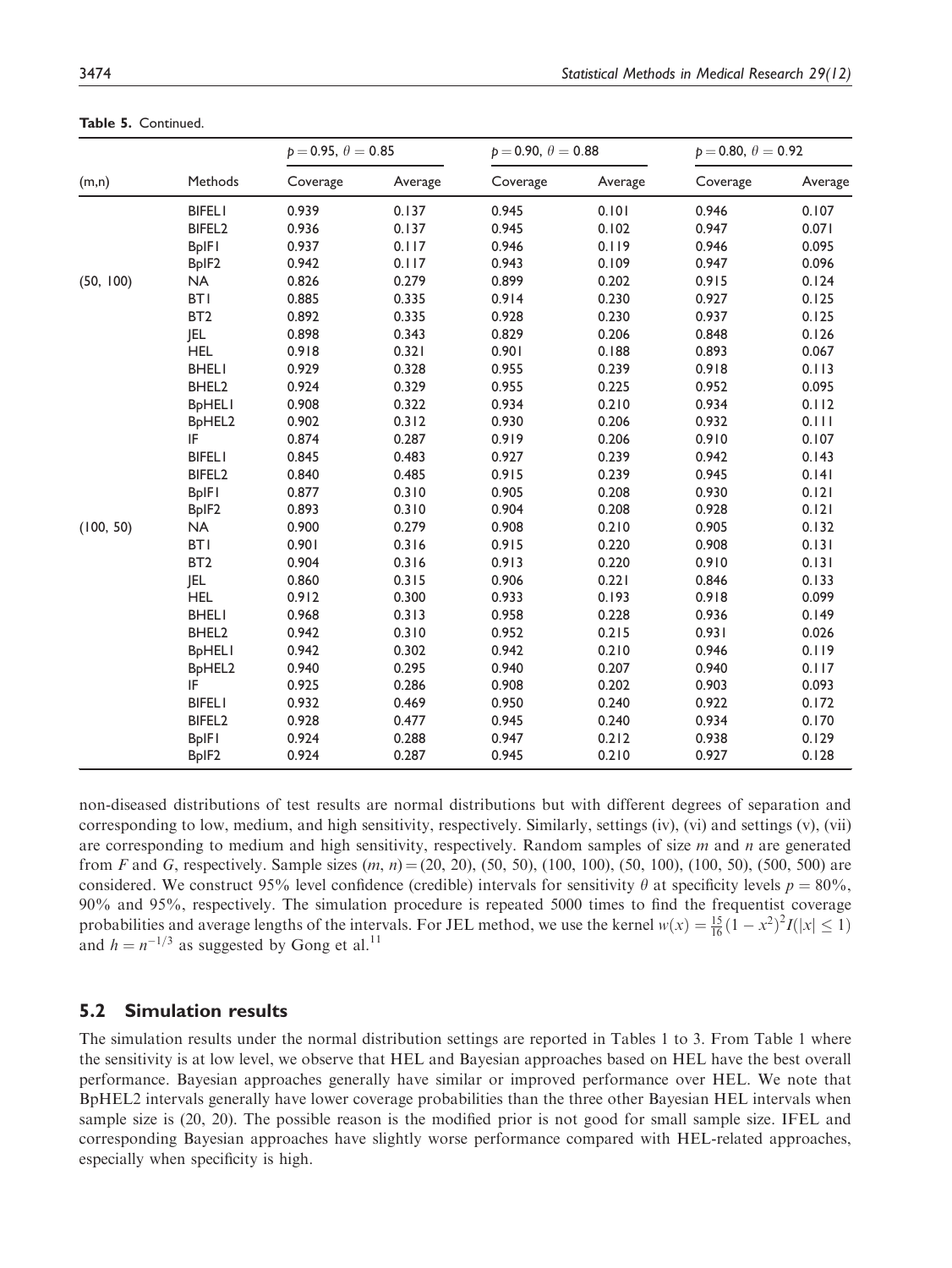|           |                                 | $p = 0.95, \theta = 0.85$ |         | $p = 0.90, \theta = 0.88$ |         | $p = 0.80, \theta = 0.92$ |         |
|-----------|---------------------------------|---------------------------|---------|---------------------------|---------|---------------------------|---------|
| (m,n)     | Methods                         | Coverage                  | Average | Coverage                  | Average | Coverage                  | Average |
|           | <b>BIFELI</b>                   | 0.939                     | 0.137   | 0.945                     | 0.101   | 0.946                     | 0.107   |
|           | BIFEL2                          | 0.936                     | 0.137   | 0.945                     | 0.102   | 0.947                     | 0.071   |
|           | <b>BpIFI</b>                    | 0.937                     | 0.117   | 0.946                     | 0.119   | 0.946                     | 0.095   |
|           | BpIF2                           | 0.942                     | 0.117   | 0.943                     | 0.109   | 0.947                     | 0.096   |
| (50, 100) | <b>NA</b>                       | 0.826                     | 0.279   | 0.899                     | 0.202   | 0.915                     | 0.124   |
|           | <b>BTI</b>                      | 0.885                     | 0.335   | 0.914                     | 0.230   | 0.927                     | 0.125   |
|           | BT <sub>2</sub>                 | 0.892                     | 0.335   | 0.928                     | 0.230   | 0.937                     | 0.125   |
|           | JEL                             | 0.898                     | 0.343   | 0.829                     | 0.206   | 0.848                     | 0.126   |
|           | <b>HEL</b>                      | 0.918                     | 0.321   | 0.901                     | 0.188   | 0.893                     | 0.067   |
|           | <b>BHELI</b>                    | 0.929                     | 0.328   | 0.955                     | 0.239   | 0.918                     | 0.113   |
|           | BHEL <sub>2</sub>               | 0.924                     | 0.329   | 0.955                     | 0.225   | 0.952                     | 0.095   |
|           | <b>BpHELI</b>                   | 0.908                     | 0.322   | 0.934                     | 0.210   | 0.934                     | 0.112   |
|           | B <sub>p</sub> HEL <sub>2</sub> | 0.902                     | 0.312   | 0.930                     | 0.206   | 0.932                     | 0.111   |
|           | IF                              | 0.874                     | 0.287   | 0.919                     | 0.206   | 0.910                     | 0.107   |
|           | <b>BIFELI</b>                   | 0.845                     | 0.483   | 0.927                     | 0.239   | 0.942                     | 0.143   |
|           | BIFEL <sub>2</sub>              | 0.840                     | 0.485   | 0.915                     | 0.239   | 0.945                     | 0.141   |
|           | <b>BpIFI</b>                    | 0.877                     | 0.310   | 0.905                     | 0.208   | 0.930                     | 0.121   |
|           | BpIF <sub>2</sub>               | 0.893                     | 0.310   | 0.904                     | 0.208   | 0.928                     | 0.121   |
| (100, 50) | <b>NA</b>                       | 0.900                     | 0.279   | 0.908                     | 0.210   | 0.905                     | 0.132   |
|           | <b>BTI</b>                      | 0.901                     | 0.316   | 0.915                     | 0.220   | 0.908                     | 0.131   |
|           | BT <sub>2</sub>                 | 0.904                     | 0.316   | 0.913                     | 0.220   | 0.910                     | 0.131   |
|           | <b>JEL</b>                      | 0.860                     | 0.315   | 0.906                     | 0.221   | 0.846                     | 0.133   |
|           | <b>HEL</b>                      | 0.912                     | 0.300   | 0.933                     | 0.193   | 0.918                     | 0.099   |
|           | <b>BHELI</b>                    | 0.968                     | 0.313   | 0.958                     | 0.228   | 0.936                     | 0.149   |
|           | BHEL <sub>2</sub>               | 0.942                     | 0.310   | 0.952                     | 0.215   | 0.931                     | 0.026   |
|           | <b>BpHELI</b>                   | 0.942                     | 0.302   | 0.942                     | 0.210   | 0.946                     | 0.119   |
|           | B <sub>p</sub> HEL <sub>2</sub> | 0.940                     | 0.295   | 0.940                     | 0.207   | 0.940                     | 0.117   |
|           | IF                              | 0.925                     | 0.286   | 0.908                     | 0.202   | 0.903                     | 0.093   |
|           | <b>BIFELI</b>                   | 0.932                     | 0.469   | 0.950                     | 0.240   | 0.922                     | 0.172   |
|           | BIFEL <sub>2</sub>              | 0.928                     | 0.477   | 0.945                     | 0.240   | 0.934                     | 0.170   |
|           | <b>BpIFI</b>                    | 0.924                     | 0.288   | 0.947                     | 0.212   | 0.938                     | 0.129   |
|           | BpIF <sub>2</sub>               | 0.924                     | 0.287   | 0.945                     | 0.210   | 0.927                     | 0.128   |

Table 5. Continued.

non-diseased distributions of test results are normal distributions but with different degrees of separation and corresponding to low, medium, and high sensitivity, respectively. Similarly, settings (iv), (vi) and settings (v), (vii) are corresponding to medium and high sensitivity, respectively. Random samples of size  $m$  and  $n$  are generated from F and G, respectively. Sample sizes  $(m, n) = (20, 20), (50, 50), (100, 100), (50, 100), (100, 50), (500, 500)$  are considered. We construct 95% level confidence (credible) intervals for sensitivity  $\theta$  at specificity levels  $p = 80\%$ , 90% and 95%, respectively. The simulation procedure is repeated 5000 times to find the frequentist coverage probabilities and average lengths of the intervals. For JEL method, we use the kernel  $w(x) = \frac{15}{16}(1 - x^2)^2 I(|x| \le 1)$ and  $h = n^{-1/3}$  as suggested by Gong et al.<sup>11</sup>

### 5.2 Simulation results

The simulation results under the normal distribution settings are reported in Tables 1 to 3. From Table 1 where the sensitivity is at low level, we observe that HEL and Bayesian approaches based on HEL have the best overall performance. Bayesian approaches generally have similar or improved performance over HEL. We note that BpHEL2 intervals generally have lower coverage probabilities than the three other Bayesian HEL intervals when sample size is (20, 20). The possible reason is the modified prior is not good for small sample size. IFEL and corresponding Bayesian approaches have slightly worse performance compared with HEL-related approaches, especially when specificity is high.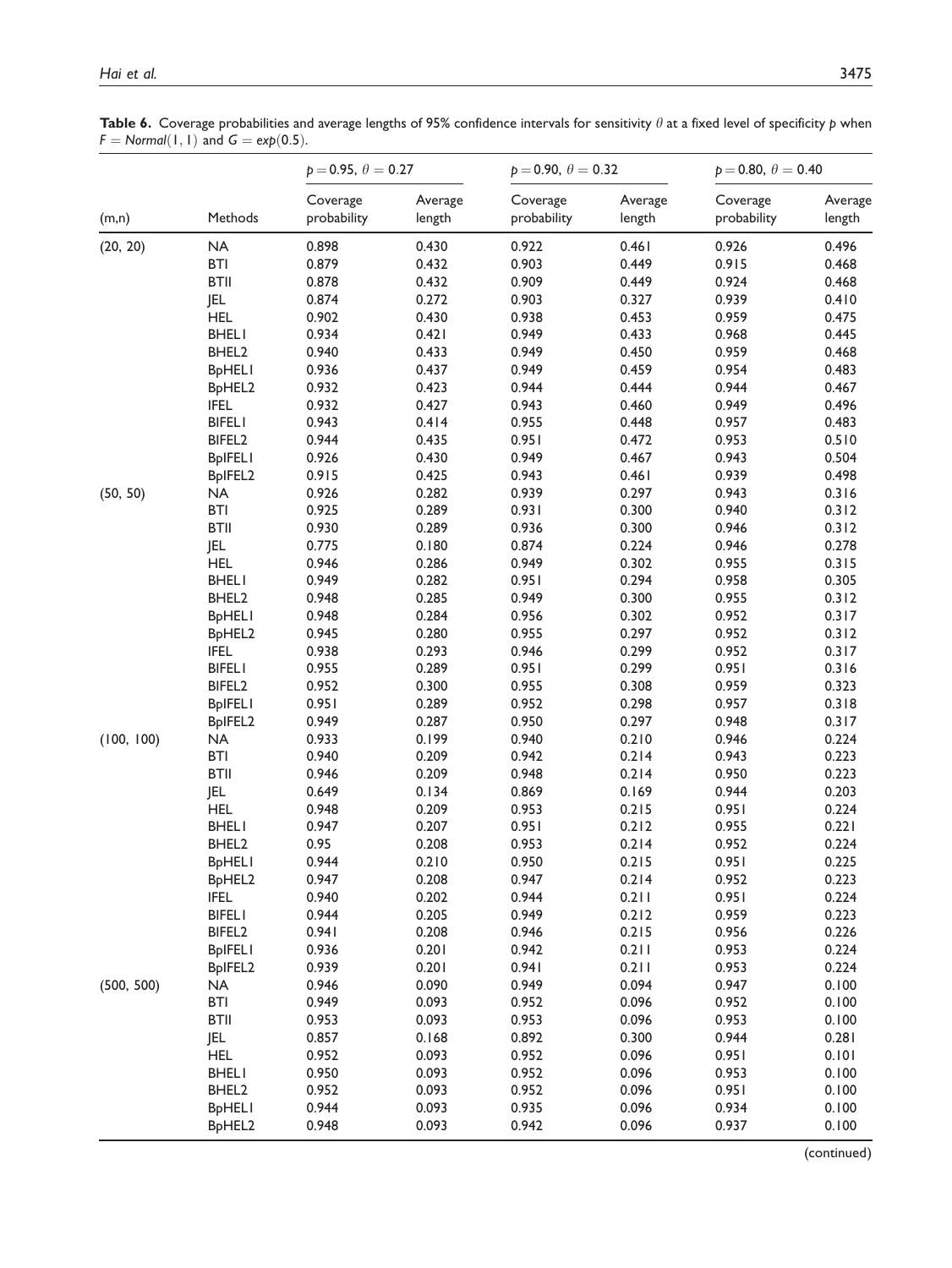Table 6. Coverage probabilities and average lengths of 95% confidence intervals for sensitivity  $\theta$  at a fixed level of specificity  $p$  when  $F = Normal(1, 1)$  and  $G = exp(0.5)$ .

|            | $p = 0.95, \theta = 0.27$<br>$p = 0.90, \theta = 0.32$ |                         |                   | $p = 0.80, \theta = 0.40$ |                   |                         |                   |
|------------|--------------------------------------------------------|-------------------------|-------------------|---------------------------|-------------------|-------------------------|-------------------|
| (m,n)      | Methods                                                | Coverage<br>probability | Average<br>length | Coverage<br>probability   | Average<br>length | Coverage<br>probability | Average<br>length |
| (20, 20)   | <b>NA</b>                                              | 0.898                   | 0.430             | 0.922                     | 0.461             | 0.926                   | 0.496             |
|            | <b>BTI</b>                                             | 0.879                   | 0.432             | 0.903                     | 0.449             | 0.915                   | 0.468             |
|            | <b>BTII</b>                                            | 0.878                   | 0.432             | 0.909                     | 0.449             | 0.924                   | 0.468             |
|            | <b>JEL</b>                                             | 0.874                   | 0.272             | 0.903                     | 0.327             | 0.939                   | 0.410             |
|            | <b>HEL</b>                                             | 0.902                   | 0.430             | 0.938                     | 0.453             | 0.959                   | 0.475             |
|            | <b>BHELI</b>                                           | 0.934                   | 0.421             | 0.949                     | 0.433             | 0.968                   | 0.445             |
|            | BHEL <sub>2</sub>                                      | 0.940                   | 0.433             | 0.949                     | 0.450             | 0.959                   | 0.468             |
|            | <b>BpHELI</b>                                          | 0.936                   | 0.437             | 0.949                     | 0.459             | 0.954                   | 0.483             |
|            | BpHEL2                                                 | 0.932                   | 0.423             | 0.944                     | 0.444             | 0.944                   | 0.467             |
|            | <b>IFEL</b>                                            | 0.932                   | 0.427             | 0.943                     | 0.460             | 0.949                   | 0.496             |
|            | <b>BIFELI</b>                                          | 0.943                   | 0.414             | 0.955                     | 0.448             | 0.957                   | 0.483             |
|            | BIFEL <sub>2</sub>                                     | 0.944                   | 0.435             | 0.951                     | 0.472             | 0.953                   | 0.510             |
|            | <b>BpIFELI</b>                                         | 0.926                   | 0.430             | 0.949                     | 0.467             | 0.943                   | 0.504             |
|            | BpIFEL2                                                | 0.915                   | 0.425             | 0.943                     | 0.461             | 0.939                   | 0.498             |
| (50, 50)   | <b>NA</b>                                              | 0.926                   | 0.282             | 0.939                     | 0.297             | 0.943                   | 0.316             |
|            | <b>BTI</b>                                             | 0.925                   | 0.289             | 0.931                     | 0.300             | 0.940                   | 0.312             |
|            | <b>BTII</b>                                            | 0.930                   | 0.289             | 0.936                     | 0.300             | 0.946                   | 0.312             |
|            | <b>JEL</b>                                             | 0.775                   | 0.180             | 0.874                     | 0.224             | 0.946                   | 0.278             |
|            | <b>HEL</b>                                             | 0.946                   | 0.286             | 0.949                     | 0.302             | 0.955                   | 0.315             |
|            | <b>BHELI</b>                                           | 0.949                   | 0.282             | 0.951                     | 0.294             | 0.958                   | 0.305             |
|            | BHEL2                                                  | 0.948                   | 0.285             | 0.949                     | 0.300             | 0.955                   | 0.312             |
|            | <b>BpHELI</b>                                          | 0.948                   | 0.284             | 0.956                     | 0.302             | 0.952                   | 0.317             |
|            | B <sub>p</sub> HEL <sub>2</sub>                        | 0.945                   | 0.280             | 0.955                     | 0.297             | 0.952                   | 0.312             |
|            | <b>IFEL</b>                                            | 0.938                   | 0.293             | 0.946                     | 0.299             | 0.952                   | 0.317             |
|            | <b>BIFELI</b>                                          | 0.955                   | 0.289             | 0.951                     | 0.299             | 0.951                   | 0.316             |
|            | BIFEL <sub>2</sub>                                     | 0.952                   | 0.300             | 0.955                     | 0.308             | 0.959                   | 0.323             |
|            | <b>BpIFELI</b>                                         | 0.951                   | 0.289             | 0.952                     | 0.298             | 0.957                   | 0.318             |
|            | BpIFEL2                                                | 0.949                   | 0.287             | 0.950                     | 0.297             | 0.948                   | 0.317             |
| (100, 100) | NA                                                     | 0.933                   | 0.199             | 0.940                     | 0.210             | 0.946                   | 0.224             |
|            | <b>BTI</b>                                             | 0.940                   | 0.209             | 0.942                     | 0.214             | 0.943                   | 0.223             |
|            | <b>BTII</b>                                            | 0.946                   | 0.209             | 0.948                     | 0.214             | 0.950                   | 0.223             |
|            | <b>JEL</b>                                             | 0.649                   | 0.134             | 0.869                     | 0.169             | 0.944                   | 0.203             |
|            | <b>HEL</b>                                             | 0.948                   | 0.209             | 0.953                     | 0.215             | 0.951                   | 0.224             |
|            | <b>BHELI</b>                                           | 0.947                   | 0.207             | 0.951                     | 0.212             | 0.955                   | 0.221             |
|            | BHEL <sub>2</sub>                                      | 0.95                    | 0.208             | 0.953                     | 0.214             | 0.952                   | 0.224             |
|            | <b>BpHELI</b>                                          | 0.944                   | 0.210             | 0.950                     | 0.215             | 0.951                   | 0.225             |
|            | BpHEL2                                                 | 0.947                   | 0.208             | 0.947                     | 0.214             | 0.952                   | 0.223             |
|            | <b>IFEL</b>                                            | 0.940                   | 0.202             | 0.944                     | 0.211             | 0.951                   | 0.224             |
|            | <b>BIFELI</b>                                          | 0.944                   | 0.205             | 0.949                     | 0.212             | 0.959                   | 0.223             |
|            | BIFEL <sub>2</sub>                                     | 0.941                   | 0.208             | 0.946                     | 0.215             | 0.956                   | 0.226             |
|            | <b>BpIFELI</b>                                         |                         |                   |                           |                   |                         | 0.224             |
|            |                                                        | 0.936                   | 0.201             | 0.942                     | 0.211             | 0.953                   |                   |
|            | BpIFEL2                                                | 0.939                   | 0.201             | 0.941                     | 0.211             | 0.953                   | 0.224             |
| (500, 500) | NA                                                     | 0.946                   | 0.090             | 0.949                     | 0.094             | 0.947                   | 0.100             |
|            | <b>BTI</b>                                             | 0.949                   | 0.093             | 0.952                     | 0.096             | 0.952                   | 0.100             |
|            | <b>BTII</b>                                            | 0.953                   | 0.093             | 0.953                     | 0.096             | 0.953                   | 0.100             |
|            | JEL                                                    | 0.857                   | 0.168             | 0.892                     | 0.300             | 0.944                   | 0.281             |
|            | <b>HEL</b>                                             | 0.952                   | 0.093             | 0.952                     | 0.096             | 0.951                   | 0.101             |
|            | <b>BHELI</b>                                           | 0.950                   | 0.093             | 0.952                     | 0.096             | 0.953                   | 0.100             |
|            | BHEL <sub>2</sub>                                      | 0.952                   | 0.093             | 0.952                     | 0.096             | 0.951                   | 0.100             |
|            | <b>BpHELI</b>                                          | 0.944                   | 0.093             | 0.935                     | 0.096             | 0.934                   | 0.100             |
|            | B <sub>p</sub> HEL <sub>2</sub>                        | 0.948                   | 0.093             | 0.942                     | 0.096             | 0.937                   | 0.100             |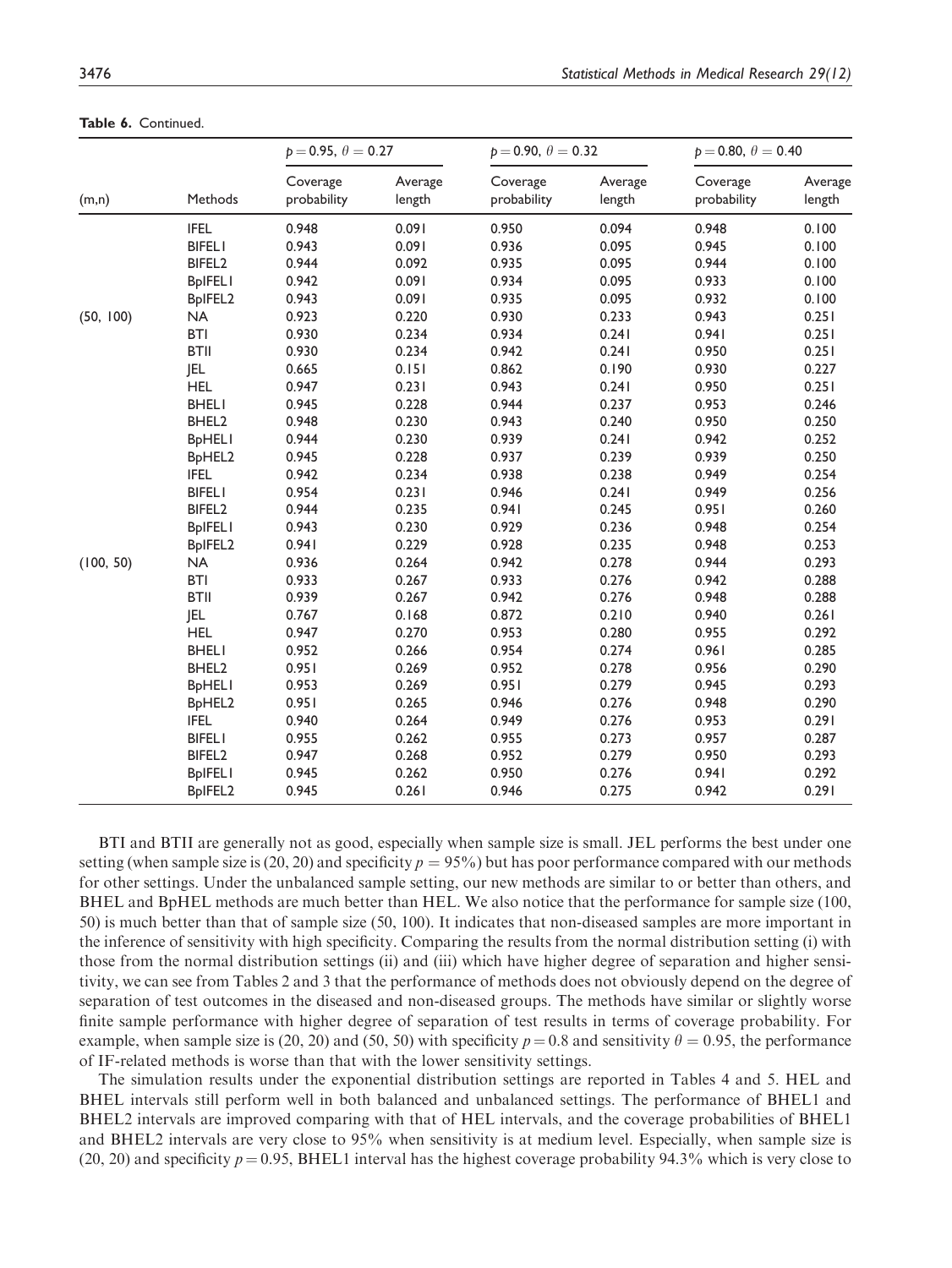|           |                    | $p = 0.95, \theta = 0.27$ |                   | $p = 0.90, \theta = 0.32$ |                   | $p = 0.80, \theta = 0.40$ |                   |
|-----------|--------------------|---------------------------|-------------------|---------------------------|-------------------|---------------------------|-------------------|
| (m,n)     | Methods            | Coverage<br>probability   | Average<br>length | Coverage<br>probability   | Average<br>length | Coverage<br>probability   | Average<br>length |
|           | <b>IFEL</b>        | 0.948                     | 0.091             | 0.950                     | 0.094             | 0.948                     | 0.100             |
|           | <b>BIFELI</b>      | 0.943                     | 0.091             | 0.936                     | 0.095             | 0.945                     | 0.100             |
|           | BIFEL <sub>2</sub> | 0.944                     | 0.092             | 0.935                     | 0.095             | 0.944                     | 0.100             |
|           | <b>BpIFELI</b>     | 0.942                     | 0.091             | 0.934                     | 0.095             | 0.933                     | 0.100             |
|           | BpIFEL2            | 0.943                     | 0.091             | 0.935                     | 0.095             | 0.932                     | 0.100             |
| (50, 100) | <b>NA</b>          | 0.923                     | 0.220             | 0.930                     | 0.233             | 0.943                     | 0.251             |
|           | <b>BTI</b>         | 0.930                     | 0.234             | 0.934                     | 0.241             | 0.941                     | 0.251             |
|           | <b>BTII</b>        | 0.930                     | 0.234             | 0.942                     | 0.241             | 0.950                     | 0.251             |
|           | <b>JEL</b>         | 0.665                     | 0.151             | 0.862                     | 0.190             | 0.930                     | 0.227             |
|           | <b>HEL</b>         | 0.947                     | 0.231             | 0.943                     | 0.241             | 0.950                     | 0.251             |
|           | <b>BHELI</b>       | 0.945                     | 0.228             | 0.944                     | 0.237             | 0.953                     | 0.246             |
|           | BHEL <sub>2</sub>  | 0.948                     | 0.230             | 0.943                     | 0.240             | 0.950                     | 0.250             |
|           | <b>BpHELI</b>      | 0.944                     | 0.230             | 0.939                     | 0.241             | 0.942                     | 0.252             |
|           | BpHEL2             | 0.945                     | 0.228             | 0.937                     | 0.239             | 0.939                     | 0.250             |
|           | <b>IFEL</b>        | 0.942                     | 0.234             | 0.938                     | 0.238             | 0.949                     | 0.254             |
|           | <b>BIFELI</b>      | 0.954                     | 0.231             | 0.946                     | 0.241             | 0.949                     | 0.256             |
|           | BIFEL <sub>2</sub> | 0.944                     | 0.235             | 0.941                     | 0.245             | 0.951                     | 0.260             |
|           | <b>BpIFELI</b>     | 0.943                     | 0.230             | 0.929                     | 0.236             | 0.948                     | 0.254             |
|           | BpIFEL2            | 0.941                     | 0.229             | 0.928                     | 0.235             | 0.948                     | 0.253             |
| (100, 50) | <b>NA</b>          | 0.936                     | 0.264             | 0.942                     | 0.278             | 0.944                     | 0.293             |
|           | <b>BTI</b>         | 0.933                     | 0.267             | 0.933                     | 0.276             | 0.942                     | 0.288             |
|           | <b>BTII</b>        | 0.939                     | 0.267             | 0.942                     | 0.276             | 0.948                     | 0.288             |
|           | <b>JEL</b>         | 0.767                     | 0.168             | 0.872                     | 0.210             | 0.940                     | 0.261             |
|           | <b>HEL</b>         | 0.947                     | 0.270             | 0.953                     | 0.280             | 0.955                     | 0.292             |
|           | <b>BHELI</b>       | 0.952                     | 0.266             | 0.954                     | 0.274             | 0.961                     | 0.285             |
|           | BHEL <sub>2</sub>  | 0.951                     | 0.269             | 0.952                     | 0.278             | 0.956                     | 0.290             |
|           | <b>BpHELI</b>      | 0.953                     | 0.269             | 0.951                     | 0.279             | 0.945                     | 0.293             |
|           | BpHEL2             | 0.951                     | 0.265             | 0.946                     | 0.276             | 0.948                     | 0.290             |
|           | <b>IFEL</b>        | 0.940                     | 0.264             | 0.949                     | 0.276             | 0.953                     | 0.291             |
|           | <b>BIFELI</b>      | 0.955                     | 0.262             | 0.955                     | 0.273             | 0.957                     | 0.287             |
|           | BIFEL <sub>2</sub> | 0.947                     | 0.268             | 0.952                     | 0.279             | 0.950                     | 0.293             |
|           | <b>BpIFELI</b>     | 0.945                     | 0.262             | 0.950                     | 0.276             | 0.941                     | 0.292             |
|           | BpIFEL2            | 0.945                     | 0.261             | 0.946                     | 0.275             | 0.942                     | 0.291             |

Table 6. Continued.

BTI and BTII are generally not as good, especially when sample size is small. JEL performs the best under one setting (when sample size is (20, 20) and specificity  $p = 95\%$ ) but has poor performance compared with our methods for other settings. Under the unbalanced sample setting, our new methods are similar to or better than others, and BHEL and BpHEL methods are much better than HEL. We also notice that the performance for sample size (100, 50) is much better than that of sample size (50, 100). It indicates that non-diseased samples are more important in the inference of sensitivity with high specificity. Comparing the results from the normal distribution setting (i) with those from the normal distribution settings (ii) and (iii) which have higher degree of separation and higher sensitivity, we can see from Tables 2 and 3 that the performance of methods does not obviously depend on the degree of separation of test outcomes in the diseased and non-diseased groups. The methods have similar or slightly worse finite sample performance with higher degree of separation of test results in terms of coverage probability. For example, when sample size is (20, 20) and (50, 50) with specificity  $p = 0.8$  and sensitivity  $\theta = 0.95$ , the performance of IF-related methods is worse than that with the lower sensitivity settings.

The simulation results under the exponential distribution settings are reported in Tables 4 and 5. HEL and BHEL intervals still perform well in both balanced and unbalanced settings. The performance of BHEL1 and BHEL2 intervals are improved comparing with that of HEL intervals, and the coverage probabilities of BHEL1 and BHEL2 intervals are very close to 95% when sensitivity is at medium level. Especially, when sample size is (20, 20) and specificity  $p = 0.95$ , BHEL1 interval has the highest coverage probability 94.3% which is very close to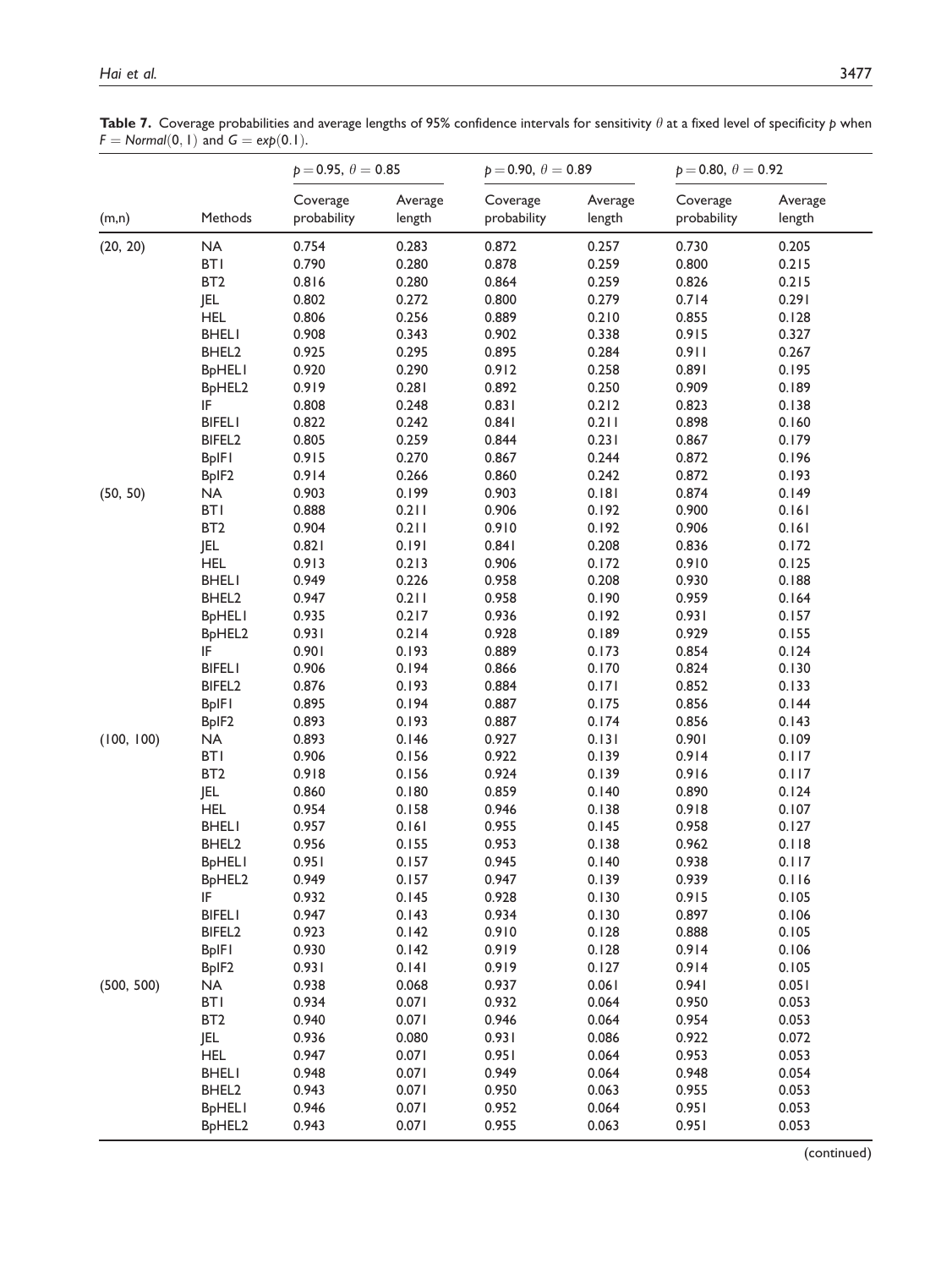Table 7. Coverage probabilities and average lengths of 95% confidence intervals for sensitivity  $\theta$  at a fixed level of specificity  $p$  when  $F = Normal(0, 1)$  and  $G = exp(0.1)$ .

|            |                                 | $p = 0.95, \theta = 0.85$ |                   | $p = 0.90, \theta = 0.89$ |                   | $p = 0.80, \theta = 0.92$ |                   |
|------------|---------------------------------|---------------------------|-------------------|---------------------------|-------------------|---------------------------|-------------------|
| (m,n)      | Methods                         | Coverage<br>probability   | Average<br>length | Coverage<br>probability   | Average<br>length | Coverage<br>probability   | Average<br>length |
| (20, 20)   | <b>NA</b>                       | 0.754                     | 0.283             | 0.872                     | 0.257             | 0.730                     | 0.205             |
|            | <b>BTI</b>                      | 0.790                     | 0.280             | 0.878                     | 0.259             | 0.800                     | 0.215             |
|            | BT <sub>2</sub>                 | 0.816                     | 0.280             | 0.864                     | 0.259             | 0.826                     | 0.215             |
|            | JEL                             | 0.802                     | 0.272             | 0.800                     | 0.279             | 0.714                     | 0.291             |
|            | <b>HEL</b>                      | 0.806                     | 0.256             | 0.889                     | 0.210             | 0.855                     | 0.128             |
|            | <b>BHELI</b>                    | 0.908                     | 0.343             | 0.902                     | 0.338             | 0.915                     | 0.327             |
|            | BHEL2                           | 0.925                     | 0.295             | 0.895                     | 0.284             | 0.911                     | 0.267             |
|            | <b>BpHELI</b>                   | 0.920                     | 0.290             | 0.912                     | 0.258             | 0.891                     | 0.195             |
|            | BpHEL2                          | 0.919                     | 0.281             | 0.892                     | 0.250             | 0.909                     | 0.189             |
|            | IF                              | 0.808                     | 0.248             | 0.831                     | 0.212             | 0.823                     | 0.138             |
|            | <b>BIFELI</b>                   | 0.822                     | 0.242             | 0.841                     | 0.211             | 0.898                     | 0.160             |
|            | BIFEL <sub>2</sub>              | 0.805                     | 0.259             | 0.844                     | 0.231             | 0.867                     | 0.179             |
|            | <b>BpIFI</b>                    | 0.915                     | 0.270             | 0.867                     | 0.244             | 0.872                     | 0.196             |
|            | BpIF2                           | 0.914                     | 0.266             | 0.860                     | 0.242             | 0.872                     | 0.193             |
| (50, 50)   | <b>NA</b>                       | 0.903                     | 0.199             | 0.903                     | 0.181             | 0.874                     | 0.149             |
|            | <b>BTI</b>                      | 0.888                     | 0.211             | 0.906                     | 0.192             | 0.900                     | 0.161             |
|            | BT <sub>2</sub>                 | 0.904                     | 0.211             | 0.910                     | 0.192             | 0.906                     | 0.161             |
|            | JEL                             | 0.821                     | 0.191             | 0.841                     | 0.208             | 0.836                     | 0.172             |
|            | <b>HEL</b>                      | 0.913                     | 0.213             | 0.906                     | 0.172             | 0.910                     | 0.125             |
|            | <b>BHELI</b>                    | 0.949                     | 0.226             | 0.958                     | 0.208             | 0.930                     | 0.188             |
|            | BHEL2                           | 0.947                     | 0.211             | 0.958                     | 0.190             | 0.959                     | 0.164             |
|            | <b>BpHELI</b>                   | 0.935                     | 0.217             | 0.936                     | 0.192             | 0.931                     | 0.157             |
|            | B <sub>p</sub> HEL <sub>2</sub> | 0.931                     | 0.214             | 0.928                     | 0.189             | 0.929                     | 0.155             |
|            | IF                              | 0.901                     | 0.193             | 0.889                     | 0.173             | 0.854                     | 0.124             |
|            | <b>BIFELI</b>                   | 0.906                     | 0.194             | 0.866                     | 0.170             | 0.824                     | 0.130             |
|            | BIFEL <sub>2</sub>              | 0.876                     | 0.193             | 0.884                     | 0.171             | 0.852                     | 0.133             |
|            | <b>BpIFI</b>                    | 0.895                     | 0.194             | 0.887                     | 0.175             | 0.856                     | 0.144             |
|            | BpIF2                           | 0.893                     | 0.193             | 0.887                     | 0.174             | 0.856                     | 0.143             |
| (100, 100) | <b>NA</b>                       | 0.893                     | 0.146             | 0.927                     | 0.131             | 0.901                     | 0.109             |
|            | <b>BTI</b>                      | 0.906                     | 0.156             | 0.922                     | 0.139             | 0.914                     | 0.117             |
|            | BT <sub>2</sub>                 | 0.918                     | 0.156             | 0.924                     | 0.139             | 0.916                     | 0.117             |
|            | <b>JEL</b>                      | 0.860                     | 0.180             | 0.859                     | 0.140             | 0.890                     | 0.124             |
|            | <b>HEL</b>                      | 0.954                     | 0.158             | 0.946                     | 0.138             | 0.918                     | 0.107             |
|            | <b>BHELI</b>                    | 0.957                     | 0.161             | 0.955                     | 0.145             | 0.958                     | 0.127             |
|            | BHEL <sub>2</sub>               | 0.956                     | 0.155             | 0.953                     | 0.138             | 0.962                     | 0.118             |
|            | <b>BpHELI</b>                   | 0.951                     | 0.157             | 0.945                     | 0.140             | 0.938                     | 0.117             |
|            | BpHEL2                          | 0.949                     | 0.157             | 0.947                     | 0.139             | 0.939                     | 0.116             |
|            | IF                              | 0.932                     | 0.145             | 0.928                     | 0.130             | 0.915                     | 0.105             |
|            | <b>BIFELI</b>                   | 0.947                     | 0.143             | 0.934                     | 0.130             | 0.897                     | 0.106             |
|            | BIFEL <sub>2</sub>              | 0.923                     | 0.142             | 0.910                     | 0.128             | 0.888                     | 0.105             |
|            | <b>BpIFI</b>                    | 0.930                     | 0.142             | 0.919                     | 0.128             | 0.914                     | 0.106             |
|            | BpIF2                           | 0.931                     | 0.141             | 0.919                     | 0.127             | 0.914                     | 0.105             |
| (500, 500) | <b>NA</b>                       | 0.938                     | 0.068             | 0.937                     | 0.061             | 0.941                     | 0.051             |
|            | <b>BTI</b>                      | 0.934                     | 0.071             | 0.932                     | 0.064             | 0.950                     | 0.053             |
|            | BT <sub>2</sub>                 | 0.940                     | 0.071             | 0.946                     | 0.064             | 0.954                     | 0.053             |
|            | JEL                             | 0.936                     | 0.080             | 0.931                     | 0.086             | 0.922                     | 0.072             |
|            | <b>HEL</b>                      | 0.947                     | 0.071             | 0.951                     | 0.064             | 0.953                     | 0.053             |
|            | <b>BHELI</b>                    | 0.948                     | 0.071             | 0.949                     | 0.064             | 0.948                     | 0.054             |
|            | BHEL <sub>2</sub>               | 0.943                     | 0.071             | 0.950                     | 0.063             | 0.955                     | 0.053             |
|            | <b>BpHELI</b>                   | 0.946                     | 0.071             | 0.952                     | 0.064             | 0.951                     | 0.053             |
|            | BpHEL2                          | 0.943                     | 0.071             | 0.955                     | 0.063             | 0.951                     | 0.053             |
|            |                                 |                           |                   |                           |                   |                           |                   |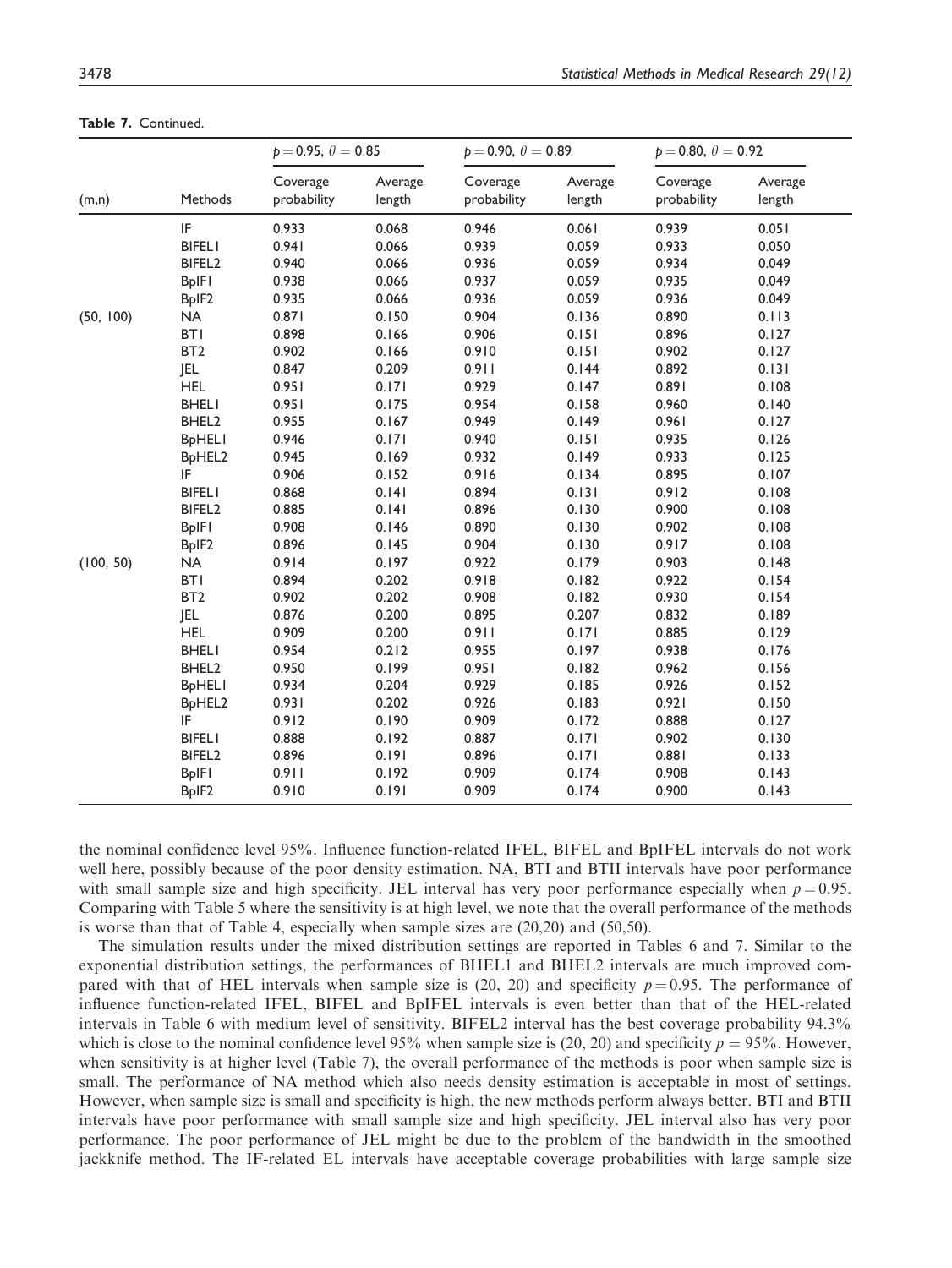|           |                                 | $p = 0.95, \theta = 0.85$ |                   | $p = 0.90, \theta = 0.89$ |                   | $p = 0.80, \theta = 0.92$ |                   |
|-----------|---------------------------------|---------------------------|-------------------|---------------------------|-------------------|---------------------------|-------------------|
| (m,n)     | Methods                         | Coverage<br>probability   | Average<br>length | Coverage<br>probability   | Average<br>length | Coverage<br>probability   | Average<br>length |
|           | IF                              | 0.933                     | 0.068             | 0.946                     | 0.061             | 0.939                     | 0.051             |
|           | <b>BIFELI</b>                   | 0.941                     | 0.066             | 0.939                     | 0.059             | 0.933                     | 0.050             |
|           | BIFEL <sub>2</sub>              | 0.940                     | 0.066             | 0.936                     | 0.059             | 0.934                     | 0.049             |
|           | <b>BpIFI</b>                    | 0.938                     | 0.066             | 0.937                     | 0.059             | 0.935                     | 0.049             |
|           | BpIF <sub>2</sub>               | 0.935                     | 0.066             | 0.936                     | 0.059             | 0.936                     | 0.049             |
| (50, 100) | <b>NA</b>                       | 0.871                     | 0.150             | 0.904                     | 0.136             | 0.890                     | 0.113             |
|           | <b>BTI</b>                      | 0.898                     | 0.166             | 0.906                     | 0.151             | 0.896                     | 0.127             |
|           | BT <sub>2</sub>                 | 0.902                     | 0.166             | 0.910                     | 0.151             | 0.902                     | 0.127             |
|           | JEL                             | 0.847                     | 0.209             | 0.911                     | 0.144             | 0.892                     | 0.131             |
|           | <b>HEL</b>                      | 0.951                     | 0.171             | 0.929                     | 0.147             | 0.891                     | 0.108             |
|           | <b>BHELI</b>                    | 0.951                     | 0.175             | 0.954                     | 0.158             | 0.960                     | 0.140             |
|           | BHEL2                           | 0.955                     | 0.167             | 0.949                     | 0.149             | 0.961                     | 0.127             |
|           | <b>BpHELI</b>                   | 0.946                     | 0.171             | 0.940                     | 0.151             | 0.935                     | 0.126             |
|           | BpHEL2                          | 0.945                     | 0.169             | 0.932                     | 0.149             | 0.933                     | 0.125             |
|           | IF                              | 0.906                     | 0.152             | 0.916                     | 0.134             | 0.895                     | 0.107             |
|           | <b>BIFELI</b>                   | 0.868                     | 0.141             | 0.894                     | 0.131             | 0.912                     | 0.108             |
|           | BIFEL <sub>2</sub>              | 0.885                     | 0.141             | 0.896                     | 0.130             | 0.900                     | 0.108             |
|           | <b>BpIFI</b>                    | 0.908                     | 0.146             | 0.890                     | 0.130             | 0.902                     | 0.108             |
|           | BpIF2                           | 0.896                     | 0.145             | 0.904                     | 0.130             | 0.917                     | 0.108             |
| (100, 50) | NA                              | 0.914                     | 0.197             | 0.922                     | 0.179             | 0.903                     | 0.148             |
|           | <b>BTI</b>                      | 0.894                     | 0.202             | 0.918                     | 0.182             | 0.922                     | 0.154             |
|           | BT <sub>2</sub>                 | 0.902                     | 0.202             | 0.908                     | 0.182             | 0.930                     | 0.154             |
|           | <b>JEL</b>                      | 0.876                     | 0.200             | 0.895                     | 0.207             | 0.832                     | 0.189             |
|           | <b>HEL</b>                      | 0.909                     | 0.200             | 0.911                     | 0.171             | 0.885                     | 0.129             |
|           | <b>BHELI</b>                    | 0.954                     | 0.212             | 0.955                     | 0.197             | 0.938                     | 0.176             |
|           | BHEL2                           | 0.950                     | 0.199             | 0.951                     | 0.182             | 0.962                     | 0.156             |
|           | <b>BpHELI</b>                   | 0.934                     | 0.204             | 0.929                     | 0.185             | 0.926                     | 0.152             |
|           | B <sub>p</sub> HEL <sub>2</sub> | 0.931                     | 0.202             | 0.926                     | 0.183             | 0.921                     | 0.150             |
|           | IF                              | 0.912                     | 0.190             | 0.909                     | 0.172             | 0.888                     | 0.127             |
|           | <b>BIFELI</b>                   | 0.888                     | 0.192             | 0.887                     | 0.171             | 0.902                     | 0.130             |
|           | BIFEL <sub>2</sub>              | 0.896                     | 0.191             | 0.896                     | 0.171             | 0.881                     | 0.133             |
|           | <b>BpIFI</b>                    | 0.911                     | 0.192             | 0.909                     | 0.174             | 0.908                     | 0.143             |
|           | BpIF <sub>2</sub>               | 0.910                     | 0.191             | 0.909                     | 0.174             | 0.900                     | 0.143             |

Table 7. Continued.

the nominal confidence level 95%. Influence function-related IFEL, BIFEL and BpIFEL intervals do not work well here, possibly because of the poor density estimation. NA, BTI and BTII intervals have poor performance with small sample size and high specificity. JEL interval has very poor performance especially when  $p = 0.95$ . Comparing with Table 5 where the sensitivity is at high level, we note that the overall performance of the methods is worse than that of Table 4, especially when sample sizes are (20,20) and (50,50).

The simulation results under the mixed distribution settings are reported in Tables 6 and 7. Similar to the exponential distribution settings, the performances of BHEL1 and BHEL2 intervals are much improved compared with that of HEL intervals when sample size is (20, 20) and specificity  $p = 0.95$ . The performance of influence function-related IFEL, BIFEL and BpIFEL intervals is even better than that of the HEL-related intervals in Table 6 with medium level of sensitivity. BIFEL2 interval has the best coverage probability 94.3% which is close to the nominal confidence level 95% when sample size is (20, 20) and specificity  $p = 95\%$ . However, when sensitivity is at higher level (Table 7), the overall performance of the methods is poor when sample size is small. The performance of NA method which also needs density estimation is acceptable in most of settings. However, when sample size is small and specificity is high, the new methods perform always better. BTI and BTII intervals have poor performance with small sample size and high specificity. JEL interval also has very poor performance. The poor performance of JEL might be due to the problem of the bandwidth in the smoothed jackknife method. The IF-related EL intervals have acceptable coverage probabilities with large sample size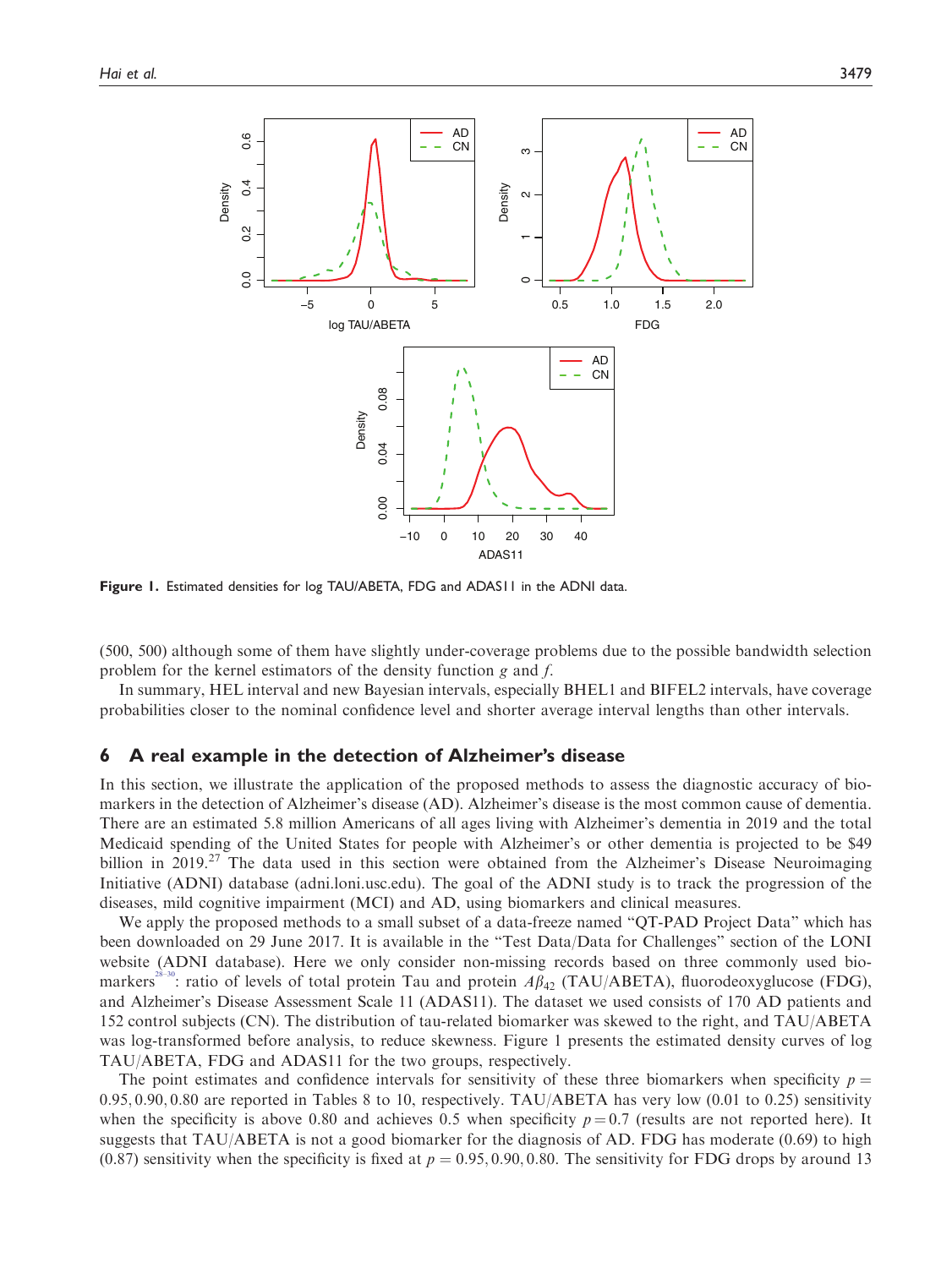

Figure 1. Estimated densities for log TAU/ABETA, FDG and ADAS11 in the ADNI data.

(500, 500) although some of them have slightly under-coverage problems due to the possible bandwidth selection problem for the kernel estimators of the density function g and f.

In summary, HEL interval and new Bayesian intervals, especially BHEL1 and BIFEL2 intervals, have coverage probabilities closer to the nominal confidence level and shorter average interval lengths than other intervals.

#### 6 A real example in the detection of Alzheimer's disease

In this section, we illustrate the application of the proposed methods to assess the diagnostic accuracy of biomarkers in the detection of Alzheimer's disease (AD). Alzheimer's disease is the most common cause of dementia. There are an estimated 5.8 million Americans of all ages living with Alzheimer's dementia in 2019 and the total Medicaid spending of the United States for people with Alzheimer's or other dementia is projected to be \$49 billion in 2019.<sup>27</sup> The data used in this section were obtained from the Alzheimer's Disease Neuroimaging Initiative (ADNI) database (adni.loni.usc.edu). The goal of the ADNI study is to track the progression of the diseases, mild cognitive impairment (MCI) and AD, using biomarkers and clinical measures.

We apply the proposed methods to a small subset of a data-freeze named "QT-PAD Project Data" which has been downloaded on 29 June 2017. It is available in the "Test Data/Data for Challenges" section of the LONI website (ADNI database). Here we only consider non-missing records based on three commonly used bio-markers<sup>[28](#page-25-0)–30</sup>: ratio of levels of total protein Tau and protein  $A\beta_{42}$  (TAU/ABETA), fluorodeoxyglucose (FDG), and Alzheimer's Disease Assessment Scale 11 (ADAS11). The dataset we used consists of 170 AD patients and 152 control subjects (CN). The distribution of tau-related biomarker was skewed to the right, and TAU/ABETA was log-transformed before analysis, to reduce skewness. Figure 1 presents the estimated density curves of log TAU/ABETA, FDG and ADAS11 for the two groups, respectively.

The point estimates and confidence intervals for sensitivity of these three biomarkers when specificity  $p =$  $0.95, 0.90, 0.80$  are reported in Tables 8 to 10, respectively. TAU/ABETA has very low  $(0.01 \text{ to } 0.25)$  sensitivity when the specificity is above 0.80 and achieves 0.5 when specificity  $p = 0.7$  (results are not reported here). It suggests that TAU/ABETA is not a good biomarker for the diagnosis of AD. FDG has moderate (0.69) to high (0.87) sensitivity when the specificity is fixed at  $p = 0.95, 0.90, 0.80$ . The sensitivity for FDG drops by around 13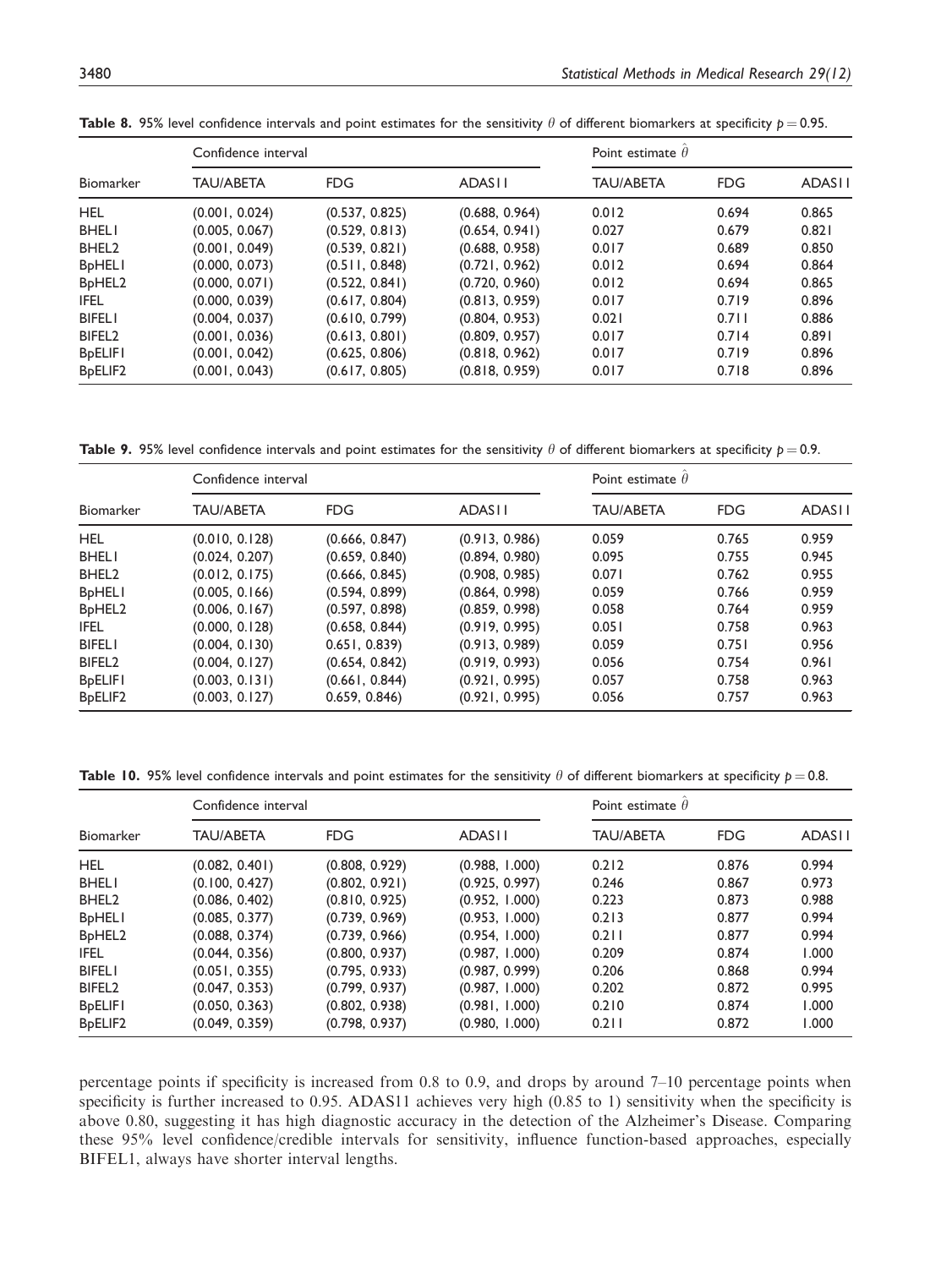| Biomarker                        | Confidence interval |                | Point estimate $\theta$ |                  |            |               |
|----------------------------------|---------------------|----------------|-------------------------|------------------|------------|---------------|
|                                  | <b>TAU/ABETA</b>    | <b>FDG</b>     | <b>ADASII</b>           | <b>TAU/ABETA</b> | <b>FDG</b> | <b>ADASII</b> |
| <b>HEL</b>                       | (0.001, 0.024)      | (0.537, 0.825) | (0.688, 0.964)          | 0.012            | 0.694      | 0.865         |
| <b>BHELI</b>                     | (0.005, 0.067)      | (0.529, 0.813) | (0.654, 0.941)          | 0.027            | 0.679      | 0.821         |
| BHEL <sub>2</sub>                | (0.001, 0.049)      | (0.539, 0.821) | (0.688, 0.958)          | 0.017            | 0.689      | 0.850         |
| <b>B</b> <sub>p</sub> HELI       | (0.000, 0.073)      | (0.511, 0.848) | (0.721, 0.962)          | 0.012            | 0.694      | 0.864         |
| B <sub>p</sub> HEL <sub>2</sub>  | (0.000, 0.071)      | (0.522, 0.841) | (0.720, 0.960)          | 0.012            | 0.694      | 0.865         |
| <b>IFEL</b>                      | (0.000, 0.039)      | (0.617, 0.804) | (0.813, 0.959)          | 0.017            | 0.719      | 0.896         |
| <b>BIFELI</b>                    | (0.004, 0.037)      | (0.610, 0.799) | (0.804, 0.953)          | 0.021            | 0.711      | 0.886         |
| BIFEL <sub>2</sub>               | (0.001, 0.036)      | (0.613, 0.801) | (0.809, 0.957)          | 0.017            | 0.714      | 0.891         |
| <b>B</b> <sub>pELIFI</sub>       | (0.001, 0.042)      | (0.625, 0.806) | (0.818, 0.962)          | 0.017            | 0.719      | 0.896         |
| B <sub>p</sub> ELIF <sub>2</sub> | (0.001, 0.043)      | (0.617, 0.805) | (0.818, 0.959)          | 0.017            | 0.718      | 0.896         |

**Table 8.** 95% level confidence intervals and point estimates for the sensitivity  $\theta$  of different biomarkers at specificity  $p = 0.95$ .

**Table 9.** 95% level confidence intervals and point estimates for the sensitivity  $\theta$  of different biomarkers at specificity  $p = 0.9$ .

| <b>Biomarker</b>                | Confidence interval |                | Point estimate $\theta$ |                  |            |               |
|---------------------------------|---------------------|----------------|-------------------------|------------------|------------|---------------|
|                                 | <b>TAU/ABETA</b>    | FDG.           | <b>ADASII</b>           | <b>TAU/ABETA</b> | <b>FDG</b> | <b>ADASII</b> |
| <b>HEL</b>                      | (0.010, 0.128)      | (0.666, 0.847) | (0.913, 0.986)          | 0.059            | 0.765      | 0.959         |
| <b>BHELI</b>                    | (0.024, 0.207)      | (0.659, 0.840) | (0.894, 0.980)          | 0.095            | 0.755      | 0.945         |
| BHEL <sub>2</sub>               | (0.012, 0.175)      | (0.666, 0.845) | (0.908, 0.985)          | 0.071            | 0.762      | 0.955         |
| <b>BpHELI</b>                   | (0.005, 0.166)      | (0.594, 0.899) | (0.864, 0.998)          | 0.059            | 0.766      | 0.959         |
| B <sub>p</sub> HEL <sub>2</sub> | (0.006, 0.167)      | (0.597, 0.898) | (0.859, 0.998)          | 0.058            | 0.764      | 0.959         |
| <b>IFEL</b>                     | (0.000, 0.128)      | (0.658, 0.844) | (0.919, 0.995)          | 0.051            | 0.758      | 0.963         |
| <b>BIFELI</b>                   | (0.004, 0.130)      | 0.651, 0.839   | (0.913, 0.989)          | 0.059            | 0.751      | 0.956         |
| BIFEL <sub>2</sub>              | (0.004, 0.127)      | (0.654, 0.842) | (0.919, 0.993)          | 0.056            | 0.754      | 0.961         |
| <b>BpELIFI</b>                  | (0.003, 0.131)      | (0.661, 0.844) | (0.921, 0.995)          | 0.057            | 0.758      | 0.963         |
| B <sub>pELIF2</sub>             | (0.003, 0.127)      | 0.659, 0.846   | (0.921, 0.995)          | 0.056            | 0.757      | 0.963         |

**Table 10.** 95% level confidence intervals and point estimates for the sensitivity  $\theta$  of different biomarkers at specificity  $p = 0.8$ .

| <b>Biomarker</b>                | Confidence interval |                | Point estimate $\theta$ |                  |            |               |
|---------------------------------|---------------------|----------------|-------------------------|------------------|------------|---------------|
|                                 | <b>TAU/ABETA</b>    | FDG.           | <b>ADASII</b>           | <b>TAU/ABETA</b> | <b>FDG</b> | <b>ADASII</b> |
| <b>HEL</b>                      | (0.082, 0.401)      | (0.808, 0.929) | (0.988, 1.000)          | 0.212            | 0.876      | 0.994         |
| <b>BHELI</b>                    | (0.100, 0.427)      | (0.802, 0.921) | (0.925, 0.997)          | 0.246            | 0.867      | 0.973         |
| BHEL <sub>2</sub>               | (0.086, 0.402)      | (0.810, 0.925) | (0.952, 1.000)          | 0.223            | 0.873      | 0.988         |
| <b>BpHELI</b>                   | (0.085, 0.377)      | (0.739, 0.969) | (0.953, 1.000)          | 0.213            | 0.877      | 0.994         |
| B <sub>p</sub> HEL <sub>2</sub> | (0.088, 0.374)      | (0.739, 0.966) | (0.954, 1.000)          | 0.211            | 0.877      | 0.994         |
| IFEL.                           | (0.044, 0.356)      | (0.800, 0.937) | (0.987, 1.000)          | 0.209            | 0.874      | 1.000         |
| <b>BIFELI</b>                   | (0.051, 0.355)      | (0.795, 0.933) | (0.987, 0.999)          | 0.206            | 0.868      | 0.994         |
| BIFEL <sub>2</sub>              | (0.047, 0.353)      | (0.799, 0.937) | (0.987, 1.000)          | 0.202            | 0.872      | 0.995         |
| <b>BpELIFI</b>                  | (0.050, 0.363)      | (0.802, 0.938) | (0.981, 1.000)          | 0.210            | 0.874      | 1.000         |
| B <sub>pELIF2</sub>             | (0.049, 0.359)      | (0.798, 0.937) | (0.980, 1.000)          | 0.211            | 0.872      | 1.000         |

percentage points if specificity is increased from 0.8 to 0.9, and drops by around 7–10 percentage points when specificity is further increased to 0.95. ADAS11 achieves very high (0.85 to 1) sensitivity when the specificity is above 0.80, suggesting it has high diagnostic accuracy in the detection of the Alzheimer's Disease. Comparing these 95% level confidence/credible intervals for sensitivity, influence function-based approaches, especially BIFEL1, always have shorter interval lengths.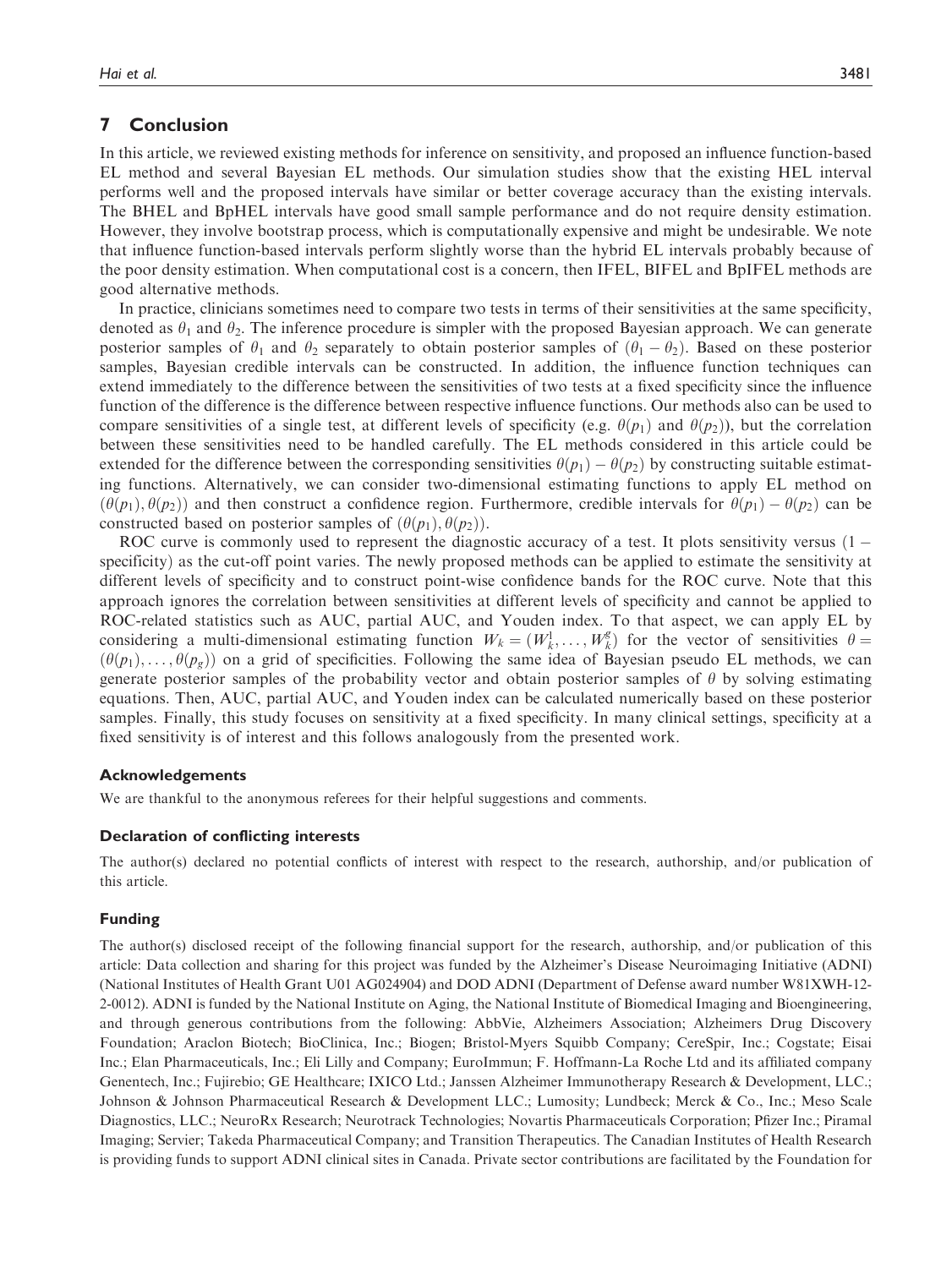## 7 Conclusion

In this article, we reviewed existing methods for inference on sensitivity, and proposed an influence function-based EL method and several Bayesian EL methods. Our simulation studies show that the existing HEL interval performs well and the proposed intervals have similar or better coverage accuracy than the existing intervals. The BHEL and BpHEL intervals have good small sample performance and do not require density estimation. However, they involve bootstrap process, which is computationally expensive and might be undesirable. We note that influence function-based intervals perform slightly worse than the hybrid EL intervals probably because of the poor density estimation. When computational cost is a concern, then IFEL, BIFEL and BpIFEL methods are good alternative methods.

In practice, clinicians sometimes need to compare two tests in terms of their sensitivities at the same specificity, denoted as  $\theta_1$  and  $\theta_2$ . The inference procedure is simpler with the proposed Bayesian approach. We can generate posterior samples of  $\theta_1$  and  $\theta_2$  separately to obtain posterior samples of  $(\theta_1 - \theta_2)$ . Based on these posterior samples, Bayesian credible intervals can be constructed. In addition, the influence function techniques can extend immediately to the difference between the sensitivities of two tests at a fixed specificity since the influence function of the difference is the difference between respective influence functions. Our methods also can be used to compare sensitivities of a single test, at different levels of specificity (e.g.  $\theta(p_1)$  and  $\theta(p_2)$ ), but the correlation between these sensitivities need to be handled carefully. The EL methods considered in this article could be extended for the difference between the corresponding sensitivities  $\theta(p_1) - \theta(p_2)$  by constructing suitable estimations.<br>In functions, Alternatively, we can consider two-dimensional estimating functions to apply FL metho ing functions. Alternatively, we can consider two-dimensional estimating functions to apply EL method on  $(\theta(p_1), \theta(p_2))$  and then construct a confidence region. Furthermore, credible intervals for  $\theta(p_1) - \theta(p_2)$  can be constructed based on posterior samples of  $(\theta(p_1), \theta(p_2))$ constructed based on posterior samples of  $(\theta(p_1), \theta(p_2))$ .

ROC curve is commonly used to represent the diagnostic accuracy of a test. It plots sensitivity versus  $(1$ specificity) as the cut-off point varies. The newly proposed methods can be applied to estimate the sensitivity at different levels of specificity and to construct point-wise confidence bands for the ROC curve. Note that this approach ignores the correlation between sensitivities at different levels of specificity and cannot be applied to ROC-related statistics such as AUC, partial AUC, and Youden index. To that aspect, we can apply EL by considering a multi-dimensional estimating function  $W_k = (W_k^1, \dots, W_k^g)$  for the vector of sensitivities  $\theta = (H_k, \dots, H_k^g)$  for the vector of sensitivities  $\theta = (H_k, \dots, H_k^g)$  $(\theta(p_1), \ldots, \theta(p_\sigma))$  on a grid of specificities. Following the same idea of Bayesian pseudo EL methods, we can generate posterior samples of the probability vector and obtain posterior samples of  $\theta$  by solving estimating equations. Then, AUC, partial AUC, and Youden index can be calculated numerically based on these posterior samples. Finally, this study focuses on sensitivity at a fixed specificity. In many clinical settings, specificity at a fixed sensitivity is of interest and this follows analogously from the presented work.

#### Acknowledgements

We are thankful to the anonymous referees for their helpful suggestions and comments.

#### Declaration of conflicting interests

The author(s) declared no potential conflicts of interest with respect to the research, authorship, and/or publication of this article.

#### Funding

The author(s) disclosed receipt of the following financial support for the research, authorship, and/or publication of this article: Data collection and sharing for this project was funded by the Alzheimer's Disease Neuroimaging Initiative (ADNI) (National Institutes of Health Grant U01 AG024904) and DOD ADNI (Department of Defense award number W81XWH-12- 2-0012). ADNI is funded by the National Institute on Aging, the National Institute of Biomedical Imaging and Bioengineering, and through generous contributions from the following: AbbVie, Alzheimers Association; Alzheimers Drug Discovery Foundation; Araclon Biotech; BioClinica, Inc.; Biogen; Bristol-Myers Squibb Company; CereSpir, Inc.; Cogstate; Eisai Inc.; Elan Pharmaceuticals, Inc.; Eli Lilly and Company; EuroImmun; F. Hoffmann-La Roche Ltd and its affiliated company Genentech, Inc.; Fujirebio; GE Healthcare; IXICO Ltd.; Janssen Alzheimer Immunotherapy Research & Development, LLC.; Johnson & Johnson Pharmaceutical Research & Development LLC.; Lumosity; Lundbeck; Merck & Co., Inc.; Meso Scale Diagnostics, LLC.; NeuroRx Research; Neurotrack Technologies; Novartis Pharmaceuticals Corporation; Pfizer Inc.; Piramal Imaging; Servier; Takeda Pharmaceutical Company; and Transition Therapeutics. The Canadian Institutes of Health Research is providing funds to support ADNI clinical sites in Canada. Private sector contributions are facilitated by the Foundation for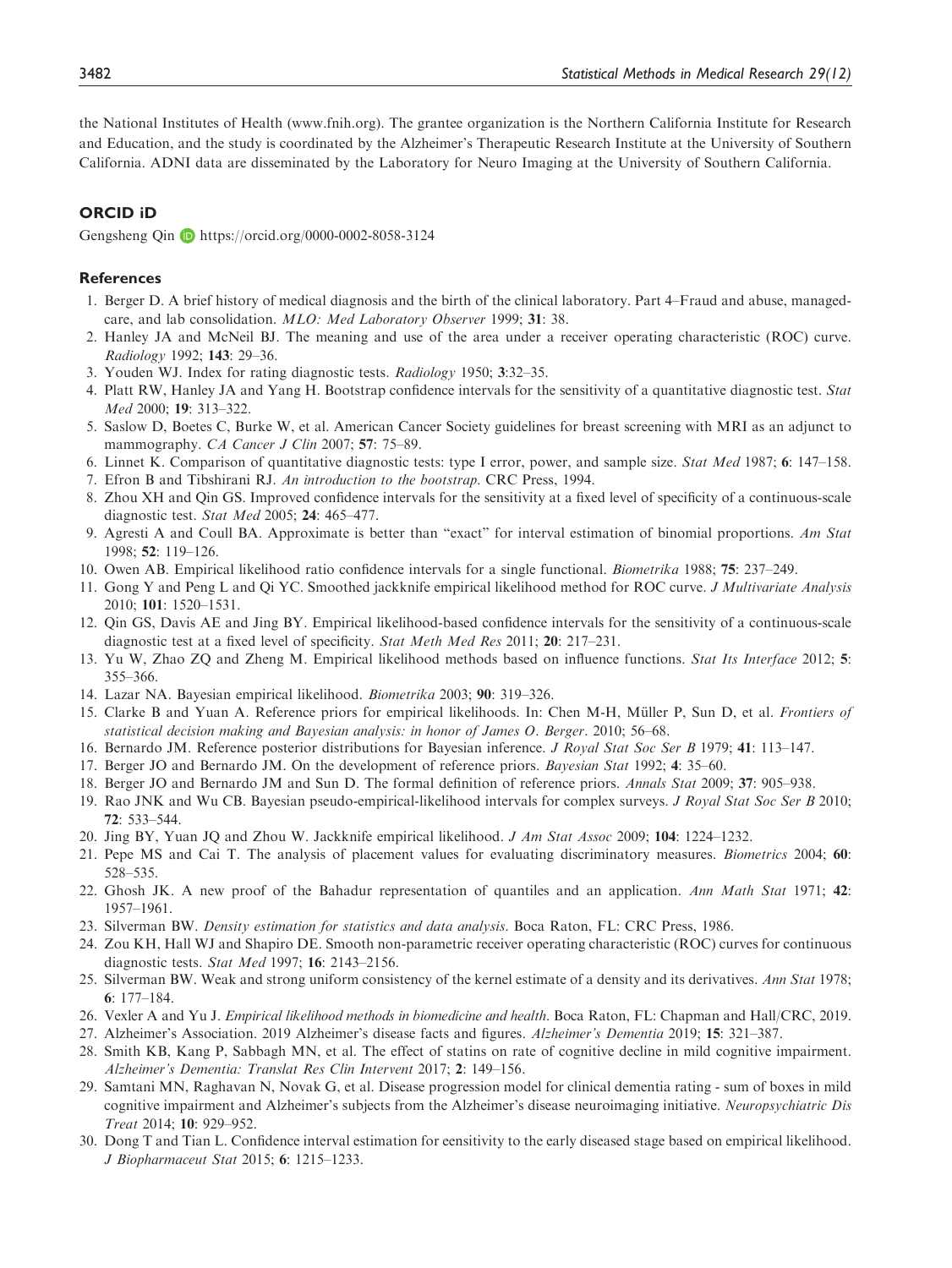<span id="page-25-0"></span>the National Institutes of Health (<www.fnih.org>). The grantee organization is the Northern California Institute for Research and Education, and the study is coordinated by the Alzheimer's Therapeutic Research Institute at the University of Southern California. ADNI data are disseminated by the Laboratory for Neuro Imaging at the University of Southern California.

## ORCID iD

Gengsheng Qin <https://orcid.org/0000-0002-8058-3124>

#### References

- 1. Berger D. A brief history of medical diagnosis and the birth of the clinical laboratory. Part 4–Fraud and abuse, managedcare, and lab consolidation. MLO: Med Laboratory Observer 1999; 31: 38.
- 2. Hanley JA and McNeil BJ. The meaning and use of the area under a receiver operating characteristic (ROC) curve. Radiology 1992; 143: 29–36.
- 3. Youden WJ. Index for rating diagnostic tests. Radiology 1950; 3:32–35.
- 4. Platt RW, Hanley JA and Yang H. Bootstrap confidence intervals for the sensitivity of a quantitative diagnostic test. Stat Med 2000; 19: 313–322.
- 5. Saslow D, Boetes C, Burke W, et al. American Cancer Society guidelines for breast screening with MRI as an adjunct to mammography. CA Cancer J Clin 2007; 57: 75–89.
- 6. Linnet K. Comparison of quantitative diagnostic tests: type I error, power, and sample size. Stat Med 1987; 6: 147–158.
- 7. Efron B and Tibshirani RJ. An introduction to the bootstrap. CRC Press, 1994.
- 8. Zhou XH and Qin GS. Improved confidence intervals for the sensitivity at a fixed level of specificity of a continuous-scale diagnostic test. Stat Med 2005; 24: 465–477.
- 9. Agresti A and Coull BA. Approximate is better than "exact" for interval estimation of binomial proportions. Am Stat 1998; 52: 119–126.
- 10. Owen AB. Empirical likelihood ratio confidence intervals for a single functional. Biometrika 1988; 75: 237–249.
- 11. Gong Y and Peng L and Qi YC. Smoothed jackknife empirical likelihood method for ROC curve. J Multivariate Analysis 2010; 101: 1520–1531.
- 12. Qin GS, Davis AE and Jing BY. Empirical likelihood-based confidence intervals for the sensitivity of a continuous-scale diagnostic test at a fixed level of specificity. Stat Meth Med Res 2011; 20: 217–231.
- 13. Yu W, Zhao ZQ and Zheng M. Empirical likelihood methods based on influence functions. Stat Its Interface 2012; 5: 355–366.
- 14. Lazar NA. Bayesian empirical likelihood. Biometrika 2003; 90: 319–326.
- 15. Clarke B and Yuan A. Reference priors for empirical likelihoods. In: Chen M-H, Müller P, Sun D, et al. *Frontiers of* statistical decision making and Bayesian analysis: in honor of James O. Berger. 2010; 56–68.
- 16. Bernardo JM. Reference posterior distributions for Bayesian inference. J Royal Stat Soc Ser B 1979; 41: 113–147.
- 17. Berger JO and Bernardo JM. On the development of reference priors. Bayesian Stat 1992; 4: 35–60.
- 18. Berger JO and Bernardo JM and Sun D. The formal definition of reference priors. Annals Stat 2009; 37: 905–938.
- 19. Rao JNK and Wu CB. Bayesian pseudo-empirical-likelihood intervals for complex surveys. J Royal Stat Soc Ser B 2010; 72: 533–544.
- 20. Jing BY, Yuan JQ and Zhou W. Jackknife empirical likelihood. J Am Stat Assoc 2009; 104: 1224–1232.
- 21. Pepe MS and Cai T. The analysis of placement values for evaluating discriminatory measures. Biometrics 2004; 60: 528–535.
- 22. Ghosh JK. A new proof of the Bahadur representation of quantiles and an application. Ann Math Stat 1971; 42: 1957–1961.
- 23. Silverman BW. Density estimation for statistics and data analysis. Boca Raton, FL: CRC Press, 1986.
- 24. Zou KH, Hall WJ and Shapiro DE. Smooth non-parametric receiver operating characteristic (ROC) curves for continuous diagnostic tests. Stat Med 1997; 16: 2143–2156.
- 25. Silverman BW. Weak and strong uniform consistency of the kernel estimate of a density and its derivatives. Ann Stat 1978; 6: 177–184.
- 26. Vexler A and Yu J. Empirical likelihood methods in biomedicine and health. Boca Raton, FL: Chapman and Hall/CRC, 2019.
- 27. Alzheimer's Association. 2019 Alzheimer's disease facts and figures. Alzheimer's Dementia 2019; 15: 321–387.
- 28. Smith KB, Kang P, Sabbagh MN, et al. The effect of statins on rate of cognitive decline in mild cognitive impairment. Alzheimer's Dementia: Translat Res Clin Intervent 2017; 2: 149–156.
- 29. Samtani MN, Raghavan N, Novak G, et al. Disease progression model for clinical dementia rating sum of boxes in mild cognitive impairment and Alzheimer's subjects from the Alzheimer's disease neuroimaging initiative. Neuropsychiatric Dis Treat 2014; 10: 929–952.
- 30. Dong T and Tian L. Confidence interval estimation for eensitivity to the early diseased stage based on empirical likelihood. J Biopharmaceut Stat 2015; 6: 1215–1233.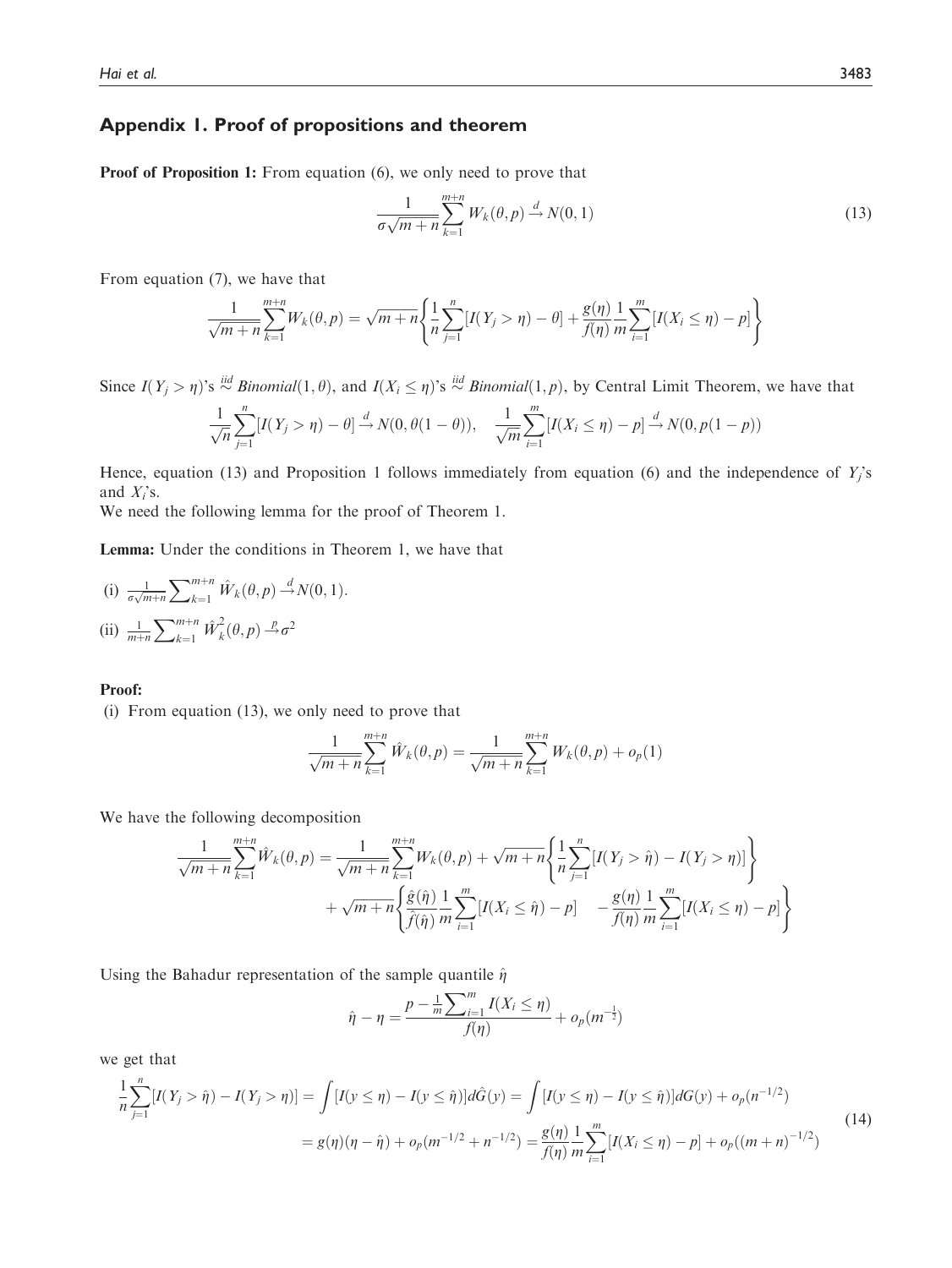## Appendix 1. Proof of propositions and theorem

Proof of Proposition 1: From equation (6), we only need to prove that

$$
\frac{1}{\sigma\sqrt{m+n}}\sum_{k=1}^{m+n}W_k(\theta,p)\stackrel{d}{\to}N(0,1)
$$
\n(13)

From equation (7), we have that

$$
\frac{1}{\sqrt{m+n}}\sum_{k=1}^{m+n}W_k(\theta,p)=\sqrt{m+n}\left\{\frac{1}{n}\sum_{j=1}^n[I(Y_j>\eta)-\theta]+\frac{g(\eta)}{f(\eta)}\frac{1}{m}\sum_{i=1}^m[I(X_i\leq\eta)-p]\right\}
$$

Since  $I(Y_j > \eta)$ 's  $\stackrel{iid}{\sim} Binomial(1, \theta)$ , and  $I(X_i \leq \eta)$ 's  $\stackrel{iid}{\sim} Binomial(1, p)$ , by Central Limit Theorem, we have that

$$
\frac{1}{\sqrt{n}}\sum_{j=1}^{n}[I(Y_j > \eta) - \theta] \stackrel{d}{\rightarrow} N(0, \theta(1-\theta)), \quad \frac{1}{\sqrt{m}}\sum_{i=1}^{m}[I(X_i \le \eta) - p] \stackrel{d}{\rightarrow} N(0, p(1-p))
$$

Hence, equation (13) and Proposition 1 follows immediately from equation (6) and the independence of  $Y_i$ 's and  $X_i$ 's.

We need the following lemma for the proof of Theorem 1.

Lemma: Under the conditions in Theorem 1, we have that

(i) 
$$
\frac{1}{\sigma\sqrt{m+n}}\sum_{k=1}^{m+n} \hat{W}_k(\theta, p) \stackrel{d}{\rightarrow} N(0, 1).
$$
  
\n(ii)  $\frac{1}{m+n}\sum_{k=1}^{m+n} \hat{W}_k^2(\theta, p) \stackrel{p}{\rightarrow} \sigma^2$ 

#### Proof:

(i) From equation (13), we only need to prove that

$$
\frac{1}{\sqrt{m+n}}\sum_{k=1}^{m+n} \hat{W}_k(\theta, p) = \frac{1}{\sqrt{m+n}}\sum_{k=1}^{m+n} W_k(\theta, p) + o_p(1)
$$

We have the following decomposition

$$
\frac{1}{\sqrt{m+n}} \sum_{k=1}^{m+n} \hat{W}_k(\theta, p) = \frac{1}{\sqrt{m+n}} \sum_{k=1}^{m+n} W_k(\theta, p) + \sqrt{m+n} \left\{ \frac{1}{n} \sum_{j=1}^n [I(Y_j > \hat{\eta}) - I(Y_j > \eta)] \right\} + \sqrt{m+n} \left\{ \frac{\hat{g}(\hat{\eta})}{\hat{f}(\hat{\eta})} \frac{1}{m} \sum_{i=1}^m [I(X_i \le \hat{\eta}) - p] - \frac{g(\eta)}{f(\eta)} \frac{1}{m} \sum_{i=1}^m [I(X_i \le \eta) - p] \right\}
$$

Using the Bahadur representation of the sample quantile  $\hat{\eta}$ 

$$
\hat{\eta} - \eta = \frac{p - \frac{1}{m} \sum_{i=1}^{m} I(X_i \le \eta)}{f(\eta)} + o_p(m^{-\frac{1}{2}})
$$

we get that

$$
\frac{1}{n}\sum_{j=1}^{n}[I(Y_j > \hat{\eta}) - I(Y_j > \eta)] = \int [I(y \le \eta) - I(y \le \hat{\eta})]d\hat{G}(y) = \int [I(y \le \eta) - I(y \le \hat{\eta})]dG(y) + o_p(n^{-1/2})
$$
\n
$$
= g(\eta)(\eta - \hat{\eta}) + o_p(m^{-1/2} + n^{-1/2}) = \frac{g(\eta)}{f(\eta)}\frac{1}{m}\sum_{i=1}^{m}[I(X_i \le \eta) - p] + o_p((m+n)^{-1/2})
$$
\n(14)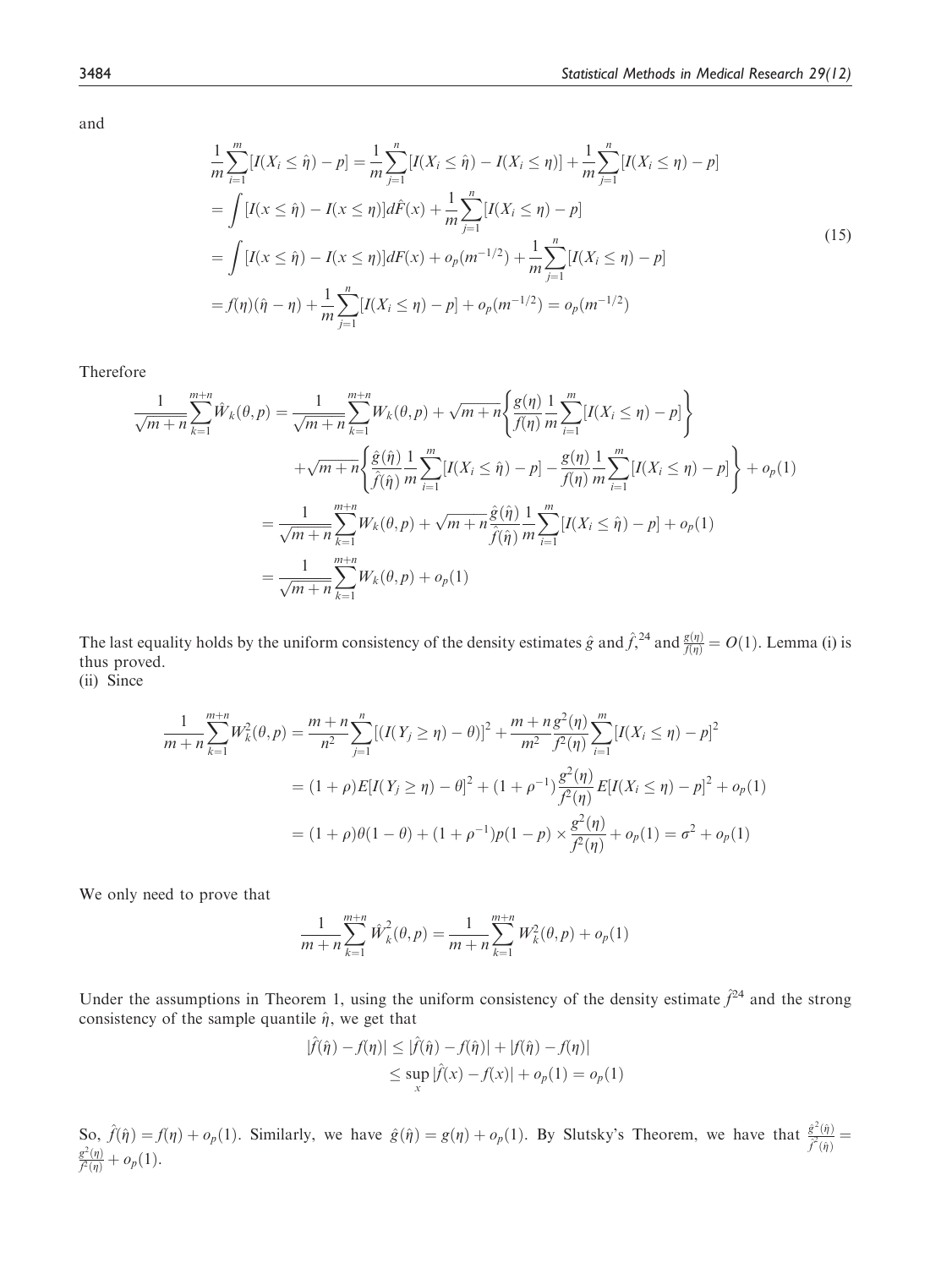and

$$
\frac{1}{m}\sum_{i=1}^{m}[I(X_i \leq \hat{\eta}) - p] = \frac{1}{m}\sum_{j=1}^{n}[I(X_i \leq \hat{\eta}) - I(X_i \leq \eta)] + \frac{1}{m}\sum_{j=1}^{n}[I(X_i \leq \eta) - p]
$$
\n
$$
= \int [I(x \leq \hat{\eta}) - I(x \leq \eta)]d\hat{F}(x) + \frac{1}{m}\sum_{j=1}^{n}[I(X_i \leq \eta) - p]
$$
\n
$$
= \int [I(x \leq \hat{\eta}) - I(x \leq \eta)]dF(x) + o_p(m^{-1/2}) + \frac{1}{m}\sum_{j=1}^{n}[I(X_i \leq \eta) - p]
$$
\n
$$
= f(\eta)(\hat{\eta} - \eta) + \frac{1}{m}\sum_{j=1}^{n}[I(X_i \leq \eta) - p] + o_p(m^{-1/2}) = o_p(m^{-1/2})
$$
\n(15)

Therefore

$$
\frac{1}{\sqrt{m+n}} \sum_{k=1}^{m+n} \hat{W}_k(\theta, p) = \frac{1}{\sqrt{m+n}} \sum_{k=1}^{m+n} W_k(\theta, p) + \sqrt{m+n} \left\{ \frac{g(\eta)}{f(\eta)} \frac{1}{m} \sum_{i=1}^m [I(X_i \le \eta) - p] \right\} \n+ \sqrt{m+n} \left\{ \frac{\hat{g}(\hat{\eta})}{\hat{f}(\hat{\eta})} \frac{1}{m} \sum_{i=1}^m [I(X_i \le \hat{\eta}) - p] - \frac{g(\eta)}{f(\eta)} \frac{1}{m} \sum_{i=1}^m [I(X_i \le \eta) - p] \right\} + o_p(1) \n= \frac{1}{\sqrt{m+n}} \sum_{k=1}^{m+n} W_k(\theta, p) + \sqrt{m+n} \frac{\hat{g}(\hat{\eta})}{\hat{f}(\hat{\eta})} \frac{1}{m} \sum_{i=1}^m [I(X_i \le \hat{\eta}) - p] + o_p(1) \n= \frac{1}{\sqrt{m+n}} \sum_{k=1}^{m+n} W_k(\theta, p) + o_p(1)
$$

The last equality holds by the uniform consistency of the density estimates  $\hat{g}$  and  $\hat{f}^{24}$  and  $\frac{g(\eta)}{f(\eta)} = O(1)$ . Lemma (i) is thus proved thus proved.

(ii) Since

$$
\frac{1}{m+n} \sum_{k=1}^{m+n} W_k^2(\theta, p) = \frac{m+n}{n^2} \sum_{j=1}^n \left[ (I(Y_j \ge \eta) - \theta) \right]^2 + \frac{m+n}{n^2} \frac{g^2(\eta)}{f^2(\eta)} \sum_{i=1}^m \left[ I(X_i \le \eta) - p \right]^2
$$
  
=  $(1+\rho)E[I(Y_j \ge \eta) - \theta]^2 + (1+\rho^{-1})\frac{g^2(\eta)}{f^2(\eta)} E[I(X_i \le \eta) - p]^2 + o_p(1)$   
=  $(1+\rho)\theta(1-\theta) + (1+\rho^{-1})p(1-p) \times \frac{g^2(\eta)}{f^2(\eta)} + o_p(1) = \sigma^2 + o_p(1)$ 

We only need to prove that

$$
\frac{1}{m+n}\sum_{k=1}^{m+n} \hat{W}_k^2(\theta, p) = \frac{1}{m+n}\sum_{k=1}^{m+n} W_k^2(\theta, p) + o_p(1)
$$

Under the assumptions in Theorem 1, using the uniform consistency of the density estimate  $\hat{f}^{24}$  and the strong consistency of the sample quantile  $\hat{\eta}$ , we get that

$$
|\hat{f}(\hat{\eta}) - f(\eta)| \le |\hat{f}(\hat{\eta}) - f(\hat{\eta})| + |f(\hat{\eta}) - f(\eta)|
$$
  

$$
\le \sup_{x} |\hat{f}(x) - f(x)| + o_p(1) = o_p(1)
$$

So,  $\hat{f}(\hat{\eta}) = f(\eta) + o_p(1)$ . Similarly, we have  $\hat{g}(\hat{\eta}) = g(\eta) + o_p(1)$ . By Slutsky's Theorem, we have that  $\frac{\hat{g}^2(\hat{\eta})}{\hat{f}^2(\hat{\eta})} = \frac{g^2(\eta)}{f^2(\eta)} + o_p(1)$ .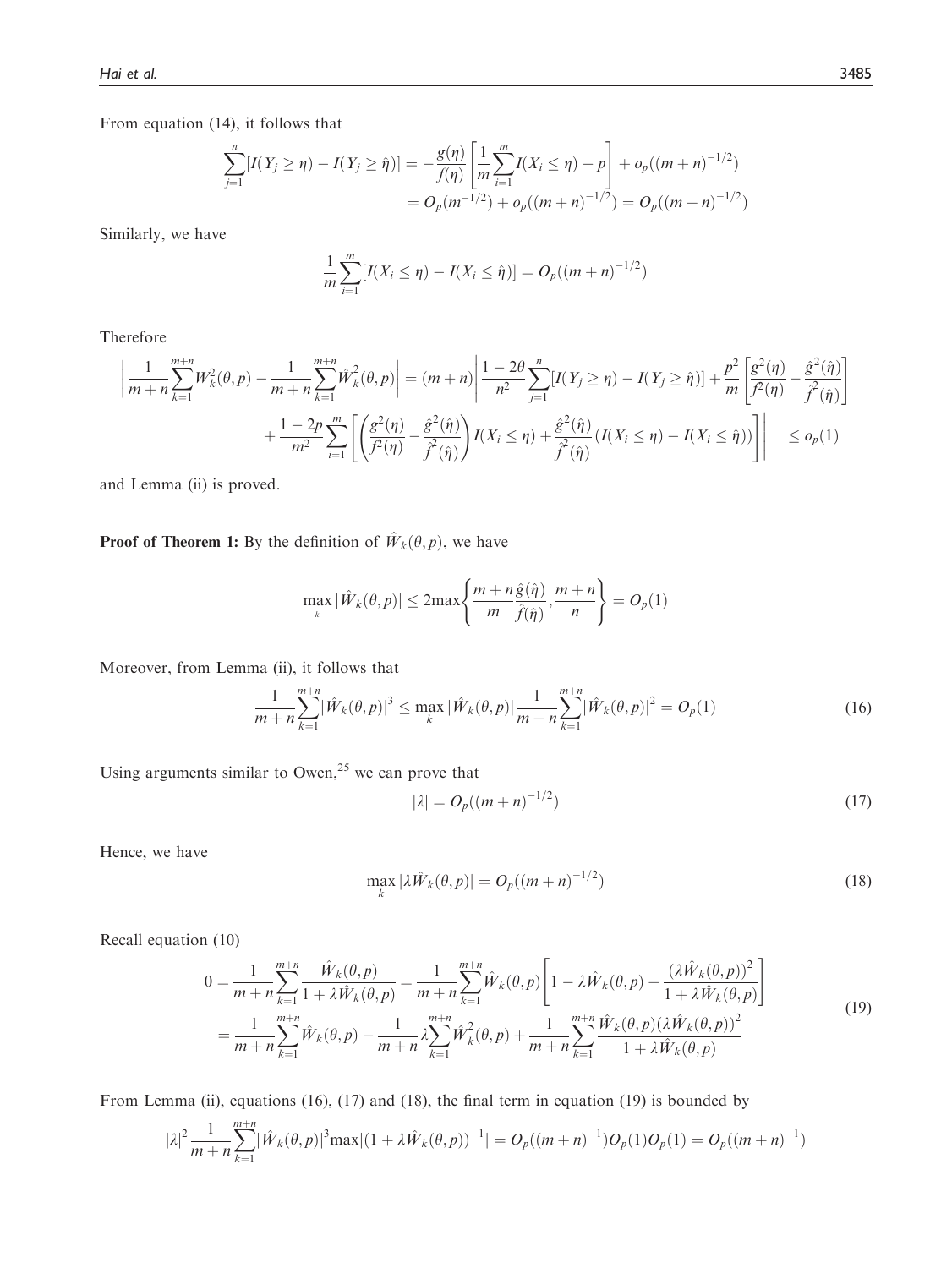From equation (14), it follows that

$$
\sum_{j=1}^{n} [I(Y_j \ge \eta) - I(Y_j \ge \hat{\eta})] = -\frac{g(\eta)}{f(\eta)} \left[ \frac{1}{m} \sum_{i=1}^{m} I(X_i \le \eta) - p \right] + o_p((m+n)^{-1/2})
$$
  
=  $O_p(m^{-1/2}) + o_p((m+n)^{-1/2}) = O_p((m+n)^{-1/2})$ 

Similarly, we have

$$
\frac{1}{m}\sum_{i=1}^{m}[I(X_i \leq \eta) - I(X_i \leq \hat{\eta})] = O_p((m+n)^{-1/2})
$$

Therefore

$$
\left| \frac{1}{m+n} \sum_{k=1}^{m+n} W_k^2(\theta, p) - \frac{1}{m+n} \sum_{k=1}^{m+n} \hat{W}_k^2(\theta, p) \right| = (m+n) \left| \frac{1-2\theta}{n^2} \sum_{j=1}^n [I(Y_j \ge \eta) - I(Y_j \ge \hat{\eta})] + \frac{p^2}{m} \left[ \frac{g^2(\eta)}{f^2(\eta)} - \frac{\hat{g}^2(\hat{\eta})}{f^2(\hat{\eta})} \right] + \frac{1-2p}{m^2} \sum_{i=1}^m \left[ \left( \frac{g^2(\eta)}{f^2(\eta)} - \frac{\hat{g}^2(\hat{\eta})}{f^2(\hat{\eta})} \right) I(X_i \le \eta) + \frac{\hat{g}^2(\hat{\eta})}{f^2(\hat{\eta})} (I(X_i \le \eta) - I(X_i \le \hat{\eta})) \right] \right| \le o_p(1)
$$

and Lemma (ii) is proved.

**Proof of Theorem 1:** By the definition of  $\hat{W}_k(\theta, p)$ , we have

$$
\max_{k} |\hat{W}_{k}(\theta, p)| \leq 2 \max \left\{ \frac{m + n \hat{g}(\hat{\eta})}{m} , \frac{m + n}{\hat{f}(\hat{\eta})}, \frac{m + n}{n} \right\} = O_p(1)
$$

Moreover, from Lemma (ii), it follows that

$$
\frac{1}{m+n}\sum_{k=1}^{m+n}|\hat{W}_k(\theta,p)|^3 \le \max_k |\hat{W}_k(\theta,p)|\frac{1}{m+n}\sum_{k=1}^{m+n}|\hat{W}_k(\theta,p)|^2 = O_p(1)
$$
\n(16)

Using arguments similar to Owen, $25$  we can prove that

$$
|\lambda| = O_p((m+n)^{-1/2})
$$
\n(17)

Hence, we have

$$
\max_{k} |\lambda \hat{W}_k(\theta, p)| = O_p((m+n)^{-1/2})
$$
\n(18)

Recall equation (10)

$$
0 = \frac{1}{m+n} \sum_{k=1}^{m+n} \frac{\hat{W}_k(\theta, p)}{1 + \lambda \hat{W}_k(\theta, p)} = \frac{1}{m+n} \sum_{k=1}^{m+n} \hat{W}_k(\theta, p) \left[ 1 - \lambda \hat{W}_k(\theta, p) + \frac{(\lambda \hat{W}_k(\theta, p))^2}{1 + \lambda \hat{W}_k(\theta, p)} \right]
$$
  
= 
$$
\frac{1}{m+n} \sum_{k=1}^{m+n} \hat{W}_k(\theta, p) - \frac{1}{m+n} \lambda \sum_{k=1}^{m+n} \hat{W}_k^2(\theta, p) + \frac{1}{m+n} \sum_{k=1}^{m+n} \frac{\hat{W}_k(\theta, p)(\lambda \hat{W}_k(\theta, p))^2}{1 + \lambda \hat{W}_k(\theta, p)}
$$
(19)

From Lemma (ii), equations (16), (17) and (18), the final term in equation (19) is bounded by

$$
|\lambda|^2 \frac{1}{m+n} \sum_{k=1}^{m+n} |\hat{W}_k(\theta, p)|^3 \max |(1 + \lambda \hat{W}_k(\theta, p))^{-1}| = O_p((m+n)^{-1}) O_p(1) O_p(1) = O_p((m+n)^{-1})
$$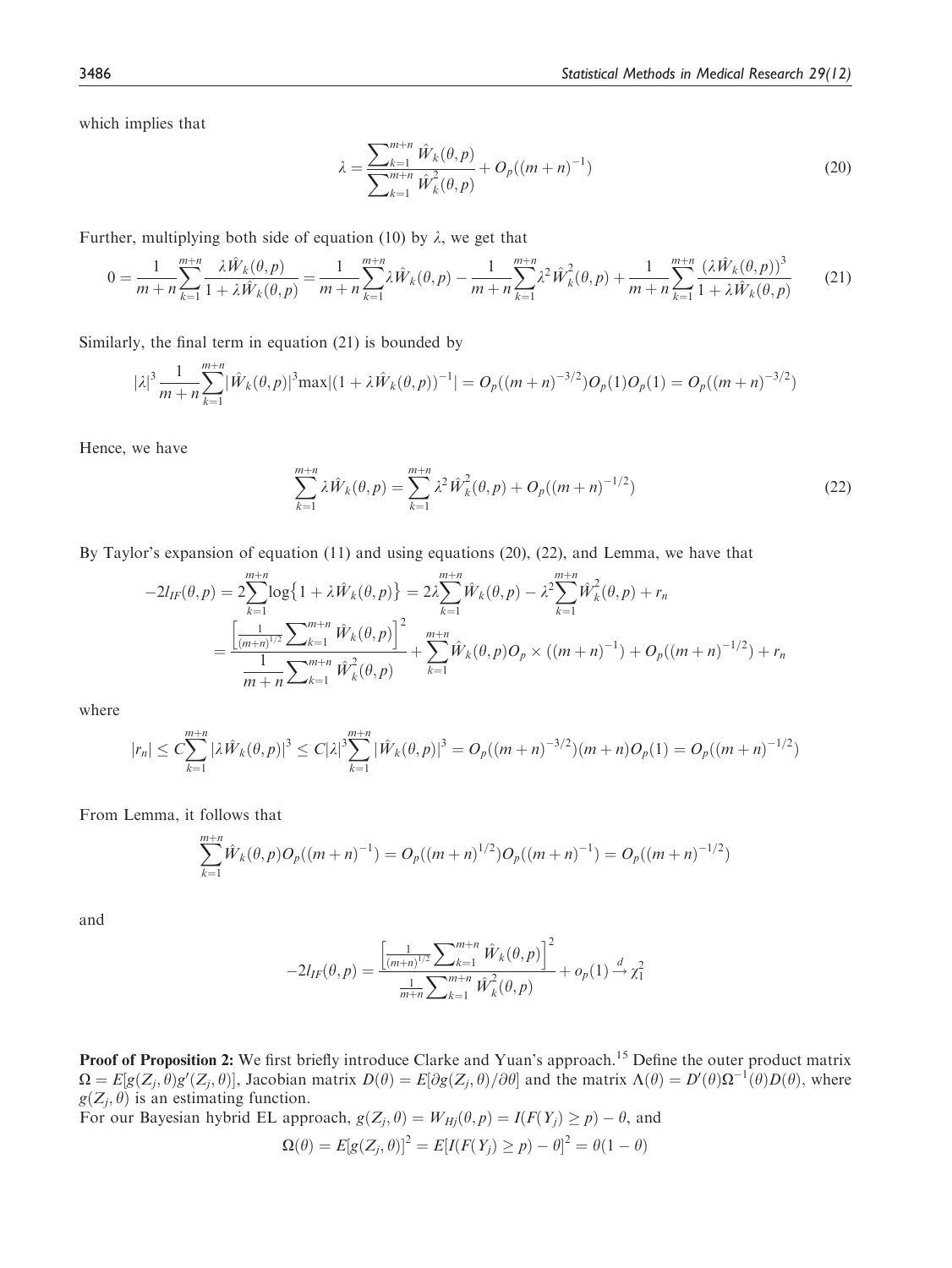which implies that

$$
\lambda = \frac{\sum_{k=1}^{m+n} \hat{W}_k(\theta, p)}{\sum_{k=1}^{m+n} \hat{W}_k^2(\theta, p)} + O_p((m+n)^{-1})
$$
\n(20)

Further, multiplying both side of equation (10) by  $\lambda$ , we get that

$$
0 = \frac{1}{m+n} \sum_{k=1}^{m+n} \frac{\lambda \hat{W}_k(\theta, p)}{1 + \lambda \hat{W}_k(\theta, p)} = \frac{1}{m+n} \sum_{k=1}^{m+n} \lambda \hat{W}_k(\theta, p) - \frac{1}{m+n} \sum_{k=1}^{m+n} \lambda^2 \hat{W}_k(\theta, p) + \frac{1}{m+n} \sum_{k=1}^{m+n} \frac{(\lambda \hat{W}_k(\theta, p))^3}{1 + \lambda \hat{W}_k(\theta, p)}
$$
(21)

Similarly, the final term in equation (21) is bounded by

$$
|\lambda|^3 \frac{1}{m+n} \sum_{k=1}^{m+n} |\hat{W}_k(\theta, p)|^3 \max |(1 + \lambda \hat{W}_k(\theta, p))^{-1}| = O_p((m+n)^{-3/2}) O_p(1) O_p(1) = O_p((m+n)^{-3/2})
$$

Hence, we have

$$
\sum_{k=1}^{m+n} \lambda \hat{W}_k(\theta, p) = \sum_{k=1}^{m+n} \lambda^2 \hat{W}_k^2(\theta, p) + O_p((m+n)^{-1/2})
$$
\n(22)

By Taylor's expansion of equation (11) and using equations (20), (22), and Lemma, we have that

$$
-2l_{IF}(\theta, p) = 2\sum_{k=1}^{m+n} \log\left\{1 + \lambda \hat{W}_k(\theta, p)\right\} = 2\lambda \sum_{k=1}^{m+n} \hat{W}_k(\theta, p) - \lambda^2 \sum_{k=1}^{m+n} \hat{W}_k^2(\theta, p) + r_n
$$
  
= 
$$
\frac{\left[\frac{1}{(m+n)^{1/2}} \sum_{k=1}^{m+n} \hat{W}_k(\theta, p)\right]^2}{\frac{1}{m+n} \sum_{k=1}^{m+n} \hat{W}_k^2(\theta, p)} + \sum_{k=1}^{m+n} \hat{W}_k(\theta, p) O_p \times ((m+n)^{-1}) + O_p((m+n)^{-1/2}) + r_n
$$

where

$$
|r_n| \leq C \sum_{k=1}^{m+n} |\lambda \hat{W}_k(\theta, p)|^3 \leq C |\lambda|^3 \sum_{k=1}^{m+n} |\hat{W}_k(\theta, p)|^3 = O_p((m+n)^{-3/2})(m+n)O_p(1) = O_p((m+n)^{-1/2})
$$

From Lemma, it follows that

$$
\sum_{k=1}^{m+n} \hat{W}_k(\theta, p) O_p((m+n)^{-1}) = O_p((m+n)^{1/2}) O_p((m+n)^{-1}) = O_p((m+n)^{-1/2})
$$

and

$$
-2l_{IF}(\theta, p) = \frac{\left[\frac{1}{(m+n)^{1/2}}\sum_{k=1}^{m+n} \hat{W}_k(\theta, p)\right]^2}{\frac{1}{m+n}\sum_{k=1}^{m+n} \hat{W}_k^2(\theta, p)} + o_p(1) \stackrel{d}{\to} \chi_1^2
$$

Proof of Proposition 2: We first briefly introduce Clarke and Yuan's approach.<sup>15</sup> Define the outer product matrix  $\Omega = E[g(Z_j, \theta)g'(Z_j, \theta)]$ , Jacobian matrix  $D(\theta) = E[\partial g(Z_j, \theta)/\partial \theta]$  and the matrix  $\Lambda(\theta) = D'(\theta)\Omega^{-1}(\theta)D(\theta)$ , where  $g(Z_i, \theta)$  is an estimating function.

For our Bayesian hybrid EL approach,  $g(Z_j, \theta) = W_{Hj}(\theta, p) = I(F(Y_j) \ge p) - \theta$ , and

$$
\Omega(\theta) = E[g(Z_j, \theta)]^2 = E[I(F(Y_j) \ge p) - \theta]^2 = \theta(1 - \theta)
$$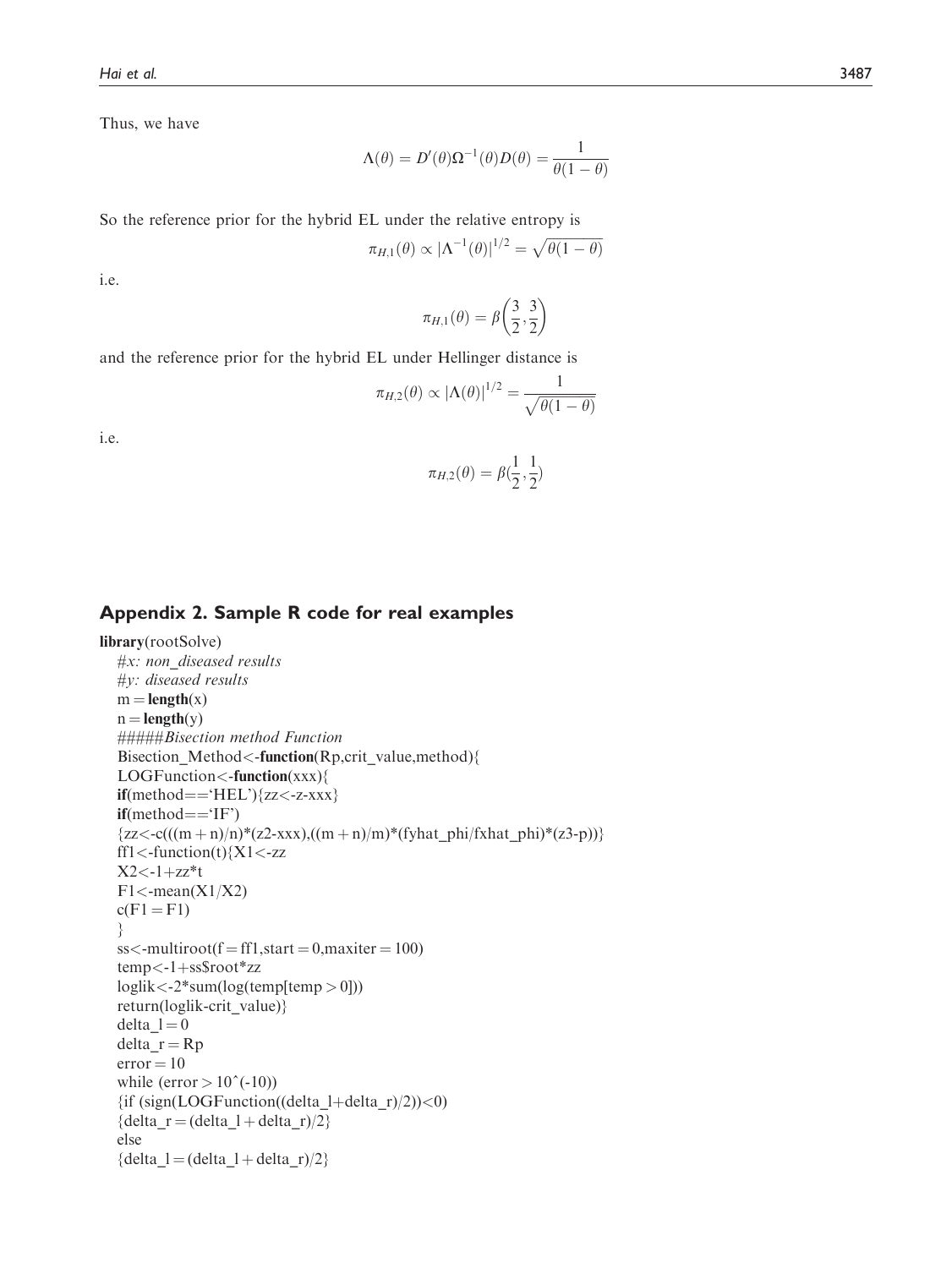Thus, we have

$$
\Lambda(\theta) = D'(\theta)\Omega^{-1}(\theta)D(\theta) = \frac{1}{\theta(1-\theta)}
$$

So the reference prior for the hybrid EL under the relative entropy is

$$
\pi_{H,1}(\theta) \propto |\Lambda^{-1}(\theta)|^{1/2} = \sqrt{\theta(1-\theta)}
$$

i.e.

$$
\pi_{H,1}(\theta) = \beta \left(\frac{3}{2}, \frac{3}{2}\right)
$$

and the reference prior for the hybrid EL under Hellinger distance is

$$
\pi_{H,2}(\theta) \propto |\Lambda(\theta)|^{1/2} = \frac{1}{\sqrt{\theta(1-\theta)}}
$$

i.e.

$$
\pi_{H,2}(\theta) = \beta(\frac{1}{2}, \frac{1}{2})
$$

## Appendix 2. Sample R code for real examples

```
library(rootSolve)
  #x: non_diseased results
  #y: diseased results
  m = length(x)n = length(y)#####Bisection method Function
  Bisection_Method<-function(Rp,crit_value,method){
  LOGFunction<-function(xxx){
  if(method=='HEL')\{zz < -z-xxxx\}if(method=='IF'){zz < -c(((m + n)/n)*(z2-xxx),((m + n)/m)*(fyhat_phi/fxhat_phi)*(z3-p))}ff1 <-function(t){X1 <-zz
  X2<-1+zz*t
  F1 <-mean(X1/X2)
  c(F1 = F1)}
  ss <-multiroot(f = ff1, start = 0, maxiter = 100)
  temp < -1 + ssspoot*zz
  loglik < -2*sum(log(temp[temp > 0]))return(loglik-crit_value)}
  delta_l = 0delta_r = Rperror = 10while (error > 10^{\circ}(-10))
  {if (sign(LOGFunction((delta_l+delta_r)/2))<0)
  {delta_r = (delta_l + delta_r)/2}else
  {delta_l = (delta_l + delta_r)/2}
```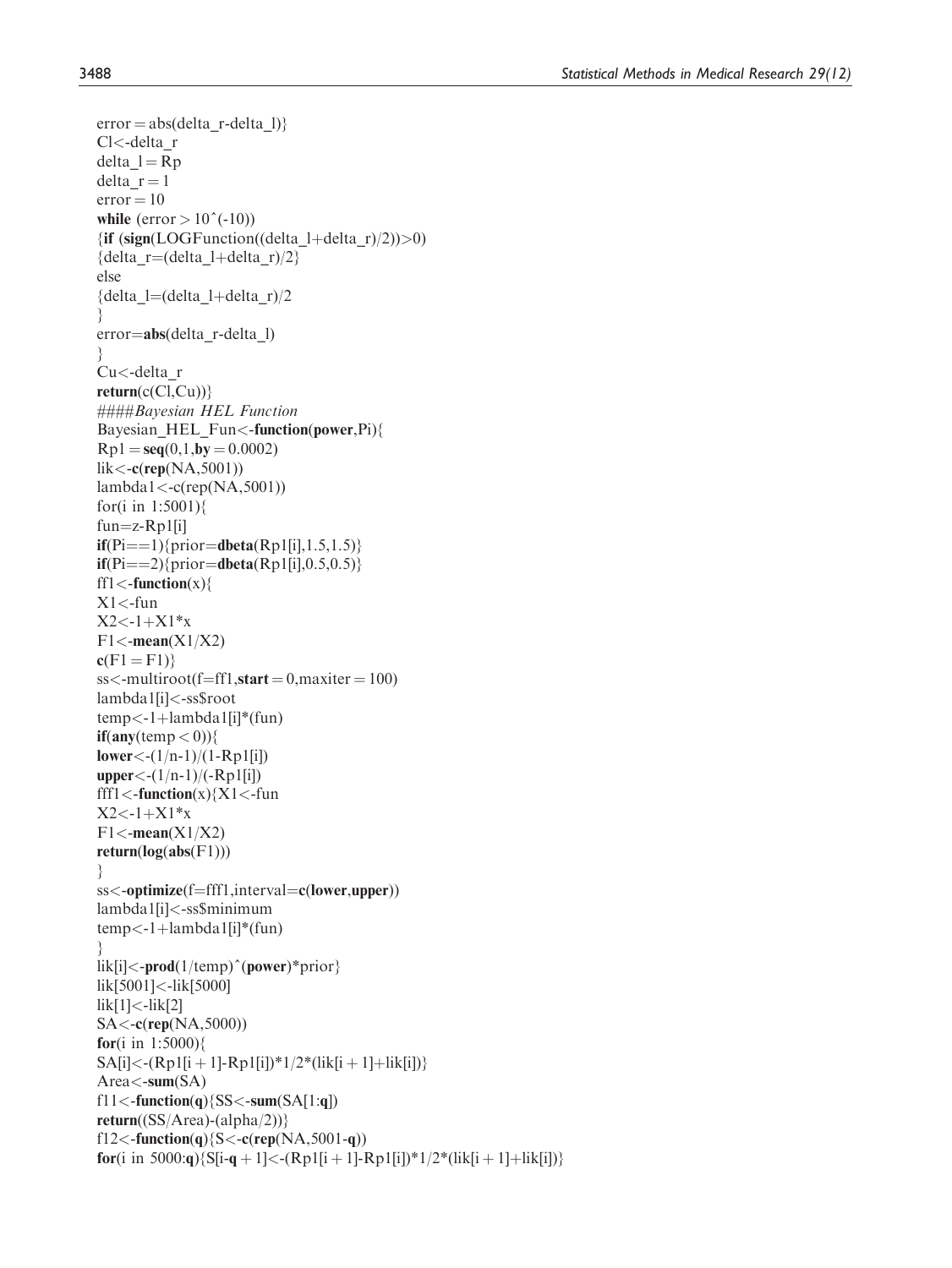```
error = abs(detta_r-delta_l)Cl<-delta_r
delta_l = Rpdelta r = 1error = 10while (error > 10^{\circ}(-10))
\{if (sign(LOGFunction((delta 1+delta r)/2))>0)
{delta r=(delta l+delta r)/2}
else
{delta_l=(delta_l+delta_r)/2
}
error=abs(delta_r-delta_l)
}
Cu<-delta_r
return(c(Cl,Cu))####Bayesian HEL Function
Bayesian_HEL_Fun<-function(power,Pi){
Rp1 = seq(0,1,by = 0.0002)lik \lt-c(rep(NA,5001))
lambda1 < -c(rep(NA,5001))
for(i in 1:5001){
fun=z-Rp1[i]if(Pi == 1){prior = dbeta(Rp1[i], 1.5, 1.5)}if(Pi == 2){prior=dbeta(Rp1[i],0.5,0.5)}
ff1\lt-function(x){
X1 <-fun
X2 < -1+X1*xF1 <-mean(X1/X2)
c(F1 = F1)ss <-multiroot(f=ff1,start = 0,maxiter = 100)
lambda1[i]<-ss$root
temp < -1 + lambda1[i]*(fun)if(any(temp < 0))lower \langle -(1/n-1)/(1-Rp1[i]) \rangleupper < -(1/n-1)/(-Rp1[i])fff1\langle-function(x)\{X1\langle-fun
X2 < -1+X1*F1 <-mean(X1/X2)
return(log(abs(F1)))}
ss<-optimize(f=fff1,interval=c(lower,upper))
lambda1[i]<-ss$minimum
temp < -1 + lambda1[i]*(fun)}
\text{lik}[i] < \text{-prod}(1/\text{temp})^{\wedge}(\text{power})^* \text{prior}lik[5001]<-lik[5000]
lik[1]<-lik[2]
SA<-c(rep(NA,5000))
for(i in 1:5000){
SA[i] < -(Rp1[i + 1] - Rp1[i])^*1/2^*(lik[i + 1] + lik[i])\}Area < -sum(SA)f11<-function(q){SS<-sum(SA[1:q])
return((SS/Area)-(alpha/2))\}f12<-function(q){S<-c(rep(NA,5001-q))
for(i in 5000:q){S[i-q + 1]<-(Rp1[i + 1]-Rp1[i])*1/2*(lik[i + 1]+lik[i])}
```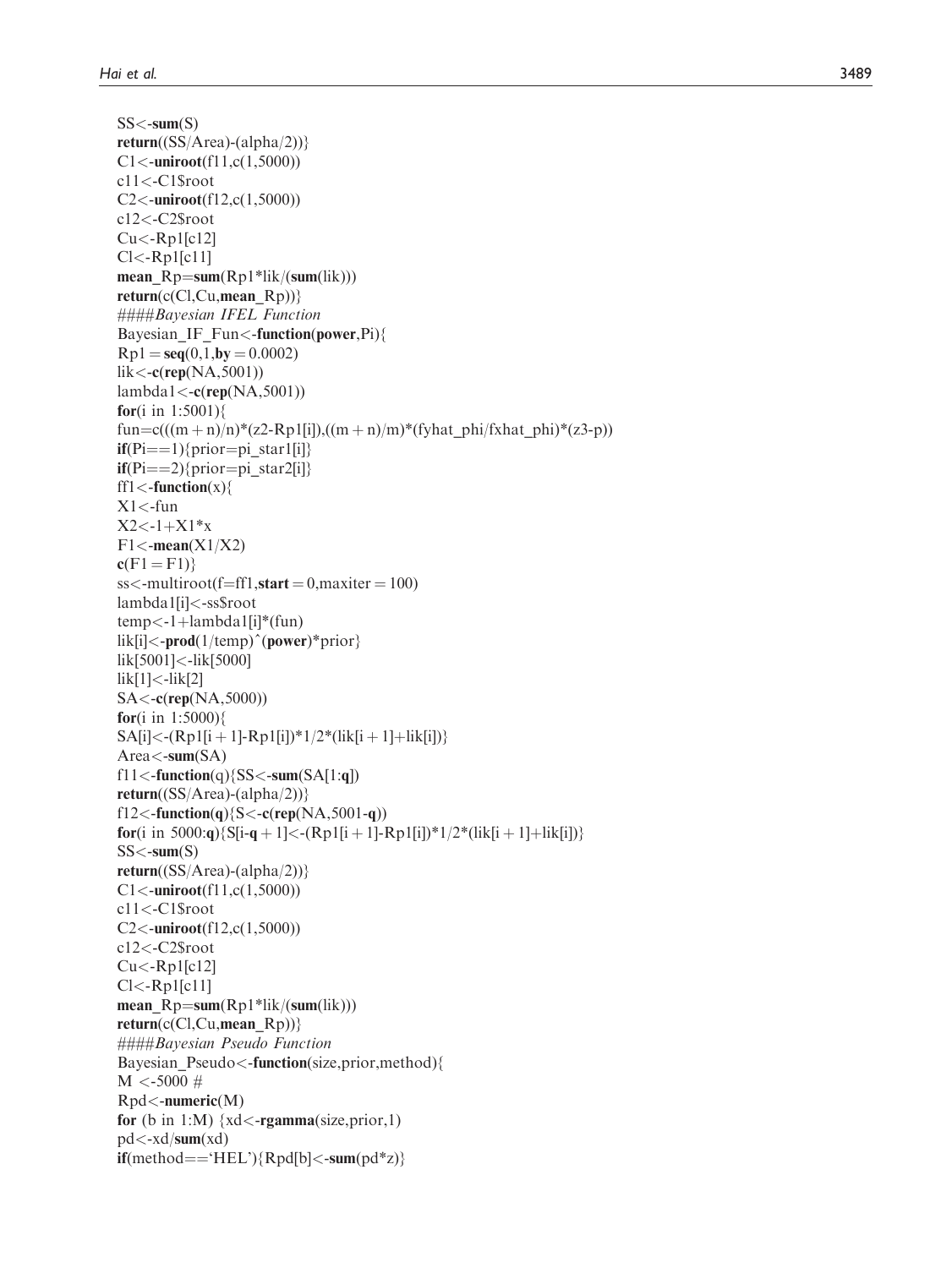$SS < -sum(S)$ 

 $return((SS/Area)-(alpha/2))$ }  $C1$  < - uniroot(f11,c(1,5000)) c11 <-C1\$root  $C2$  < - uniroot(f12,c(1,5000)) c12 <-C2\$root  $Cu < -Rp1[c12]$ Cl<-Rp1[c11] mean\_Rp=sum(Rp1\*lik/(sum(lik)))<br>return(c(Cl Cu mean\_Rp)))  $return(c(Cl,Cu,mean_Rp))$ ####Bayesian IFEL Function Bayesian\_IF\_Fun < -function (power,Pi){  $Rp1 = seq(0,1,by = 0.0002)$ <br>  $lik < c(**ren**(NA, 5001))$  $\text{lik} < \text{-c}(\text{rep}(\text{NA}, 5001))$ lambda1<-c(rep(NA,5001)) **for**(i in 1:5001){ fun=c(((m + n)/n)\*(z2-Rp1[i]),((m + n)/m)\*(fyhat\_phi/fxhat\_phi)\*(z3-p))<br>if(Pi---1){prior-ni\_star1[i]}  $\textbf{if}(\text{Pi} == 1)$ {prior=pi\_star1[i]}<br>  $\textbf{if}(\text{Pi} == 2)$ {prior=pi\_star2[i]}  $\textbf{if}(\text{Pi} == 2)$ {prior=pi\_star2[i]}<br>ff1<-**function**(x){ ff1 $\lt$ -function(x){  $X1$  <-fun  $X2 < -1 + X1*x$ <br>F1  $\leq$  mean(X)  $F1$  <-mean(X1/X2)  $c(F1 = F1)$ }<br>ss<-multiro ss<-multiroot(f=ff1,start = 0,maxiter = 100)<br>lambda1fil<-ss\$root lambda1[i] <-ss\$root temp<-1+lambda1[i]\*(fun)<br>lik[i]<-**prod**(1/temp)^(**powe** lik[i]<-**prod**(1/temp)^(**power**)\*prior} lik[5001] <-lik[5000] lik[1] <-lik[2]  $S$ A < - $c$ (rep(NA,5000)) **for**(i in 1:5000){  $SA[i] < (Rp1[i+1] - Rp1[i]) * 1/2 * (lik[i+1] + lik[i])$ <br>  $A \text{ real} < \text{sum}(A)$ Area<-sum(SA)  $fl1$  < -function(q){SS < -sum(SA[1:q]) return( $(SS/Area)$ -(alpha/2))} f12<**-function**(q){S<**-c**(rep(NA,5001-q)) for(i in 5000:q){S[i-q + 1]<-(Rp1[i + 1]-Rp1[i])\*1/2\*(lik[i + 1]+lik[i])}<br>SS<-sum(S)  $SS < -sum(S)$ return((SS/Area)-(alpha/2))}  $C1$  < - uniroot(f11,c(1,5000)) c11 <-C1\$root  $C2$  < - uniroot(f12,c(1,5000)) c12 <-C2\$root  $Cu < -Rp1[c12]$ Cl<-Rp1[c11] mean\_Rp=sum(Rp1\*lik/(sum(lik)))<br>return(c(Cl Cu mean\_Rp))) return(c(Cl,Cu,mean\_Rp))} ####Bayesian Pseudo Function Bayesian\_Pseudo < -function(size,prior,method){  $M < -5000 \#$ Rpd<-numeric(M) for (b in 1:M)  $\{xd < \text{rgamma}(\text{size}, \text{prior}, 1)$ pd <-xd/sum(xd)  $\textbf{if}(\text{method} == 'HEL') \{ \text{Rpd}[b] < \text{-sum}(pd^*z) \}$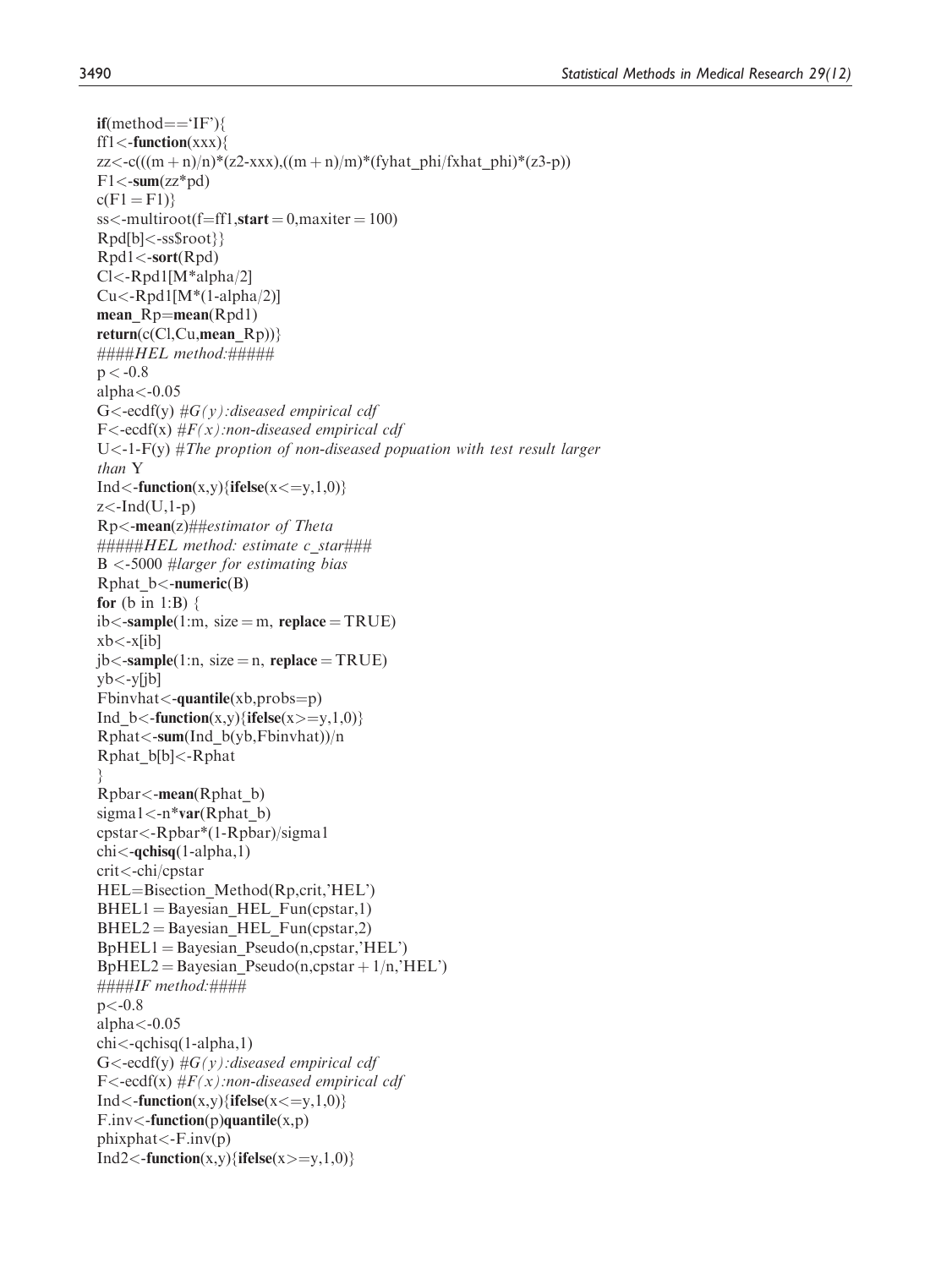$if(method=='IF')$ ff1 $\lt$ -function(xxx){  $zz < -c(((m + n)/n)*(z2-xxx)$ , $((m + n)/m)*(fyhat phi/fxhat phi)*(z3-p))$  $F1$ <-sum(zz\*pd)  $c(F1 = F1)$  $ss$  <-multiroot(f=ff1.start = 0, maxiter = 100) Rpd[b]<-ss\$root}} Rpd1<-sort(Rpd) Cl<-Rpd1[M\*alpha/2]  $Cu < -Rpd1[M*(1-alpha/2)]$ mean  $Rp=mean(Rpd1)$ return( $c(Cl,Cu,mean_Rp)$ )}  $\# \# \# \# HEL$  method:  $\# \# \# \#$  $p < -0.8$ alpha $<$ -0.05  $G \leq -ecdf(y) \#G(y)$ : diseased empirical cdf  $F \leq -\text{ecdf}(x) \# F(x)$ :non-diseased empirical cdf U $\lt$ -1-F(y) #The proption of non-diseased popuation with test result larger than Y  $Ind <$ -function(x,y){ifelse(x < = y,1,0)}  $z$  <-Ind(U,1-p) Rp<-mean(z)##estimator of Theta #####HEL method: estimate c\_star###  $B < -5000$  #larger for estimating bias  $Rphat_b$  <-numeric(B) for  $(b \text{ in } 1:B)$  {  $ib < -sample(1:m, size = m, replace = TRUE)$  $xb < -x[ib]$  $jb < -sample(1:n, size = n, replace = TRUE)$  $yb < -y[i]$  $Fbinvhat < -quantile(xb, probs = p)$ Ind\_b<-function(x,y){ifelse(x>=y,1,0)} Rphat<-sum(Ind\_b(yb,Fbinvhat))/n Rphat\_b[b]<-Rphat } Rpbar<-mean(Rphat\_b) sigma $1 < -n^*var(Rphat_b)$ cpstar<-Rpbar\*(1-Rpbar)/sigma1  $chi$  $\lt$ -qchisq(1-alpha,1) crit<-chi/cpstar  $HEL = Bisection_Method(Rp,crit,'HEL')$  $BHEL1 = Bayesian HEL_Fun(cpstar,1)$  $BHEL2 = Bayesian HEL Fun(cpstar,2)$  $BpHEL1 = Bayesian_Pseudo(n,cpstar,'HEL')$  $BpHEL2 = BayesianPseudo(n,cpstar + 1/n, 'HEL')$ ####IF method:####  $p < -0.8$ alpha $<$ -0.05 chi<-qchisq(1-alpha,1)  $G \leq -\text{ecdf}(y) \#G(y)$ : diseased empirical cdf  $F \leq -\text{ecdf}(x) \# F(x)$ :non-diseased empirical cdf  $Ind < -function(x,y)$ {ifelse( $x < =y,1,0$ )}  $F.inv < -function(p)$ quantile $(x,p)$  $phixphat < -F.inv(p)$ 

 $Ind2 <$ -function(x,y){ifelse(x>=y,1,0)}